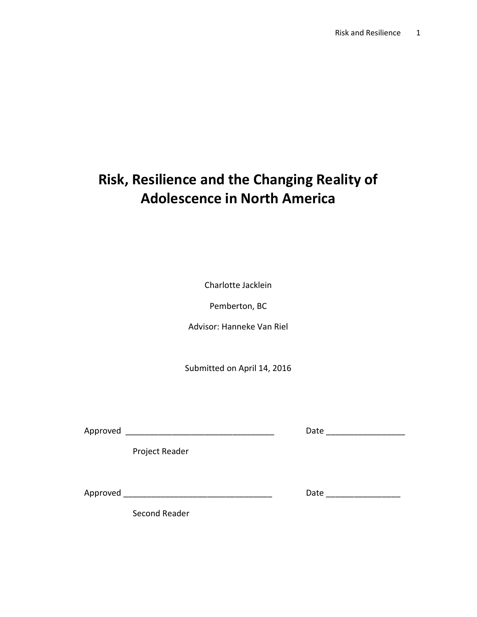# Risk, Resilience and the Changing Reality of Adolescence in North America

Charlotte Jacklein

Pemberton, BC

Advisor: Hanneke Van Riel

Submitted on April 14, 2016

Approved \_\_\_\_\_\_\_\_\_\_\_\_\_\_\_\_\_\_\_\_\_\_\_\_\_\_\_\_\_\_\_\_ Date \_\_\_\_\_\_\_\_\_\_\_\_\_\_\_\_\_

Project Reader

Approved \_\_\_\_\_\_\_\_\_\_\_\_\_\_\_\_\_\_\_\_\_\_\_\_\_\_\_\_\_\_\_\_ Date \_\_\_\_\_\_\_\_\_\_\_\_\_\_\_\_

Second Reader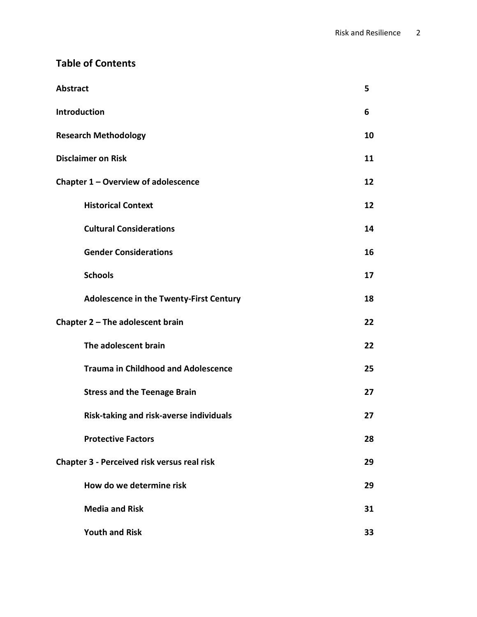# Table of Contents

| <b>Abstract</b>                                    |    |
|----------------------------------------------------|----|
| Introduction                                       |    |
| <b>Research Methodology</b>                        |    |
| <b>Disclaimer on Risk</b>                          |    |
| Chapter 1 - Overview of adolescence                | 12 |
| <b>Historical Context</b>                          | 12 |
| <b>Cultural Considerations</b>                     | 14 |
| <b>Gender Considerations</b>                       | 16 |
| <b>Schools</b>                                     | 17 |
| <b>Adolescence in the Twenty-First Century</b>     | 18 |
| Chapter $2$ – The adolescent brain                 | 22 |
| The adolescent brain                               | 22 |
| <b>Trauma in Childhood and Adolescence</b>         | 25 |
| <b>Stress and the Teenage Brain</b>                | 27 |
| Risk-taking and risk-averse individuals            | 27 |
| <b>Protective Factors</b>                          | 28 |
| <b>Chapter 3 - Perceived risk versus real risk</b> | 29 |
| How do we determine risk                           | 29 |
| <b>Media and Risk</b>                              | 31 |
| <b>Youth and Risk</b>                              | 33 |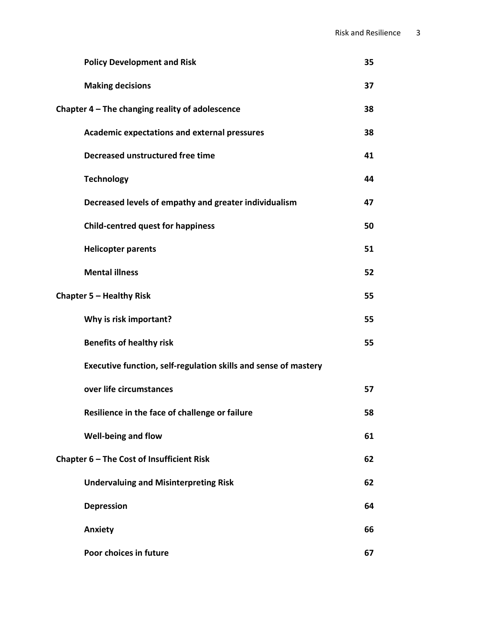|                                                   | <b>Policy Development and Risk</b>                              | 35 |
|---------------------------------------------------|-----------------------------------------------------------------|----|
|                                                   | <b>Making decisions</b>                                         | 37 |
| Chapter $4$ – The changing reality of adolescence |                                                                 | 38 |
|                                                   | <b>Academic expectations and external pressures</b>             | 38 |
|                                                   | Decreased unstructured free time                                | 41 |
|                                                   | <b>Technology</b>                                               | 44 |
|                                                   | Decreased levels of empathy and greater individualism           | 47 |
|                                                   | <b>Child-centred quest for happiness</b>                        | 50 |
|                                                   | <b>Helicopter parents</b>                                       | 51 |
|                                                   | <b>Mental illness</b>                                           | 52 |
| Chapter 5 - Healthy Risk                          |                                                                 | 55 |
|                                                   | Why is risk important?                                          | 55 |
|                                                   | <b>Benefits of healthy risk</b>                                 | 55 |
|                                                   | Executive function, self-regulation skills and sense of mastery |    |
|                                                   | over life circumstances                                         | 57 |
|                                                   | Resilience in the face of challenge or failure                  | 58 |
|                                                   | Well-being and flow                                             | 61 |
| Chapter 6 - The Cost of Insufficient Risk         |                                                                 | 62 |
|                                                   | <b>Undervaluing and Misinterpreting Risk</b>                    | 62 |
|                                                   | <b>Depression</b>                                               | 64 |
|                                                   | <b>Anxiety</b>                                                  | 66 |
|                                                   | Poor choices in future                                          | 67 |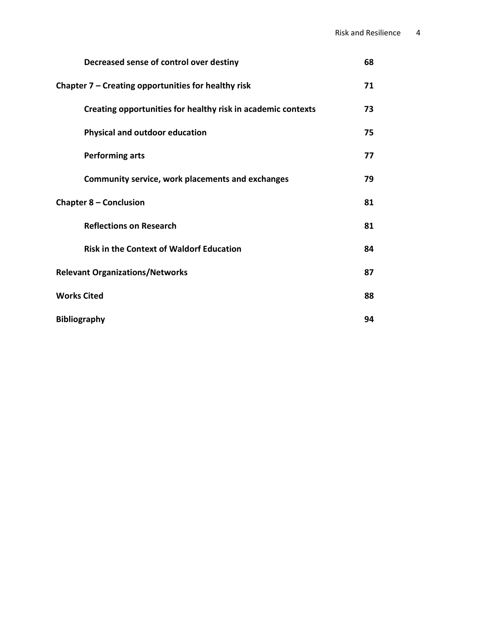| Decreased sense of control over destiny                      | 68 |
|--------------------------------------------------------------|----|
| Chapter $7$ – Creating opportunities for healthy risk        |    |
| Creating opportunities for healthy risk in academic contexts | 73 |
| <b>Physical and outdoor education</b>                        | 75 |
| <b>Performing arts</b>                                       | 77 |
| <b>Community service, work placements and exchanges</b>      | 79 |
| Chapter 8 – Conclusion                                       |    |
| <b>Reflections on Research</b>                               | 81 |
| <b>Risk in the Context of Waldorf Education</b>              | 84 |
| <b>Relevant Organizations/Networks</b>                       |    |
| <b>Works Cited</b>                                           |    |
| <b>Bibliography</b>                                          |    |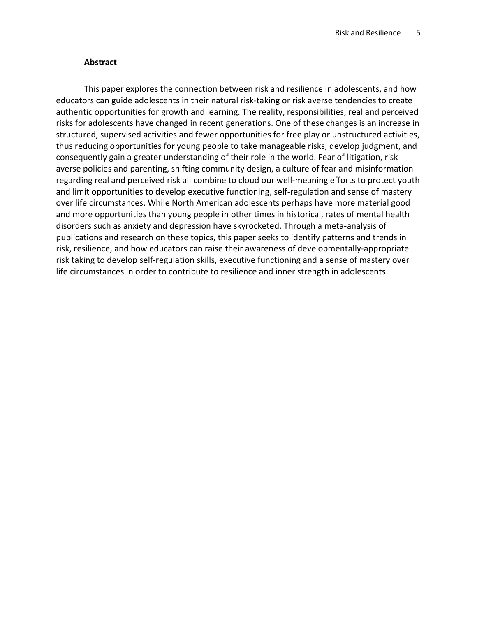# Abstract

This paper explores the connection between risk and resilience in adolescents, and how educators can guide adolescents in their natural risk-taking or risk averse tendencies to create authentic opportunities for growth and learning. The reality, responsibilities, real and perceived risks for adolescents have changed in recent generations. One of these changes is an increase in structured, supervised activities and fewer opportunities for free play or unstructured activities, thus reducing opportunities for young people to take manageable risks, develop judgment, and consequently gain a greater understanding of their role in the world. Fear of litigation, risk averse policies and parenting, shifting community design, a culture of fear and misinformation regarding real and perceived risk all combine to cloud our well-meaning efforts to protect youth and limit opportunities to develop executive functioning, self-regulation and sense of mastery over life circumstances. While North American adolescents perhaps have more material good and more opportunities than young people in other times in historical, rates of mental health disorders such as anxiety and depression have skyrocketed. Through a meta-analysis of publications and research on these topics, this paper seeks to identify patterns and trends in risk, resilience, and how educators can raise their awareness of developmentally-appropriate risk taking to develop self-regulation skills, executive functioning and a sense of mastery over life circumstances in order to contribute to resilience and inner strength in adolescents.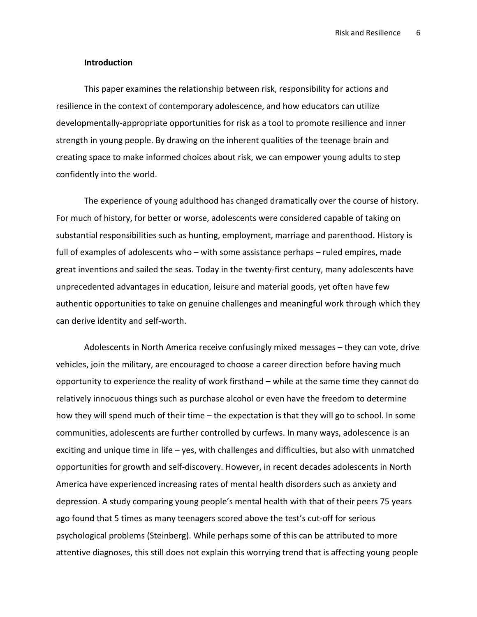#### Introduction

This paper examines the relationship between risk, responsibility for actions and resilience in the context of contemporary adolescence, and how educators can utilize developmentally-appropriate opportunities for risk as a tool to promote resilience and inner strength in young people. By drawing on the inherent qualities of the teenage brain and creating space to make informed choices about risk, we can empower young adults to step confidently into the world.

The experience of young adulthood has changed dramatically over the course of history. For much of history, for better or worse, adolescents were considered capable of taking on substantial responsibilities such as hunting, employment, marriage and parenthood. History is full of examples of adolescents who – with some assistance perhaps – ruled empires, made great inventions and sailed the seas. Today in the twenty-first century, many adolescents have unprecedented advantages in education, leisure and material goods, yet often have few authentic opportunities to take on genuine challenges and meaningful work through which they can derive identity and self-worth.

Adolescents in North America receive confusingly mixed messages – they can vote, drive vehicles, join the military, are encouraged to choose a career direction before having much opportunity to experience the reality of work firsthand – while at the same time they cannot do relatively innocuous things such as purchase alcohol or even have the freedom to determine how they will spend much of their time – the expectation is that they will go to school. In some communities, adolescents are further controlled by curfews. In many ways, adolescence is an exciting and unique time in life – yes, with challenges and difficulties, but also with unmatched opportunities for growth and self-discovery. However, in recent decades adolescents in North America have experienced increasing rates of mental health disorders such as anxiety and depression. A study comparing young people's mental health with that of their peers 75 years ago found that 5 times as many teenagers scored above the test's cut-off for serious psychological problems (Steinberg). While perhaps some of this can be attributed to more attentive diagnoses, this still does not explain this worrying trend that is affecting young people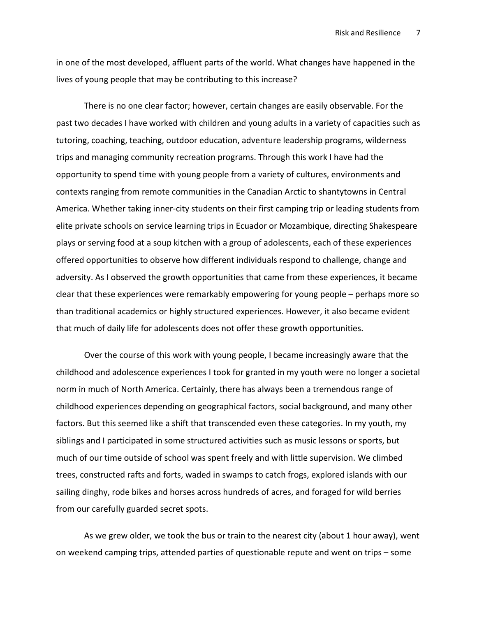in one of the most developed, affluent parts of the world. What changes have happened in the lives of young people that may be contributing to this increase?

There is no one clear factor; however, certain changes are easily observable. For the past two decades I have worked with children and young adults in a variety of capacities such as tutoring, coaching, teaching, outdoor education, adventure leadership programs, wilderness trips and managing community recreation programs. Through this work I have had the opportunity to spend time with young people from a variety of cultures, environments and contexts ranging from remote communities in the Canadian Arctic to shantytowns in Central America. Whether taking inner-city students on their first camping trip or leading students from elite private schools on service learning trips in Ecuador or Mozambique, directing Shakespeare plays or serving food at a soup kitchen with a group of adolescents, each of these experiences offered opportunities to observe how different individuals respond to challenge, change and adversity. As I observed the growth opportunities that came from these experiences, it became clear that these experiences were remarkably empowering for young people – perhaps more so than traditional academics or highly structured experiences. However, it also became evident that much of daily life for adolescents does not offer these growth opportunities.

Over the course of this work with young people, I became increasingly aware that the childhood and adolescence experiences I took for granted in my youth were no longer a societal norm in much of North America. Certainly, there has always been a tremendous range of childhood experiences depending on geographical factors, social background, and many other factors. But this seemed like a shift that transcended even these categories. In my youth, my siblings and I participated in some structured activities such as music lessons or sports, but much of our time outside of school was spent freely and with little supervision. We climbed trees, constructed rafts and forts, waded in swamps to catch frogs, explored islands with our sailing dinghy, rode bikes and horses across hundreds of acres, and foraged for wild berries from our carefully guarded secret spots.

As we grew older, we took the bus or train to the nearest city (about 1 hour away), went on weekend camping trips, attended parties of questionable repute and went on trips – some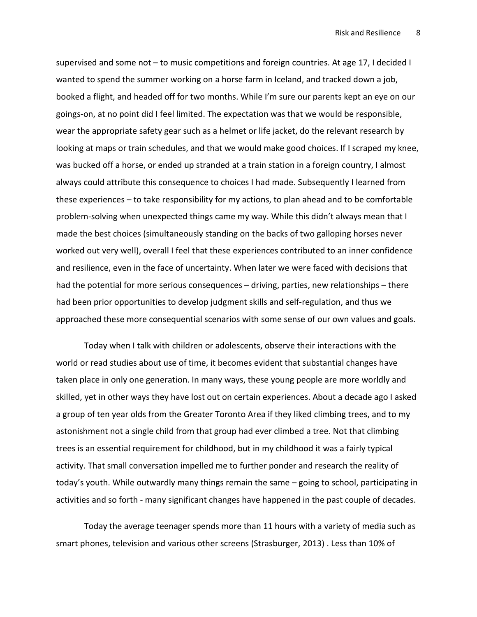supervised and some not – to music competitions and foreign countries. At age 17, I decided I wanted to spend the summer working on a horse farm in Iceland, and tracked down a job, booked a flight, and headed off for two months. While I'm sure our parents kept an eye on our goings-on, at no point did I feel limited. The expectation was that we would be responsible, wear the appropriate safety gear such as a helmet or life jacket, do the relevant research by looking at maps or train schedules, and that we would make good choices. If I scraped my knee, was bucked off a horse, or ended up stranded at a train station in a foreign country, I almost always could attribute this consequence to choices I had made. Subsequently I learned from these experiences – to take responsibility for my actions, to plan ahead and to be comfortable problem-solving when unexpected things came my way. While this didn't always mean that I made the best choices (simultaneously standing on the backs of two galloping horses never worked out very well), overall I feel that these experiences contributed to an inner confidence and resilience, even in the face of uncertainty. When later we were faced with decisions that had the potential for more serious consequences – driving, parties, new relationships – there had been prior opportunities to develop judgment skills and self-regulation, and thus we approached these more consequential scenarios with some sense of our own values and goals.

Today when I talk with children or adolescents, observe their interactions with the world or read studies about use of time, it becomes evident that substantial changes have taken place in only one generation. In many ways, these young people are more worldly and skilled, yet in other ways they have lost out on certain experiences. About a decade ago I asked a group of ten year olds from the Greater Toronto Area if they liked climbing trees, and to my astonishment not a single child from that group had ever climbed a tree. Not that climbing trees is an essential requirement for childhood, but in my childhood it was a fairly typical activity. That small conversation impelled me to further ponder and research the reality of today's youth. While outwardly many things remain the same – going to school, participating in activities and so forth - many significant changes have happened in the past couple of decades.

Today the average teenager spends more than 11 hours with a variety of media such as smart phones, television and various other screens (Strasburger, 2013) . Less than 10% of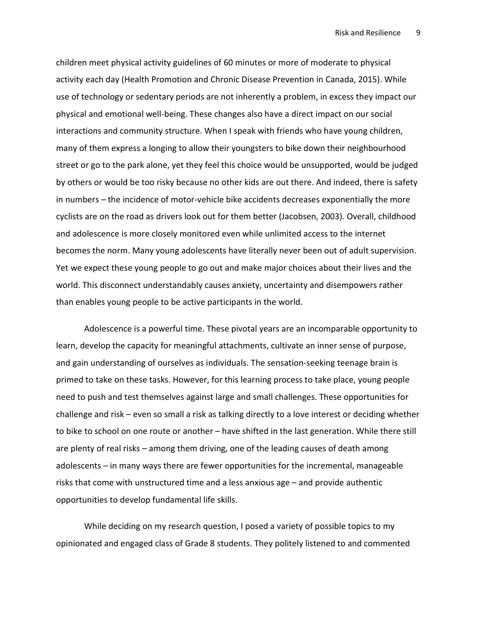children meet physical activity guidelines of 60 minutes or more of moderate to physical activity each day (Health Promotion and Chronic Disease Prevention in Canada, 2015). While use of technology or sedentary periods are not inherently a problem, in excess they impact our physical and emotional well-being. These changes also have a direct impact on our social interactions and community structure. When I speak with friends who have young children, many of them express a longing to allow their youngsters to bike down their neighbourhood street or go to the park alone, yet they feel this choice would be unsupported, would be judged by others or would be too risky because no other kids are out there. And indeed, there is safety in numbers – the incidence of motor-vehicle bike accidents decreases exponentially the more cyclists are on the road as drivers look out for them better (Jacobsen, 2003). Overall, childhood and adolescence is more closely monitored even while unlimited access to the internet becomes the norm. Many young adolescents have literally never been out of adult supervision. Yet we expect these young people to go out and make major choices about their lives and the world. This disconnect understandably causes anxiety, uncertainty and disempowers rather than enables young people to be active participants in the world.

Adolescence is a powerful time. These pivotal years are an incomparable opportunity to learn, develop the capacity for meaningful attachments, cultivate an inner sense of purpose, and gain understanding of ourselves as individuals. The sensation-seeking teenage brain is primed to take on these tasks. However, for this learning process to take place, young people need to push and test themselves against large and small challenges. These opportunities for challenge and risk – even so small a risk as talking directly to a love interest or deciding whether to bike to school on one route or another – have shifted in the last generation. While there still are plenty of real risks – among them driving, one of the leading causes of death among adolescents – in many ways there are fewer opportunities for the incremental, manageable risks that come with unstructured time and a less anxious age – and provide authentic opportunities to develop fundamental life skills.

While deciding on my research question, I posed a variety of possible topics to my opinionated and engaged class of Grade 8 students. They politely listened to and commented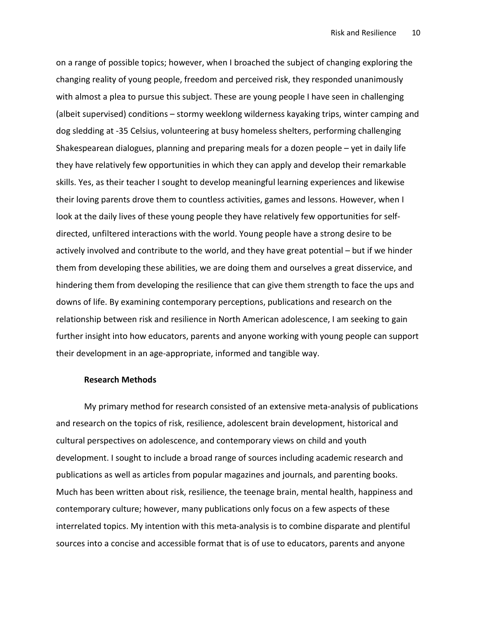on a range of possible topics; however, when I broached the subject of changing exploring the changing reality of young people, freedom and perceived risk, they responded unanimously with almost a plea to pursue this subject. These are young people I have seen in challenging (albeit supervised) conditions – stormy weeklong wilderness kayaking trips, winter camping and dog sledding at -35 Celsius, volunteering at busy homeless shelters, performing challenging Shakespearean dialogues, planning and preparing meals for a dozen people – yet in daily life they have relatively few opportunities in which they can apply and develop their remarkable skills. Yes, as their teacher I sought to develop meaningful learning experiences and likewise their loving parents drove them to countless activities, games and lessons. However, when I look at the daily lives of these young people they have relatively few opportunities for selfdirected, unfiltered interactions with the world. Young people have a strong desire to be actively involved and contribute to the world, and they have great potential – but if we hinder them from developing these abilities, we are doing them and ourselves a great disservice, and hindering them from developing the resilience that can give them strength to face the ups and downs of life. By examining contemporary perceptions, publications and research on the relationship between risk and resilience in North American adolescence, I am seeking to gain further insight into how educators, parents and anyone working with young people can support their development in an age-appropriate, informed and tangible way.

#### Research Methods

My primary method for research consisted of an extensive meta-analysis of publications and research on the topics of risk, resilience, adolescent brain development, historical and cultural perspectives on adolescence, and contemporary views on child and youth development. I sought to include a broad range of sources including academic research and publications as well as articles from popular magazines and journals, and parenting books. Much has been written about risk, resilience, the teenage brain, mental health, happiness and contemporary culture; however, many publications only focus on a few aspects of these interrelated topics. My intention with this meta-analysis is to combine disparate and plentiful sources into a concise and accessible format that is of use to educators, parents and anyone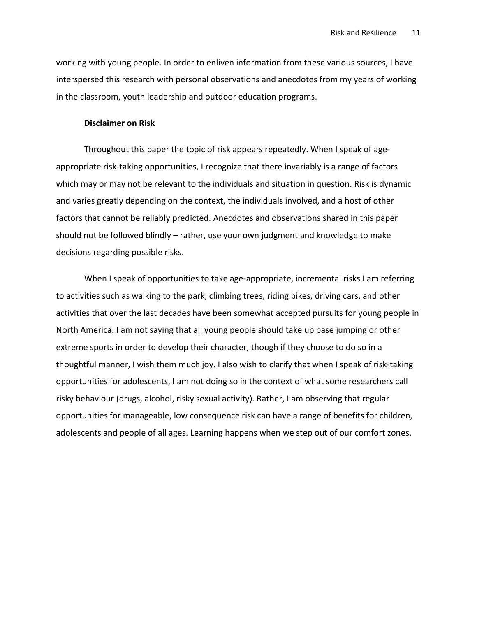working with young people. In order to enliven information from these various sources, I have interspersed this research with personal observations and anecdotes from my years of working in the classroom, youth leadership and outdoor education programs.

# Disclaimer on Risk

Throughout this paper the topic of risk appears repeatedly. When I speak of ageappropriate risk-taking opportunities, I recognize that there invariably is a range of factors which may or may not be relevant to the individuals and situation in question. Risk is dynamic and varies greatly depending on the context, the individuals involved, and a host of other factors that cannot be reliably predicted. Anecdotes and observations shared in this paper should not be followed blindly – rather, use your own judgment and knowledge to make decisions regarding possible risks.

When I speak of opportunities to take age-appropriate, incremental risks I am referring to activities such as walking to the park, climbing trees, riding bikes, driving cars, and other activities that over the last decades have been somewhat accepted pursuits for young people in North America. I am not saying that all young people should take up base jumping or other extreme sports in order to develop their character, though if they choose to do so in a thoughtful manner, I wish them much joy. I also wish to clarify that when I speak of risk-taking opportunities for adolescents, I am not doing so in the context of what some researchers call risky behaviour (drugs, alcohol, risky sexual activity). Rather, I am observing that regular opportunities for manageable, low consequence risk can have a range of benefits for children, adolescents and people of all ages. Learning happens when we step out of our comfort zones.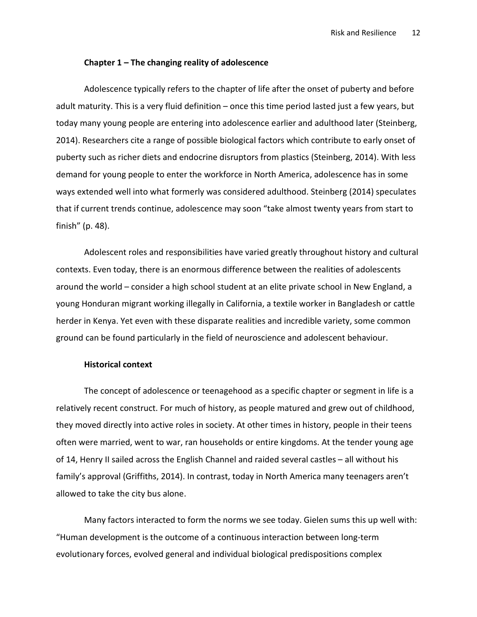#### Chapter 1 – The changing reality of adolescence

Adolescence typically refers to the chapter of life after the onset of puberty and before adult maturity. This is a very fluid definition – once this time period lasted just a few years, but today many young people are entering into adolescence earlier and adulthood later (Steinberg, 2014). Researchers cite a range of possible biological factors which contribute to early onset of puberty such as richer diets and endocrine disruptors from plastics (Steinberg, 2014). With less demand for young people to enter the workforce in North America, adolescence has in some ways extended well into what formerly was considered adulthood. Steinberg (2014) speculates that if current trends continue, adolescence may soon "take almost twenty years from start to finish" (p. 48).

Adolescent roles and responsibilities have varied greatly throughout history and cultural contexts. Even today, there is an enormous difference between the realities of adolescents around the world – consider a high school student at an elite private school in New England, a young Honduran migrant working illegally in California, a textile worker in Bangladesh or cattle herder in Kenya. Yet even with these disparate realities and incredible variety, some common ground can be found particularly in the field of neuroscience and adolescent behaviour.

# Historical context

The concept of adolescence or teenagehood as a specific chapter or segment in life is a relatively recent construct. For much of history, as people matured and grew out of childhood, they moved directly into active roles in society. At other times in history, people in their teens often were married, went to war, ran households or entire kingdoms. At the tender young age of 14, Henry II sailed across the English Channel and raided several castles – all without his family's approval (Griffiths, 2014). In contrast, today in North America many teenagers aren't allowed to take the city bus alone.

Many factors interacted to form the norms we see today. Gielen sums this up well with: "Human development is the outcome of a continuous interaction between long-term evolutionary forces, evolved general and individual biological predispositions complex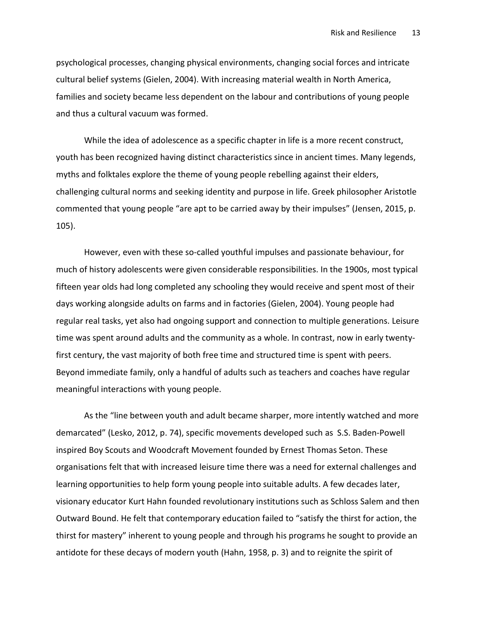psychological processes, changing physical environments, changing social forces and intricate cultural belief systems (Gielen, 2004). With increasing material wealth in North America, families and society became less dependent on the labour and contributions of young people and thus a cultural vacuum was formed.

While the idea of adolescence as a specific chapter in life is a more recent construct, youth has been recognized having distinct characteristics since in ancient times. Many legends, myths and folktales explore the theme of young people rebelling against their elders, challenging cultural norms and seeking identity and purpose in life. Greek philosopher Aristotle commented that young people "are apt to be carried away by their impulses" (Jensen, 2015, p. 105).

However, even with these so-called youthful impulses and passionate behaviour, for much of history adolescents were given considerable responsibilities. In the 1900s, most typical fifteen year olds had long completed any schooling they would receive and spent most of their days working alongside adults on farms and in factories (Gielen, 2004). Young people had regular real tasks, yet also had ongoing support and connection to multiple generations. Leisure time was spent around adults and the community as a whole. In contrast, now in early twentyfirst century, the vast majority of both free time and structured time is spent with peers. Beyond immediate family, only a handful of adults such as teachers and coaches have regular meaningful interactions with young people.

As the "line between youth and adult became sharper, more intently watched and more demarcated" (Lesko, 2012, p. 74), specific movements developed such as S.S. Baden-Powell inspired Boy Scouts and Woodcraft Movement founded by Ernest Thomas Seton. These organisations felt that with increased leisure time there was a need for external challenges and learning opportunities to help form young people into suitable adults. A few decades later, visionary educator Kurt Hahn founded revolutionary institutions such as Schloss Salem and then Outward Bound. He felt that contemporary education failed to "satisfy the thirst for action, the thirst for mastery" inherent to young people and through his programs he sought to provide an antidote for these decays of modern youth (Hahn, 1958, p. 3) and to reignite the spirit of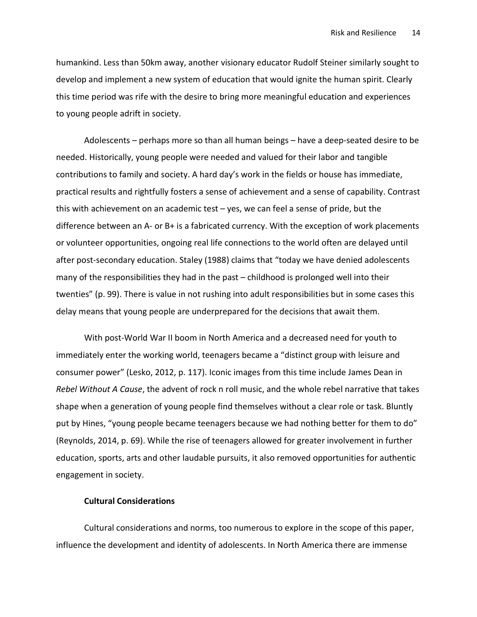humankind. Less than 50km away, another visionary educator Rudolf Steiner similarly sought to develop and implement a new system of education that would ignite the human spirit. Clearly this time period was rife with the desire to bring more meaningful education and experiences to young people adrift in society.

Adolescents – perhaps more so than all human beings – have a deep-seated desire to be needed. Historically, young people were needed and valued for their labor and tangible contributions to family and society. A hard day's work in the fields or house has immediate, practical results and rightfully fosters a sense of achievement and a sense of capability. Contrast this with achievement on an academic test – yes, we can feel a sense of pride, but the difference between an A- or B+ is a fabricated currency. With the exception of work placements or volunteer opportunities, ongoing real life connections to the world often are delayed until after post-secondary education. Staley (1988) claims that "today we have denied adolescents many of the responsibilities they had in the past – childhood is prolonged well into their twenties" (p. 99). There is value in not rushing into adult responsibilities but in some cases this delay means that young people are underprepared for the decisions that await them.

With post-World War II boom in North America and a decreased need for youth to immediately enter the working world, teenagers became a "distinct group with leisure and consumer power" (Lesko, 2012, p. 117). Iconic images from this time include James Dean in Rebel Without A Cause, the advent of rock n roll music, and the whole rebel narrative that takes shape when a generation of young people find themselves without a clear role or task. Bluntly put by Hines, "young people became teenagers because we had nothing better for them to do" (Reynolds, 2014, p. 69). While the rise of teenagers allowed for greater involvement in further education, sports, arts and other laudable pursuits, it also removed opportunities for authentic engagement in society.

# Cultural Considerations

Cultural considerations and norms, too numerous to explore in the scope of this paper, influence the development and identity of adolescents. In North America there are immense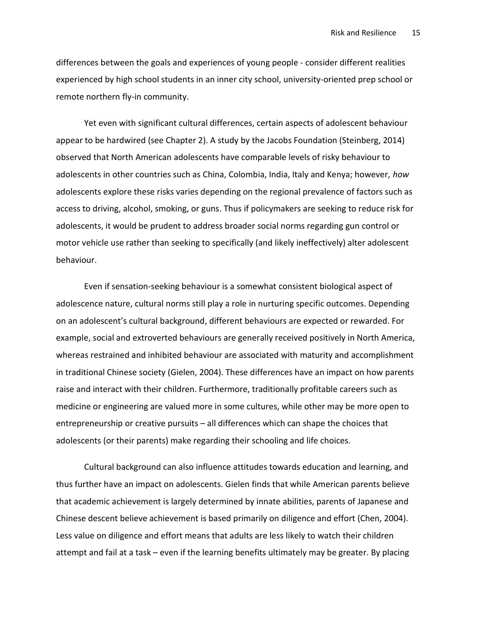differences between the goals and experiences of young people - consider different realities experienced by high school students in an inner city school, university-oriented prep school or remote northern fly-in community.

Yet even with significant cultural differences, certain aspects of adolescent behaviour appear to be hardwired (see Chapter 2). A study by the Jacobs Foundation (Steinberg, 2014) observed that North American adolescents have comparable levels of risky behaviour to adolescents in other countries such as China, Colombia, India, Italy and Kenya; however, how adolescents explore these risks varies depending on the regional prevalence of factors such as access to driving, alcohol, smoking, or guns. Thus if policymakers are seeking to reduce risk for adolescents, it would be prudent to address broader social norms regarding gun control or motor vehicle use rather than seeking to specifically (and likely ineffectively) alter adolescent behaviour.

Even if sensation-seeking behaviour is a somewhat consistent biological aspect of adolescence nature, cultural norms still play a role in nurturing specific outcomes. Depending on an adolescent's cultural background, different behaviours are expected or rewarded. For example, social and extroverted behaviours are generally received positively in North America, whereas restrained and inhibited behaviour are associated with maturity and accomplishment in traditional Chinese society (Gielen, 2004). These differences have an impact on how parents raise and interact with their children. Furthermore, traditionally profitable careers such as medicine or engineering are valued more in some cultures, while other may be more open to entrepreneurship or creative pursuits – all differences which can shape the choices that adolescents (or their parents) make regarding their schooling and life choices.

Cultural background can also influence attitudes towards education and learning, and thus further have an impact on adolescents. Gielen finds that while American parents believe that academic achievement is largely determined by innate abilities, parents of Japanese and Chinese descent believe achievement is based primarily on diligence and effort (Chen, 2004). Less value on diligence and effort means that adults are less likely to watch their children attempt and fail at a task – even if the learning benefits ultimately may be greater. By placing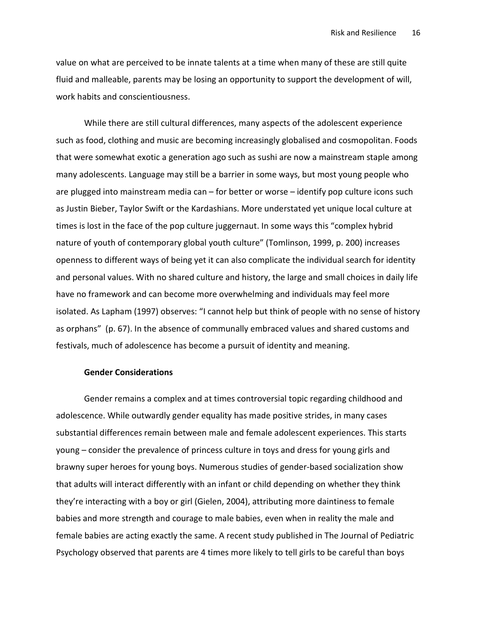value on what are perceived to be innate talents at a time when many of these are still quite fluid and malleable, parents may be losing an opportunity to support the development of will, work habits and conscientiousness.

While there are still cultural differences, many aspects of the adolescent experience such as food, clothing and music are becoming increasingly globalised and cosmopolitan. Foods that were somewhat exotic a generation ago such as sushi are now a mainstream staple among many adolescents. Language may still be a barrier in some ways, but most young people who are plugged into mainstream media can – for better or worse – identify pop culture icons such as Justin Bieber, Taylor Swift or the Kardashians. More understated yet unique local culture at times is lost in the face of the pop culture juggernaut. In some ways this "complex hybrid nature of youth of contemporary global youth culture" (Tomlinson, 1999, p. 200) increases openness to different ways of being yet it can also complicate the individual search for identity and personal values. With no shared culture and history, the large and small choices in daily life have no framework and can become more overwhelming and individuals may feel more isolated. As Lapham (1997) observes: "I cannot help but think of people with no sense of history as orphans" (p. 67). In the absence of communally embraced values and shared customs and festivals, much of adolescence has become a pursuit of identity and meaning.

# Gender Considerations

Gender remains a complex and at times controversial topic regarding childhood and adolescence. While outwardly gender equality has made positive strides, in many cases substantial differences remain between male and female adolescent experiences. This starts young – consider the prevalence of princess culture in toys and dress for young girls and brawny super heroes for young boys. Numerous studies of gender-based socialization show that adults will interact differently with an infant or child depending on whether they think they're interacting with a boy or girl (Gielen, 2004), attributing more daintiness to female babies and more strength and courage to male babies, even when in reality the male and female babies are acting exactly the same. A recent study published in The Journal of Pediatric Psychology observed that parents are 4 times more likely to tell girls to be careful than boys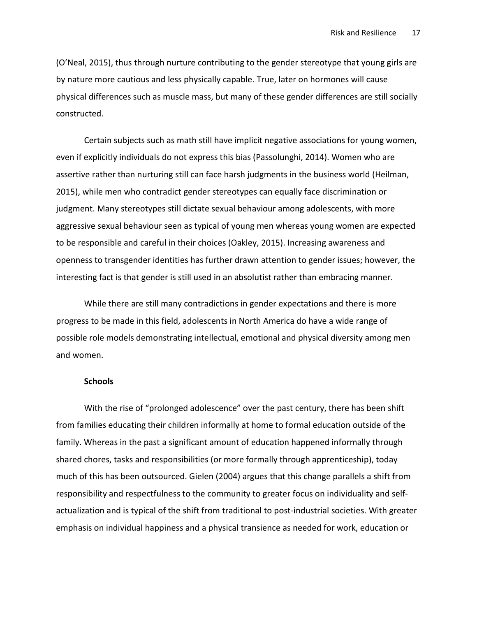(O'Neal, 2015), thus through nurture contributing to the gender stereotype that young girls are by nature more cautious and less physically capable. True, later on hormones will cause physical differences such as muscle mass, but many of these gender differences are still socially constructed.

Certain subjects such as math still have implicit negative associations for young women, even if explicitly individuals do not express this bias (Passolunghi, 2014). Women who are assertive rather than nurturing still can face harsh judgments in the business world (Heilman, 2015), while men who contradict gender stereotypes can equally face discrimination or judgment. Many stereotypes still dictate sexual behaviour among adolescents, with more aggressive sexual behaviour seen as typical of young men whereas young women are expected to be responsible and careful in their choices (Oakley, 2015). Increasing awareness and openness to transgender identities has further drawn attention to gender issues; however, the interesting fact is that gender is still used in an absolutist rather than embracing manner.

While there are still many contradictions in gender expectations and there is more progress to be made in this field, adolescents in North America do have a wide range of possible role models demonstrating intellectual, emotional and physical diversity among men and women.

## **Schools**

With the rise of "prolonged adolescence" over the past century, there has been shift from families educating their children informally at home to formal education outside of the family. Whereas in the past a significant amount of education happened informally through shared chores, tasks and responsibilities (or more formally through apprenticeship), today much of this has been outsourced. Gielen (2004) argues that this change parallels a shift from responsibility and respectfulness to the community to greater focus on individuality and selfactualization and is typical of the shift from traditional to post-industrial societies. With greater emphasis on individual happiness and a physical transience as needed for work, education or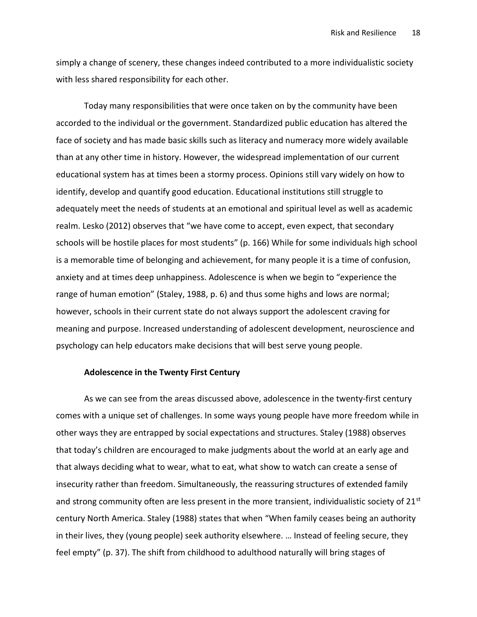simply a change of scenery, these changes indeed contributed to a more individualistic society with less shared responsibility for each other.

Today many responsibilities that were once taken on by the community have been accorded to the individual or the government. Standardized public education has altered the face of society and has made basic skills such as literacy and numeracy more widely available than at any other time in history. However, the widespread implementation of our current educational system has at times been a stormy process. Opinions still vary widely on how to identify, develop and quantify good education. Educational institutions still struggle to adequately meet the needs of students at an emotional and spiritual level as well as academic realm. Lesko (2012) observes that "we have come to accept, even expect, that secondary schools will be hostile places for most students" (p. 166) While for some individuals high school is a memorable time of belonging and achievement, for many people it is a time of confusion, anxiety and at times deep unhappiness. Adolescence is when we begin to "experience the range of human emotion" (Staley, 1988, p. 6) and thus some highs and lows are normal; however, schools in their current state do not always support the adolescent craving for meaning and purpose. Increased understanding of adolescent development, neuroscience and psychology can help educators make decisions that will best serve young people.

#### Adolescence in the Twenty First Century

As we can see from the areas discussed above, adolescence in the twenty-first century comes with a unique set of challenges. In some ways young people have more freedom while in other ways they are entrapped by social expectations and structures. Staley (1988) observes that today's children are encouraged to make judgments about the world at an early age and that always deciding what to wear, what to eat, what show to watch can create a sense of insecurity rather than freedom. Simultaneously, the reassuring structures of extended family and strong community often are less present in the more transient, individualistic society of 21<sup>st</sup> century North America. Staley (1988) states that when "When family ceases being an authority in their lives, they (young people) seek authority elsewhere. … Instead of feeling secure, they feel empty" (p. 37). The shift from childhood to adulthood naturally will bring stages of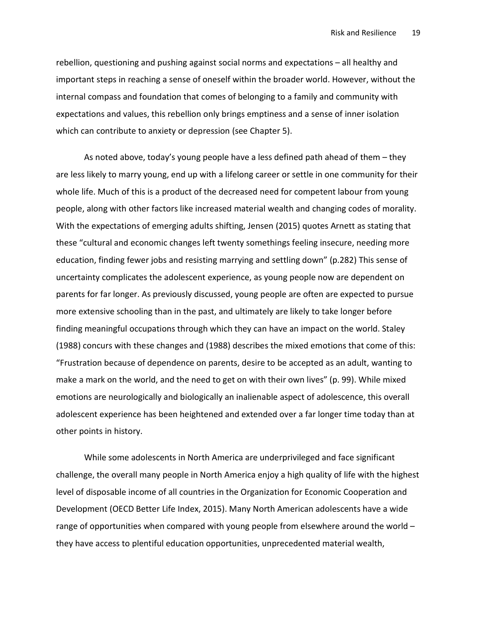rebellion, questioning and pushing against social norms and expectations – all healthy and important steps in reaching a sense of oneself within the broader world. However, without the internal compass and foundation that comes of belonging to a family and community with expectations and values, this rebellion only brings emptiness and a sense of inner isolation which can contribute to anxiety or depression (see Chapter 5).

As noted above, today's young people have a less defined path ahead of them – they are less likely to marry young, end up with a lifelong career or settle in one community for their whole life. Much of this is a product of the decreased need for competent labour from young people, along with other factors like increased material wealth and changing codes of morality. With the expectations of emerging adults shifting, Jensen (2015) quotes Arnett as stating that these "cultural and economic changes left twenty somethings feeling insecure, needing more education, finding fewer jobs and resisting marrying and settling down" (p.282) This sense of uncertainty complicates the adolescent experience, as young people now are dependent on parents for far longer. As previously discussed, young people are often are expected to pursue more extensive schooling than in the past, and ultimately are likely to take longer before finding meaningful occupations through which they can have an impact on the world. Staley (1988) concurs with these changes and (1988) describes the mixed emotions that come of this: "Frustration because of dependence on parents, desire to be accepted as an adult, wanting to make a mark on the world, and the need to get on with their own lives" (p. 99). While mixed emotions are neurologically and biologically an inalienable aspect of adolescence, this overall adolescent experience has been heightened and extended over a far longer time today than at other points in history.

While some adolescents in North America are underprivileged and face significant challenge, the overall many people in North America enjoy a high quality of life with the highest level of disposable income of all countries in the Organization for Economic Cooperation and Development (OECD Better Life Index, 2015). Many North American adolescents have a wide range of opportunities when compared with young people from elsewhere around the world – they have access to plentiful education opportunities, unprecedented material wealth,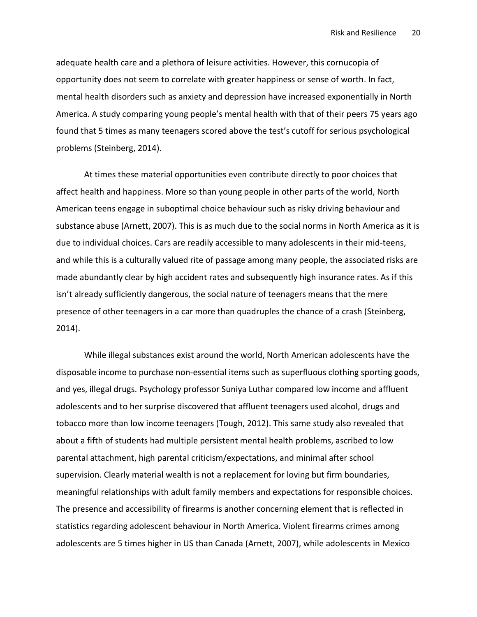adequate health care and a plethora of leisure activities. However, this cornucopia of opportunity does not seem to correlate with greater happiness or sense of worth. In fact, mental health disorders such as anxiety and depression have increased exponentially in North America. A study comparing young people's mental health with that of their peers 75 years ago found that 5 times as many teenagers scored above the test's cutoff for serious psychological problems (Steinberg, 2014).

At times these material opportunities even contribute directly to poor choices that affect health and happiness. More so than young people in other parts of the world, North American teens engage in suboptimal choice behaviour such as risky driving behaviour and substance abuse (Arnett, 2007). This is as much due to the social norms in North America as it is due to individual choices. Cars are readily accessible to many adolescents in their mid-teens, and while this is a culturally valued rite of passage among many people, the associated risks are made abundantly clear by high accident rates and subsequently high insurance rates. As if this isn't already sufficiently dangerous, the social nature of teenagers means that the mere presence of other teenagers in a car more than quadruples the chance of a crash (Steinberg, 2014).

While illegal substances exist around the world, North American adolescents have the disposable income to purchase non-essential items such as superfluous clothing sporting goods, and yes, illegal drugs. Psychology professor Suniya Luthar compared low income and affluent adolescents and to her surprise discovered that affluent teenagers used alcohol, drugs and tobacco more than low income teenagers (Tough, 2012). This same study also revealed that about a fifth of students had multiple persistent mental health problems, ascribed to low parental attachment, high parental criticism/expectations, and minimal after school supervision. Clearly material wealth is not a replacement for loving but firm boundaries, meaningful relationships with adult family members and expectations for responsible choices. The presence and accessibility of firearms is another concerning element that is reflected in statistics regarding adolescent behaviour in North America. Violent firearms crimes among adolescents are 5 times higher in US than Canada (Arnett, 2007), while adolescents in Mexico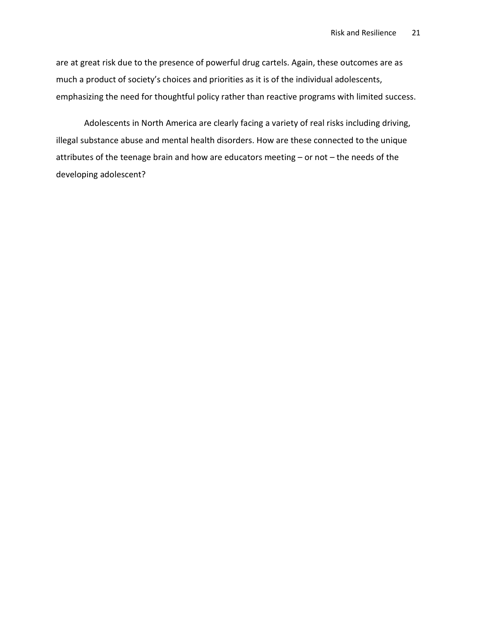are at great risk due to the presence of powerful drug cartels. Again, these outcomes are as much a product of society's choices and priorities as it is of the individual adolescents, emphasizing the need for thoughtful policy rather than reactive programs with limited success.

Adolescents in North America are clearly facing a variety of real risks including driving, illegal substance abuse and mental health disorders. How are these connected to the unique attributes of the teenage brain and how are educators meeting – or not – the needs of the developing adolescent?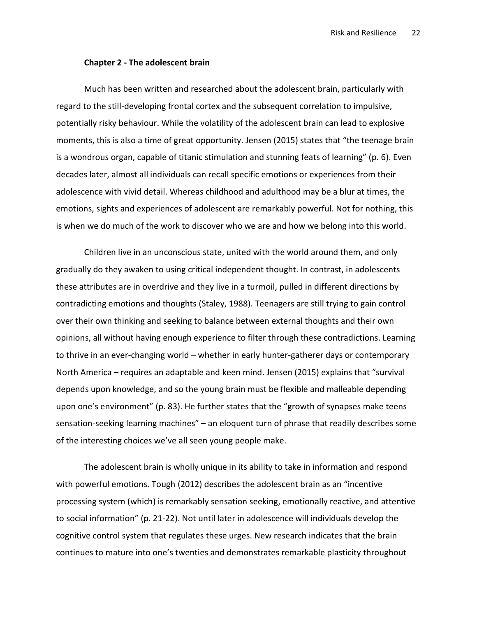#### Chapter 2 - The adolescent brain

Much has been written and researched about the adolescent brain, particularly with regard to the still-developing frontal cortex and the subsequent correlation to impulsive, potentially risky behaviour. While the volatility of the adolescent brain can lead to explosive moments, this is also a time of great opportunity. Jensen (2015) states that "the teenage brain is a wondrous organ, capable of titanic stimulation and stunning feats of learning" (p. 6). Even decades later, almost all individuals can recall specific emotions or experiences from their adolescence with vivid detail. Whereas childhood and adulthood may be a blur at times, the emotions, sights and experiences of adolescent are remarkably powerful. Not for nothing, this is when we do much of the work to discover who we are and how we belong into this world.

Children live in an unconscious state, united with the world around them, and only gradually do they awaken to using critical independent thought. In contrast, in adolescents these attributes are in overdrive and they live in a turmoil, pulled in different directions by contradicting emotions and thoughts (Staley, 1988). Teenagers are still trying to gain control over their own thinking and seeking to balance between external thoughts and their own opinions, all without having enough experience to filter through these contradictions. Learning to thrive in an ever-changing world – whether in early hunter-gatherer days or contemporary North America – requires an adaptable and keen mind. Jensen (2015) explains that "survival depends upon knowledge, and so the young brain must be flexible and malleable depending upon one's environment" (p. 83). He further states that the "growth of synapses make teens sensation-seeking learning machines" – an eloquent turn of phrase that readily describes some of the interesting choices we've all seen young people make.

The adolescent brain is wholly unique in its ability to take in information and respond with powerful emotions. Tough (2012) describes the adolescent brain as an "incentive processing system (which) is remarkably sensation seeking, emotionally reactive, and attentive to social information" (p. 21-22). Not until later in adolescence will individuals develop the cognitive control system that regulates these urges. New research indicates that the brain continues to mature into one's twenties and demonstrates remarkable plasticity throughout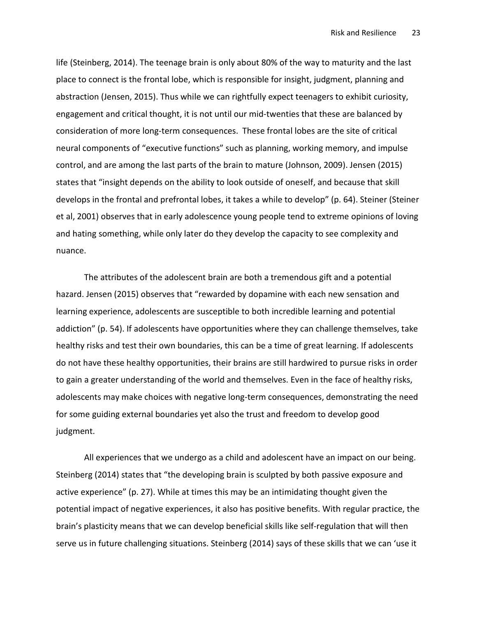life (Steinberg, 2014). The teenage brain is only about 80% of the way to maturity and the last place to connect is the frontal lobe, which is responsible for insight, judgment, planning and abstraction (Jensen, 2015). Thus while we can rightfully expect teenagers to exhibit curiosity, engagement and critical thought, it is not until our mid-twenties that these are balanced by consideration of more long-term consequences. These frontal lobes are the site of critical neural components of "executive functions" such as planning, working memory, and impulse control, and are among the last parts of the brain to mature (Johnson, 2009). Jensen (2015) states that "insight depends on the ability to look outside of oneself, and because that skill develops in the frontal and prefrontal lobes, it takes a while to develop" (p. 64). Steiner (Steiner et al, 2001) observes that in early adolescence young people tend to extreme opinions of loving and hating something, while only later do they develop the capacity to see complexity and nuance.

The attributes of the adolescent brain are both a tremendous gift and a potential hazard. Jensen (2015) observes that "rewarded by dopamine with each new sensation and learning experience, adolescents are susceptible to both incredible learning and potential addiction" (p. 54). If adolescents have opportunities where they can challenge themselves, take healthy risks and test their own boundaries, this can be a time of great learning. If adolescents do not have these healthy opportunities, their brains are still hardwired to pursue risks in order to gain a greater understanding of the world and themselves. Even in the face of healthy risks, adolescents may make choices with negative long-term consequences, demonstrating the need for some guiding external boundaries yet also the trust and freedom to develop good judgment.

All experiences that we undergo as a child and adolescent have an impact on our being. Steinberg (2014) states that "the developing brain is sculpted by both passive exposure and active experience" (p. 27). While at times this may be an intimidating thought given the potential impact of negative experiences, it also has positive benefits. With regular practice, the brain's plasticity means that we can develop beneficial skills like self-regulation that will then serve us in future challenging situations. Steinberg (2014) says of these skills that we can 'use it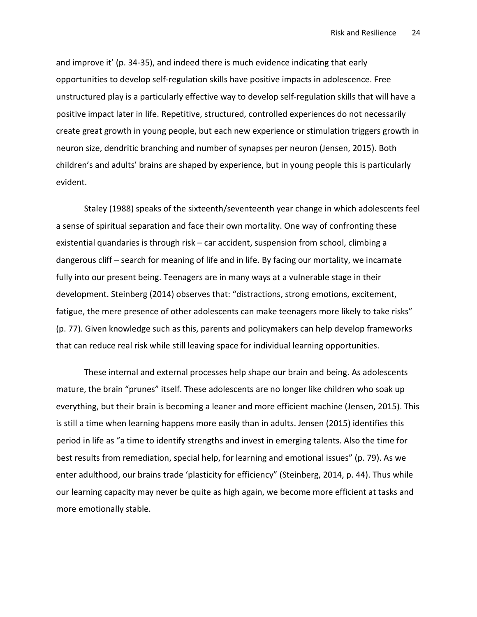and improve it' (p. 34-35), and indeed there is much evidence indicating that early opportunities to develop self-regulation skills have positive impacts in adolescence. Free unstructured play is a particularly effective way to develop self-regulation skills that will have a positive impact later in life. Repetitive, structured, controlled experiences do not necessarily create great growth in young people, but each new experience or stimulation triggers growth in neuron size, dendritic branching and number of synapses per neuron (Jensen, 2015). Both children's and adults' brains are shaped by experience, but in young people this is particularly evident.

Staley (1988) speaks of the sixteenth/seventeenth year change in which adolescents feel a sense of spiritual separation and face their own mortality. One way of confronting these existential quandaries is through risk – car accident, suspension from school, climbing a dangerous cliff – search for meaning of life and in life. By facing our mortality, we incarnate fully into our present being. Teenagers are in many ways at a vulnerable stage in their development. Steinberg (2014) observes that: "distractions, strong emotions, excitement, fatigue, the mere presence of other adolescents can make teenagers more likely to take risks" (p. 77). Given knowledge such as this, parents and policymakers can help develop frameworks that can reduce real risk while still leaving space for individual learning opportunities.

These internal and external processes help shape our brain and being. As adolescents mature, the brain "prunes" itself. These adolescents are no longer like children who soak up everything, but their brain is becoming a leaner and more efficient machine (Jensen, 2015). This is still a time when learning happens more easily than in adults. Jensen (2015) identifies this period in life as "a time to identify strengths and invest in emerging talents. Also the time for best results from remediation, special help, for learning and emotional issues" (p. 79). As we enter adulthood, our brains trade 'plasticity for efficiency" (Steinberg, 2014, p. 44). Thus while our learning capacity may never be quite as high again, we become more efficient at tasks and more emotionally stable.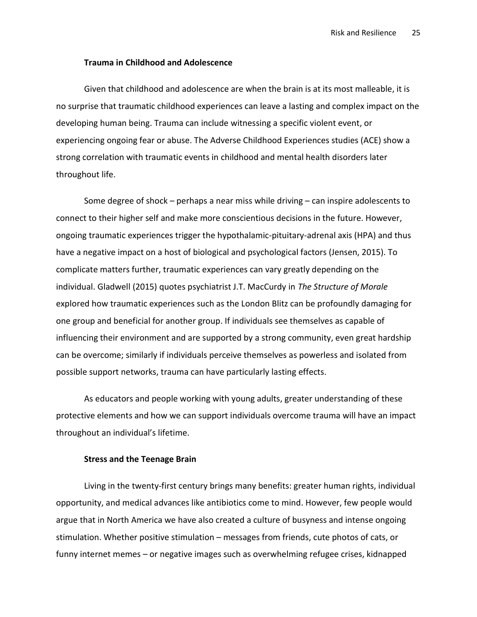# Trauma in Childhood and Adolescence

Given that childhood and adolescence are when the brain is at its most malleable, it is no surprise that traumatic childhood experiences can leave a lasting and complex impact on the developing human being. Trauma can include witnessing a specific violent event, or experiencing ongoing fear or abuse. The Adverse Childhood Experiences studies (ACE) show a strong correlation with traumatic events in childhood and mental health disorders later throughout life.

Some degree of shock – perhaps a near miss while driving – can inspire adolescents to connect to their higher self and make more conscientious decisions in the future. However, ongoing traumatic experiences trigger the hypothalamic-pituitary-adrenal axis (HPA) and thus have a negative impact on a host of biological and psychological factors (Jensen, 2015). To complicate matters further, traumatic experiences can vary greatly depending on the individual. Gladwell (2015) quotes psychiatrist J.T. MacCurdy in The Structure of Morale explored how traumatic experiences such as the London Blitz can be profoundly damaging for one group and beneficial for another group. If individuals see themselves as capable of influencing their environment and are supported by a strong community, even great hardship can be overcome; similarly if individuals perceive themselves as powerless and isolated from possible support networks, trauma can have particularly lasting effects.

As educators and people working with young adults, greater understanding of these protective elements and how we can support individuals overcome trauma will have an impact throughout an individual's lifetime.

## Stress and the Teenage Brain

Living in the twenty-first century brings many benefits: greater human rights, individual opportunity, and medical advances like antibiotics come to mind. However, few people would argue that in North America we have also created a culture of busyness and intense ongoing stimulation. Whether positive stimulation – messages from friends, cute photos of cats, or funny internet memes – or negative images such as overwhelming refugee crises, kidnapped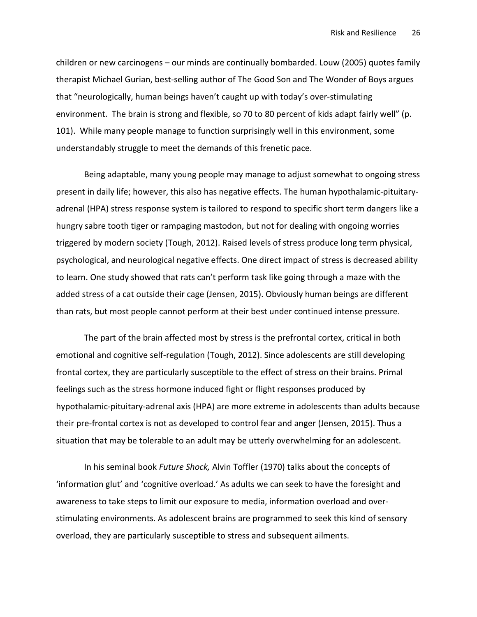children or new carcinogens – our minds are continually bombarded. Louw (2005) quotes family therapist Michael Gurian, best-selling author of The Good Son and The Wonder of Boys argues that "neurologically, human beings haven't caught up with today's over-stimulating environment. The brain is strong and flexible, so 70 to 80 percent of kids adapt fairly well" (p. 101). While many people manage to function surprisingly well in this environment, some understandably struggle to meet the demands of this frenetic pace.

Being adaptable, many young people may manage to adjust somewhat to ongoing stress present in daily life; however, this also has negative effects. The human hypothalamic-pituitaryadrenal (HPA) stress response system is tailored to respond to specific short term dangers like a hungry sabre tooth tiger or rampaging mastodon, but not for dealing with ongoing worries triggered by modern society (Tough, 2012). Raised levels of stress produce long term physical, psychological, and neurological negative effects. One direct impact of stress is decreased ability to learn. One study showed that rats can't perform task like going through a maze with the added stress of a cat outside their cage (Jensen, 2015). Obviously human beings are different than rats, but most people cannot perform at their best under continued intense pressure.

The part of the brain affected most by stress is the prefrontal cortex, critical in both emotional and cognitive self-regulation (Tough, 2012). Since adolescents are still developing frontal cortex, they are particularly susceptible to the effect of stress on their brains. Primal feelings such as the stress hormone induced fight or flight responses produced by hypothalamic-pituitary-adrenal axis (HPA) are more extreme in adolescents than adults because their pre-frontal cortex is not as developed to control fear and anger (Jensen, 2015). Thus a situation that may be tolerable to an adult may be utterly overwhelming for an adolescent.

In his seminal book Future Shock, Alvin Toffler (1970) talks about the concepts of 'information glut' and 'cognitive overload.' As adults we can seek to have the foresight and awareness to take steps to limit our exposure to media, information overload and overstimulating environments. As adolescent brains are programmed to seek this kind of sensory overload, they are particularly susceptible to stress and subsequent ailments.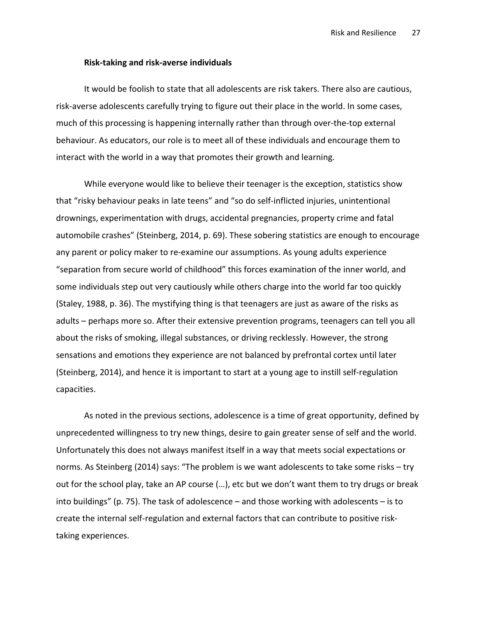#### Risk-taking and risk-averse individuals

It would be foolish to state that all adolescents are risk takers. There also are cautious, risk-averse adolescents carefully trying to figure out their place in the world. In some cases, much of this processing is happening internally rather than through over-the-top external behaviour. As educators, our role is to meet all of these individuals and encourage them to interact with the world in a way that promotes their growth and learning.

While everyone would like to believe their teenager is the exception, statistics show that "risky behaviour peaks in late teens" and "so do self-inflicted injuries, unintentional drownings, experimentation with drugs, accidental pregnancies, property crime and fatal automobile crashes" (Steinberg, 2014, p. 69). These sobering statistics are enough to encourage any parent or policy maker to re-examine our assumptions. As young adults experience "separation from secure world of childhood" this forces examination of the inner world, and some individuals step out very cautiously while others charge into the world far too quickly (Staley, 1988, p. 36). The mystifying thing is that teenagers are just as aware of the risks as adults – perhaps more so. After their extensive prevention programs, teenagers can tell you all about the risks of smoking, illegal substances, or driving recklessly. However, the strong sensations and emotions they experience are not balanced by prefrontal cortex until later (Steinberg, 2014), and hence it is important to start at a young age to instill self-regulation capacities.

As noted in the previous sections, adolescence is a time of great opportunity, defined by unprecedented willingness to try new things, desire to gain greater sense of self and the world. Unfortunately this does not always manifest itself in a way that meets social expectations or norms. As Steinberg (2014) says: "The problem is we want adolescents to take some risks – try out for the school play, take an AP course (…), etc but we don't want them to try drugs or break into buildings" (p. 75). The task of adolescence – and those working with adolescents – is to create the internal self-regulation and external factors that can contribute to positive risktaking experiences.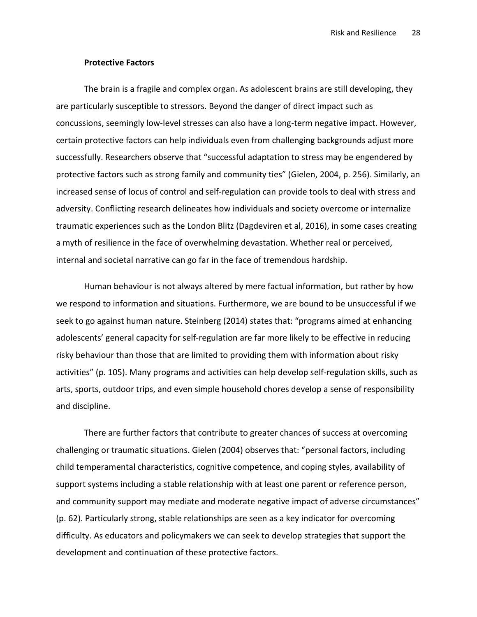## Protective Factors

The brain is a fragile and complex organ. As adolescent brains are still developing, they are particularly susceptible to stressors. Beyond the danger of direct impact such as concussions, seemingly low-level stresses can also have a long-term negative impact. However, certain protective factors can help individuals even from challenging backgrounds adjust more successfully. Researchers observe that "successful adaptation to stress may be engendered by protective factors such as strong family and community ties" (Gielen, 2004, p. 256). Similarly, an increased sense of locus of control and self-regulation can provide tools to deal with stress and adversity. Conflicting research delineates how individuals and society overcome or internalize traumatic experiences such as the London Blitz (Dagdeviren et al, 2016), in some cases creating a myth of resilience in the face of overwhelming devastation. Whether real or perceived, internal and societal narrative can go far in the face of tremendous hardship.

Human behaviour is not always altered by mere factual information, but rather by how we respond to information and situations. Furthermore, we are bound to be unsuccessful if we seek to go against human nature. Steinberg (2014) states that: "programs aimed at enhancing adolescents' general capacity for self-regulation are far more likely to be effective in reducing risky behaviour than those that are limited to providing them with information about risky activities" (p. 105). Many programs and activities can help develop self-regulation skills, such as arts, sports, outdoor trips, and even simple household chores develop a sense of responsibility and discipline.

There are further factors that contribute to greater chances of success at overcoming challenging or traumatic situations. Gielen (2004) observes that: "personal factors, including child temperamental characteristics, cognitive competence, and coping styles, availability of support systems including a stable relationship with at least one parent or reference person, and community support may mediate and moderate negative impact of adverse circumstances" (p. 62). Particularly strong, stable relationships are seen as a key indicator for overcoming difficulty. As educators and policymakers we can seek to develop strategies that support the development and continuation of these protective factors.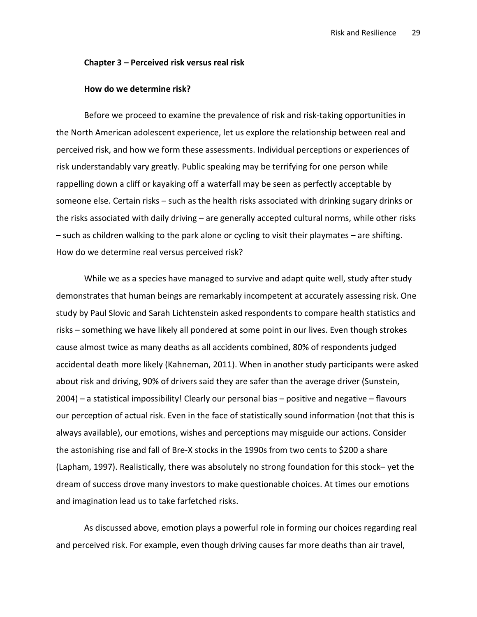#### Chapter 3 – Perceived risk versus real risk

#### How do we determine risk?

Before we proceed to examine the prevalence of risk and risk-taking opportunities in the North American adolescent experience, let us explore the relationship between real and perceived risk, and how we form these assessments. Individual perceptions or experiences of risk understandably vary greatly. Public speaking may be terrifying for one person while rappelling down a cliff or kayaking off a waterfall may be seen as perfectly acceptable by someone else. Certain risks – such as the health risks associated with drinking sugary drinks or the risks associated with daily driving – are generally accepted cultural norms, while other risks – such as children walking to the park alone or cycling to visit their playmates – are shifting. How do we determine real versus perceived risk?

While we as a species have managed to survive and adapt quite well, study after study demonstrates that human beings are remarkably incompetent at accurately assessing risk. One study by Paul Slovic and Sarah Lichtenstein asked respondents to compare health statistics and risks – something we have likely all pondered at some point in our lives. Even though strokes cause almost twice as many deaths as all accidents combined, 80% of respondents judged accidental death more likely (Kahneman, 2011). When in another study participants were asked about risk and driving, 90% of drivers said they are safer than the average driver (Sunstein, 2004) – a statistical impossibility! Clearly our personal bias – positive and negative – flavours our perception of actual risk. Even in the face of statistically sound information (not that this is always available), our emotions, wishes and perceptions may misguide our actions. Consider the astonishing rise and fall of Bre-X stocks in the 1990s from two cents to \$200 a share (Lapham, 1997). Realistically, there was absolutely no strong foundation for this stock– yet the dream of success drove many investors to make questionable choices. At times our emotions and imagination lead us to take farfetched risks.

As discussed above, emotion plays a powerful role in forming our choices regarding real and perceived risk. For example, even though driving causes far more deaths than air travel,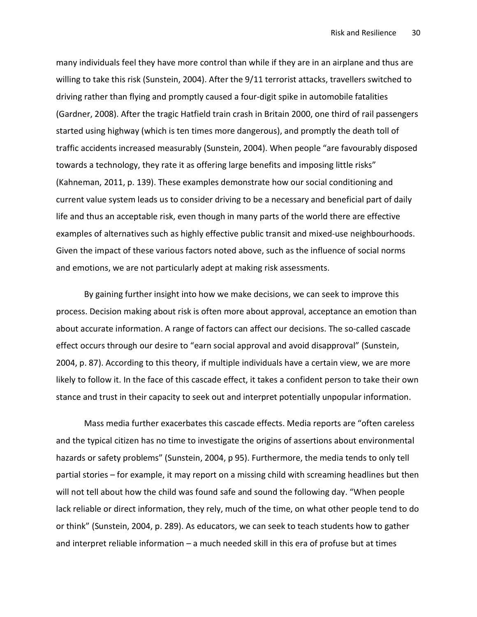many individuals feel they have more control than while if they are in an airplane and thus are willing to take this risk (Sunstein, 2004). After the 9/11 terrorist attacks, travellers switched to driving rather than flying and promptly caused a four-digit spike in automobile fatalities (Gardner, 2008). After the tragic Hatfield train crash in Britain 2000, one third of rail passengers started using highway (which is ten times more dangerous), and promptly the death toll of traffic accidents increased measurably (Sunstein, 2004). When people "are favourably disposed towards a technology, they rate it as offering large benefits and imposing little risks" (Kahneman, 2011, p. 139). These examples demonstrate how our social conditioning and current value system leads us to consider driving to be a necessary and beneficial part of daily life and thus an acceptable risk, even though in many parts of the world there are effective examples of alternatives such as highly effective public transit and mixed-use neighbourhoods. Given the impact of these various factors noted above, such as the influence of social norms and emotions, we are not particularly adept at making risk assessments.

By gaining further insight into how we make decisions, we can seek to improve this process. Decision making about risk is often more about approval, acceptance an emotion than about accurate information. A range of factors can affect our decisions. The so-called cascade effect occurs through our desire to "earn social approval and avoid disapproval" (Sunstein, 2004, p. 87). According to this theory, if multiple individuals have a certain view, we are more likely to follow it. In the face of this cascade effect, it takes a confident person to take their own stance and trust in their capacity to seek out and interpret potentially unpopular information.

Mass media further exacerbates this cascade effects. Media reports are "often careless and the typical citizen has no time to investigate the origins of assertions about environmental hazards or safety problems" (Sunstein, 2004, p 95). Furthermore, the media tends to only tell partial stories – for example, it may report on a missing child with screaming headlines but then will not tell about how the child was found safe and sound the following day. "When people lack reliable or direct information, they rely, much of the time, on what other people tend to do or think" (Sunstein, 2004, p. 289). As educators, we can seek to teach students how to gather and interpret reliable information – a much needed skill in this era of profuse but at times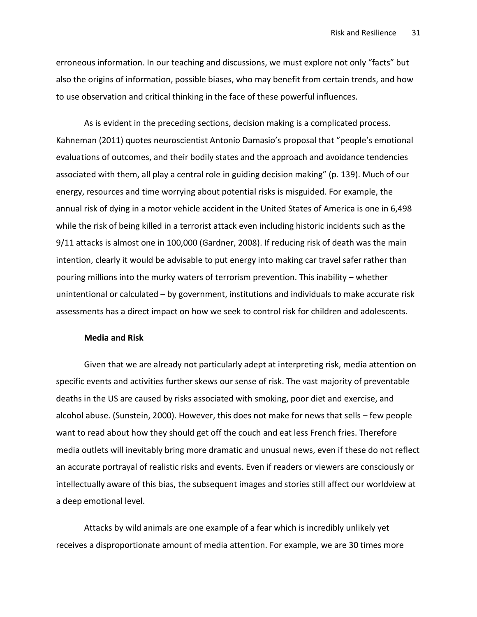erroneous information. In our teaching and discussions, we must explore not only "facts" but also the origins of information, possible biases, who may benefit from certain trends, and how to use observation and critical thinking in the face of these powerful influences.

As is evident in the preceding sections, decision making is a complicated process. Kahneman (2011) quotes neuroscientist Antonio Damasio's proposal that "people's emotional evaluations of outcomes, and their bodily states and the approach and avoidance tendencies associated with them, all play a central role in guiding decision making" (p. 139). Much of our energy, resources and time worrying about potential risks is misguided. For example, the annual risk of dying in a motor vehicle accident in the United States of America is one in 6,498 while the risk of being killed in a terrorist attack even including historic incidents such as the 9/11 attacks is almost one in 100,000 (Gardner, 2008). If reducing risk of death was the main intention, clearly it would be advisable to put energy into making car travel safer rather than pouring millions into the murky waters of terrorism prevention. This inability – whether unintentional or calculated – by government, institutions and individuals to make accurate risk assessments has a direct impact on how we seek to control risk for children and adolescents.

# Media and Risk

Given that we are already not particularly adept at interpreting risk, media attention on specific events and activities further skews our sense of risk. The vast majority of preventable deaths in the US are caused by risks associated with smoking, poor diet and exercise, and alcohol abuse. (Sunstein, 2000). However, this does not make for news that sells – few people want to read about how they should get off the couch and eat less French fries. Therefore media outlets will inevitably bring more dramatic and unusual news, even if these do not reflect an accurate portrayal of realistic risks and events. Even if readers or viewers are consciously or intellectually aware of this bias, the subsequent images and stories still affect our worldview at a deep emotional level.

Attacks by wild animals are one example of a fear which is incredibly unlikely yet receives a disproportionate amount of media attention. For example, we are 30 times more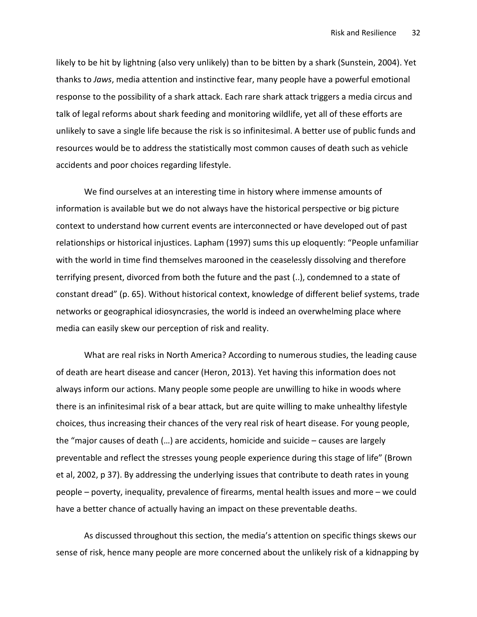likely to be hit by lightning (also very unlikely) than to be bitten by a shark (Sunstein, 2004). Yet thanks to Jaws, media attention and instinctive fear, many people have a powerful emotional response to the possibility of a shark attack. Each rare shark attack triggers a media circus and talk of legal reforms about shark feeding and monitoring wildlife, yet all of these efforts are unlikely to save a single life because the risk is so infinitesimal. A better use of public funds and resources would be to address the statistically most common causes of death such as vehicle accidents and poor choices regarding lifestyle.

We find ourselves at an interesting time in history where immense amounts of information is available but we do not always have the historical perspective or big picture context to understand how current events are interconnected or have developed out of past relationships or historical injustices. Lapham (1997) sums this up eloquently: "People unfamiliar with the world in time find themselves marooned in the ceaselessly dissolving and therefore terrifying present, divorced from both the future and the past (..), condemned to a state of constant dread" (p. 65). Without historical context, knowledge of different belief systems, trade networks or geographical idiosyncrasies, the world is indeed an overwhelming place where media can easily skew our perception of risk and reality.

What are real risks in North America? According to numerous studies, the leading cause of death are heart disease and cancer (Heron, 2013). Yet having this information does not always inform our actions. Many people some people are unwilling to hike in woods where there is an infinitesimal risk of a bear attack, but are quite willing to make unhealthy lifestyle choices, thus increasing their chances of the very real risk of heart disease. For young people, the "major causes of death (…) are accidents, homicide and suicide – causes are largely preventable and reflect the stresses young people experience during this stage of life" (Brown et al, 2002, p 37). By addressing the underlying issues that contribute to death rates in young people – poverty, inequality, prevalence of firearms, mental health issues and more – we could have a better chance of actually having an impact on these preventable deaths.

As discussed throughout this section, the media's attention on specific things skews our sense of risk, hence many people are more concerned about the unlikely risk of a kidnapping by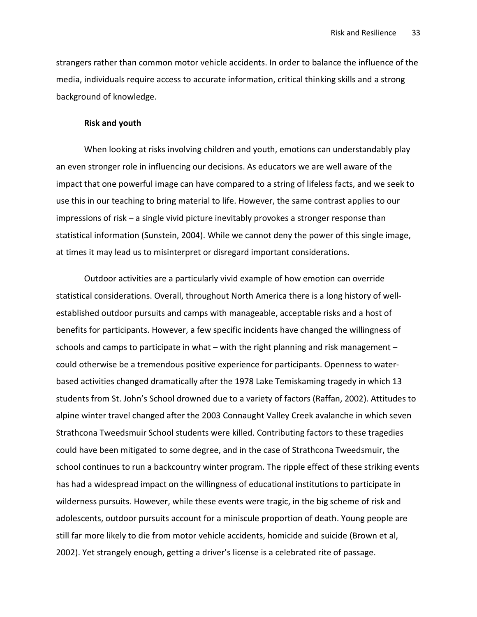strangers rather than common motor vehicle accidents. In order to balance the influence of the media, individuals require access to accurate information, critical thinking skills and a strong background of knowledge.

#### Risk and youth

When looking at risks involving children and youth, emotions can understandably play an even stronger role in influencing our decisions. As educators we are well aware of the impact that one powerful image can have compared to a string of lifeless facts, and we seek to use this in our teaching to bring material to life. However, the same contrast applies to our impressions of risk – a single vivid picture inevitably provokes a stronger response than statistical information (Sunstein, 2004). While we cannot deny the power of this single image, at times it may lead us to misinterpret or disregard important considerations.

Outdoor activities are a particularly vivid example of how emotion can override statistical considerations. Overall, throughout North America there is a long history of wellestablished outdoor pursuits and camps with manageable, acceptable risks and a host of benefits for participants. However, a few specific incidents have changed the willingness of schools and camps to participate in what – with the right planning and risk management – could otherwise be a tremendous positive experience for participants. Openness to waterbased activities changed dramatically after the 1978 Lake Temiskaming tragedy in which 13 students from St. John's School drowned due to a variety of factors (Raffan, 2002). Attitudes to alpine winter travel changed after the 2003 Connaught Valley Creek avalanche in which seven Strathcona Tweedsmuir School students were killed. Contributing factors to these tragedies could have been mitigated to some degree, and in the case of Strathcona Tweedsmuir, the school continues to run a backcountry winter program. The ripple effect of these striking events has had a widespread impact on the willingness of educational institutions to participate in wilderness pursuits. However, while these events were tragic, in the big scheme of risk and adolescents, outdoor pursuits account for a miniscule proportion of death. Young people are still far more likely to die from motor vehicle accidents, homicide and suicide (Brown et al, 2002). Yet strangely enough, getting a driver's license is a celebrated rite of passage.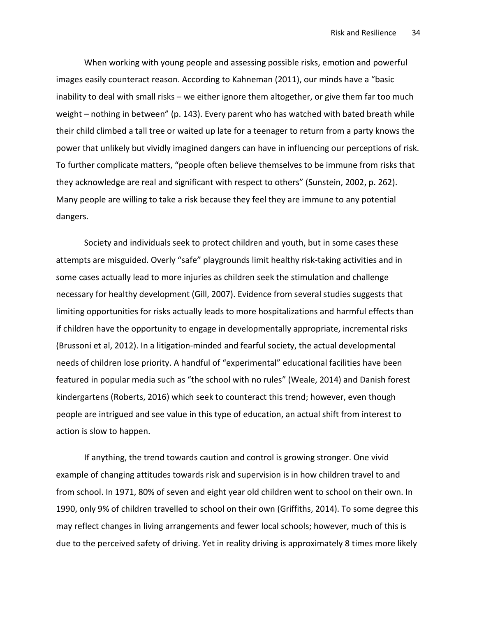When working with young people and assessing possible risks, emotion and powerful images easily counteract reason. According to Kahneman (2011), our minds have a "basic inability to deal with small risks – we either ignore them altogether, or give them far too much weight – nothing in between" (p. 143). Every parent who has watched with bated breath while their child climbed a tall tree or waited up late for a teenager to return from a party knows the power that unlikely but vividly imagined dangers can have in influencing our perceptions of risk. To further complicate matters, "people often believe themselves to be immune from risks that they acknowledge are real and significant with respect to others" (Sunstein, 2002, p. 262). Many people are willing to take a risk because they feel they are immune to any potential dangers.

Society and individuals seek to protect children and youth, but in some cases these attempts are misguided. Overly "safe" playgrounds limit healthy risk-taking activities and in some cases actually lead to more injuries as children seek the stimulation and challenge necessary for healthy development (Gill, 2007). Evidence from several studies suggests that limiting opportunities for risks actually leads to more hospitalizations and harmful effects than if children have the opportunity to engage in developmentally appropriate, incremental risks (Brussoni et al, 2012). In a litigation-minded and fearful society, the actual developmental needs of children lose priority. A handful of "experimental" educational facilities have been featured in popular media such as "the school with no rules" (Weale, 2014) and Danish forest kindergartens (Roberts, 2016) which seek to counteract this trend; however, even though people are intrigued and see value in this type of education, an actual shift from interest to action is slow to happen.

If anything, the trend towards caution and control is growing stronger. One vivid example of changing attitudes towards risk and supervision is in how children travel to and from school. In 1971, 80% of seven and eight year old children went to school on their own. In 1990, only 9% of children travelled to school on their own (Griffiths, 2014). To some degree this may reflect changes in living arrangements and fewer local schools; however, much of this is due to the perceived safety of driving. Yet in reality driving is approximately 8 times more likely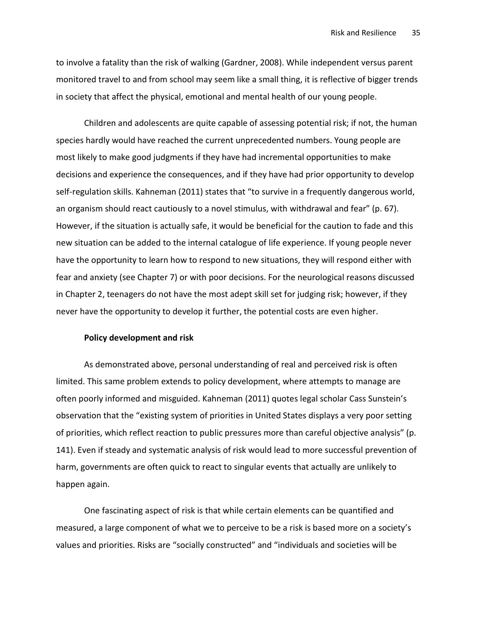to involve a fatality than the risk of walking (Gardner, 2008). While independent versus parent monitored travel to and from school may seem like a small thing, it is reflective of bigger trends in society that affect the physical, emotional and mental health of our young people.

Children and adolescents are quite capable of assessing potential risk; if not, the human species hardly would have reached the current unprecedented numbers. Young people are most likely to make good judgments if they have had incremental opportunities to make decisions and experience the consequences, and if they have had prior opportunity to develop self-regulation skills. Kahneman (2011) states that "to survive in a frequently dangerous world, an organism should react cautiously to a novel stimulus, with withdrawal and fear" (p. 67). However, if the situation is actually safe, it would be beneficial for the caution to fade and this new situation can be added to the internal catalogue of life experience. If young people never have the opportunity to learn how to respond to new situations, they will respond either with fear and anxiety (see Chapter 7) or with poor decisions. For the neurological reasons discussed in Chapter 2, teenagers do not have the most adept skill set for judging risk; however, if they never have the opportunity to develop it further, the potential costs are even higher.

# Policy development and risk

As demonstrated above, personal understanding of real and perceived risk is often limited. This same problem extends to policy development, where attempts to manage are often poorly informed and misguided. Kahneman (2011) quotes legal scholar Cass Sunstein's observation that the "existing system of priorities in United States displays a very poor setting of priorities, which reflect reaction to public pressures more than careful objective analysis" (p. 141). Even if steady and systematic analysis of risk would lead to more successful prevention of harm, governments are often quick to react to singular events that actually are unlikely to happen again.

One fascinating aspect of risk is that while certain elements can be quantified and measured, a large component of what we to perceive to be a risk is based more on a society's values and priorities. Risks are "socially constructed" and "individuals and societies will be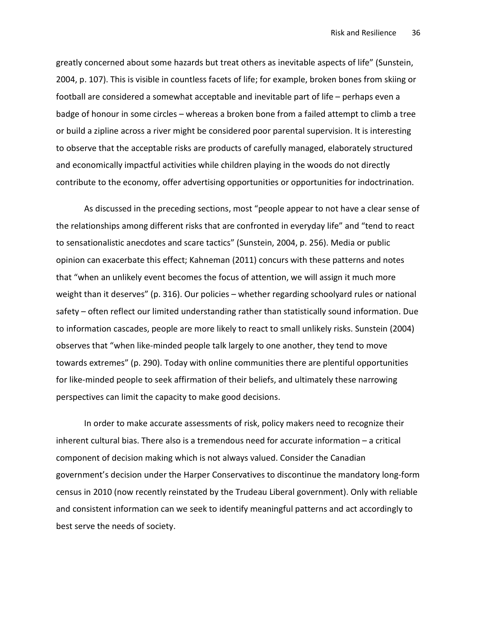greatly concerned about some hazards but treat others as inevitable aspects of life" (Sunstein, 2004, p. 107). This is visible in countless facets of life; for example, broken bones from skiing or football are considered a somewhat acceptable and inevitable part of life – perhaps even a badge of honour in some circles – whereas a broken bone from a failed attempt to climb a tree or build a zipline across a river might be considered poor parental supervision. It is interesting to observe that the acceptable risks are products of carefully managed, elaborately structured and economically impactful activities while children playing in the woods do not directly contribute to the economy, offer advertising opportunities or opportunities for indoctrination.

As discussed in the preceding sections, most "people appear to not have a clear sense of the relationships among different risks that are confronted in everyday life" and "tend to react to sensationalistic anecdotes and scare tactics" (Sunstein, 2004, p. 256). Media or public opinion can exacerbate this effect; Kahneman (2011) concurs with these patterns and notes that "when an unlikely event becomes the focus of attention, we will assign it much more weight than it deserves" (p. 316). Our policies – whether regarding schoolyard rules or national safety – often reflect our limited understanding rather than statistically sound information. Due to information cascades, people are more likely to react to small unlikely risks. Sunstein (2004) observes that "when like-minded people talk largely to one another, they tend to move towards extremes" (p. 290). Today with online communities there are plentiful opportunities for like-minded people to seek affirmation of their beliefs, and ultimately these narrowing perspectives can limit the capacity to make good decisions.

In order to make accurate assessments of risk, policy makers need to recognize their inherent cultural bias. There also is a tremendous need for accurate information – a critical component of decision making which is not always valued. Consider the Canadian government's decision under the Harper Conservatives to discontinue the mandatory long-form census in 2010 (now recently reinstated by the Trudeau Liberal government). Only with reliable and consistent information can we seek to identify meaningful patterns and act accordingly to best serve the needs of society.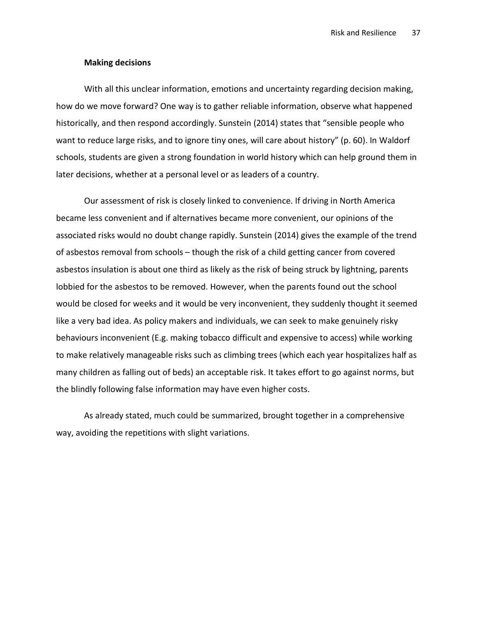#### Making decisions

With all this unclear information, emotions and uncertainty regarding decision making, how do we move forward? One way is to gather reliable information, observe what happened historically, and then respond accordingly. Sunstein (2014) states that "sensible people who want to reduce large risks, and to ignore tiny ones, will care about history" (p. 60). In Waldorf schools, students are given a strong foundation in world history which can help ground them in later decisions, whether at a personal level or as leaders of a country.

Our assessment of risk is closely linked to convenience. If driving in North America became less convenient and if alternatives became more convenient, our opinions of the associated risks would no doubt change rapidly. Sunstein (2014) gives the example of the trend of asbestos removal from schools – though the risk of a child getting cancer from covered asbestos insulation is about one third as likely as the risk of being struck by lightning, parents lobbied for the asbestos to be removed. However, when the parents found out the school would be closed for weeks and it would be very inconvenient, they suddenly thought it seemed like a very bad idea. As policy makers and individuals, we can seek to make genuinely risky behaviours inconvenient (E.g. making tobacco difficult and expensive to access) while working to make relatively manageable risks such as climbing trees (which each year hospitalizes half as many children as falling out of beds) an acceptable risk. It takes effort to go against norms, but the blindly following false information may have even higher costs.

As already stated, much could be summarized, brought together in a comprehensive way, avoiding the repetitions with slight variations.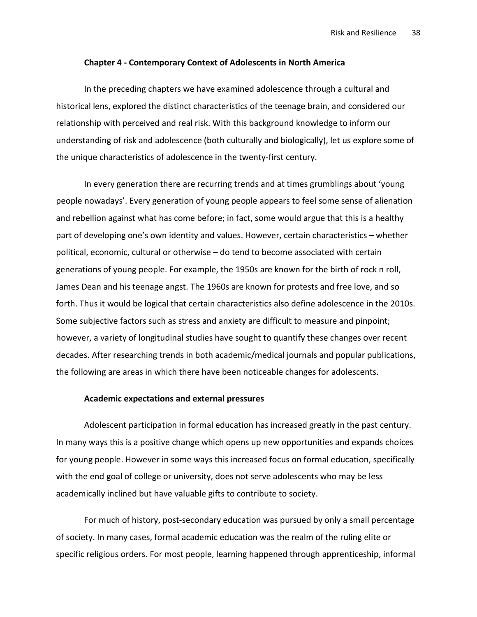#### Chapter 4 - Contemporary Context of Adolescents in North America

In the preceding chapters we have examined adolescence through a cultural and historical lens, explored the distinct characteristics of the teenage brain, and considered our relationship with perceived and real risk. With this background knowledge to inform our understanding of risk and adolescence (both culturally and biologically), let us explore some of the unique characteristics of adolescence in the twenty-first century.

In every generation there are recurring trends and at times grumblings about 'young people nowadays'. Every generation of young people appears to feel some sense of alienation and rebellion against what has come before; in fact, some would argue that this is a healthy part of developing one's own identity and values. However, certain characteristics – whether political, economic, cultural or otherwise – do tend to become associated with certain generations of young people. For example, the 1950s are known for the birth of rock n roll, James Dean and his teenage angst. The 1960s are known for protests and free love, and so forth. Thus it would be logical that certain characteristics also define adolescence in the 2010s. Some subjective factors such as stress and anxiety are difficult to measure and pinpoint; however, a variety of longitudinal studies have sought to quantify these changes over recent decades. After researching trends in both academic/medical journals and popular publications, the following are areas in which there have been noticeable changes for adolescents.

#### Academic expectations and external pressures

Adolescent participation in formal education has increased greatly in the past century. In many ways this is a positive change which opens up new opportunities and expands choices for young people. However in some ways this increased focus on formal education, specifically with the end goal of college or university, does not serve adolescents who may be less academically inclined but have valuable gifts to contribute to society.

For much of history, post-secondary education was pursued by only a small percentage of society. In many cases, formal academic education was the realm of the ruling elite or specific religious orders. For most people, learning happened through apprenticeship, informal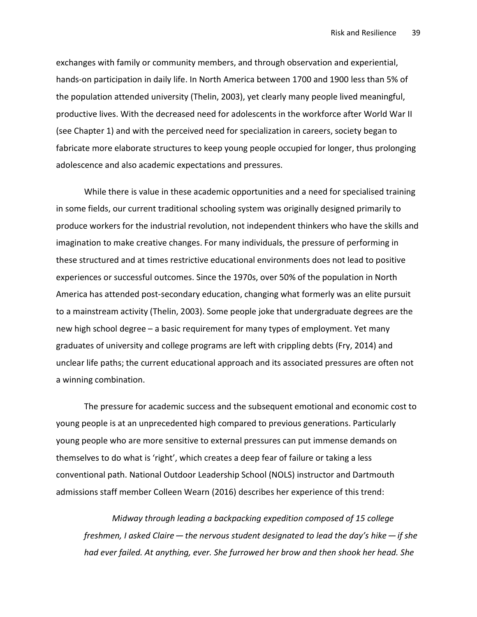exchanges with family or community members, and through observation and experiential, hands-on participation in daily life. In North America between 1700 and 1900 less than 5% of the population attended university (Thelin, 2003), yet clearly many people lived meaningful, productive lives. With the decreased need for adolescents in the workforce after World War II (see Chapter 1) and with the perceived need for specialization in careers, society began to fabricate more elaborate structures to keep young people occupied for longer, thus prolonging adolescence and also academic expectations and pressures.

While there is value in these academic opportunities and a need for specialised training in some fields, our current traditional schooling system was originally designed primarily to produce workers for the industrial revolution, not independent thinkers who have the skills and imagination to make creative changes. For many individuals, the pressure of performing in these structured and at times restrictive educational environments does not lead to positive experiences or successful outcomes. Since the 1970s, over 50% of the population in North America has attended post-secondary education, changing what formerly was an elite pursuit to a mainstream activity (Thelin, 2003). Some people joke that undergraduate degrees are the new high school degree – a basic requirement for many types of employment. Yet many graduates of university and college programs are left with crippling debts (Fry, 2014) and unclear life paths; the current educational approach and its associated pressures are often not a winning combination.

The pressure for academic success and the subsequent emotional and economic cost to young people is at an unprecedented high compared to previous generations. Particularly young people who are more sensitive to external pressures can put immense demands on themselves to do what is 'right', which creates a deep fear of failure or taking a less conventional path. National Outdoor Leadership School (NOLS) instructor and Dartmouth admissions staff member Colleen Wearn (2016) describes her experience of this trend:

Midway through leading a backpacking expedition composed of 15 college freshmen, I asked Claire  $-$  the nervous student designated to lead the day's hike  $-$  if she had ever failed. At anything, ever. She furrowed her brow and then shook her head. She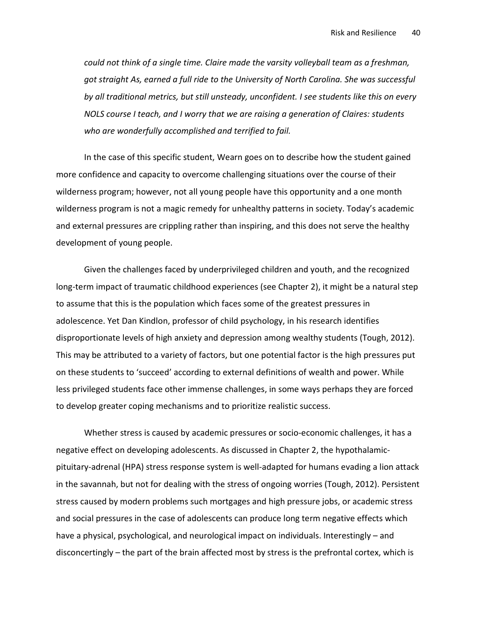could not think of a single time. Claire made the varsity volleyball team as a freshman, got straight As, earned a full ride to the University of North Carolina. She was successful by all traditional metrics, but still unsteady, unconfident. I see students like this on every NOLS course I teach, and I worry that we are raising a generation of Claires: students who are wonderfully accomplished and terrified to fail.

In the case of this specific student, Wearn goes on to describe how the student gained more confidence and capacity to overcome challenging situations over the course of their wilderness program; however, not all young people have this opportunity and a one month wilderness program is not a magic remedy for unhealthy patterns in society. Today's academic and external pressures are crippling rather than inspiring, and this does not serve the healthy development of young people.

Given the challenges faced by underprivileged children and youth, and the recognized long-term impact of traumatic childhood experiences (see Chapter 2), it might be a natural step to assume that this is the population which faces some of the greatest pressures in adolescence. Yet Dan Kindlon, professor of child psychology, in his research identifies disproportionate levels of high anxiety and depression among wealthy students (Tough, 2012). This may be attributed to a variety of factors, but one potential factor is the high pressures put on these students to 'succeed' according to external definitions of wealth and power. While less privileged students face other immense challenges, in some ways perhaps they are forced to develop greater coping mechanisms and to prioritize realistic success.

Whether stress is caused by academic pressures or socio-economic challenges, it has a negative effect on developing adolescents. As discussed in Chapter 2, the hypothalamicpituitary-adrenal (HPA) stress response system is well-adapted for humans evading a lion attack in the savannah, but not for dealing with the stress of ongoing worries (Tough, 2012). Persistent stress caused by modern problems such mortgages and high pressure jobs, or academic stress and social pressures in the case of adolescents can produce long term negative effects which have a physical, psychological, and neurological impact on individuals. Interestingly – and disconcertingly – the part of the brain affected most by stress is the prefrontal cortex, which is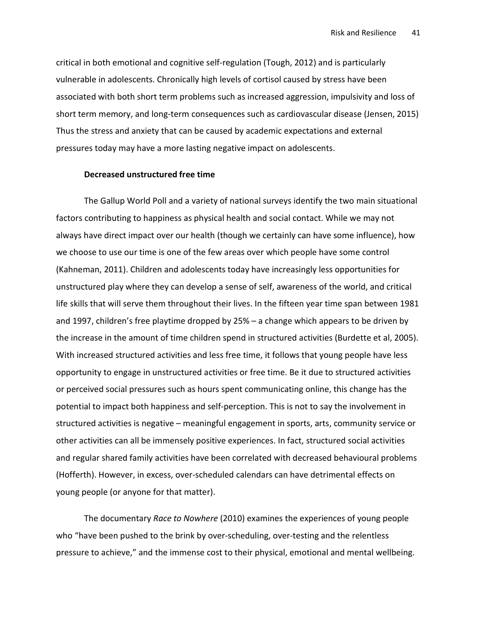critical in both emotional and cognitive self-regulation (Tough, 2012) and is particularly vulnerable in adolescents. Chronically high levels of cortisol caused by stress have been associated with both short term problems such as increased aggression, impulsivity and loss of short term memory, and long-term consequences such as cardiovascular disease (Jensen, 2015) Thus the stress and anxiety that can be caused by academic expectations and external pressures today may have a more lasting negative impact on adolescents.

#### Decreased unstructured free time

The Gallup World Poll and a variety of national surveys identify the two main situational factors contributing to happiness as physical health and social contact. While we may not always have direct impact over our health (though we certainly can have some influence), how we choose to use our time is one of the few areas over which people have some control (Kahneman, 2011). Children and adolescents today have increasingly less opportunities for unstructured play where they can develop a sense of self, awareness of the world, and critical life skills that will serve them throughout their lives. In the fifteen year time span between 1981 and 1997, children's free playtime dropped by 25% – a change which appears to be driven by the increase in the amount of time children spend in structured activities (Burdette et al, 2005). With increased structured activities and less free time, it follows that young people have less opportunity to engage in unstructured activities or free time. Be it due to structured activities or perceived social pressures such as hours spent communicating online, this change has the potential to impact both happiness and self-perception. This is not to say the involvement in structured activities is negative – meaningful engagement in sports, arts, community service or other activities can all be immensely positive experiences. In fact, structured social activities and regular shared family activities have been correlated with decreased behavioural problems (Hofferth). However, in excess, over-scheduled calendars can have detrimental effects on young people (or anyone for that matter).

The documentary Race to Nowhere (2010) examines the experiences of young people who "have been pushed to the brink by over-scheduling, over-testing and the relentless pressure to achieve," and the immense cost to their physical, emotional and mental wellbeing.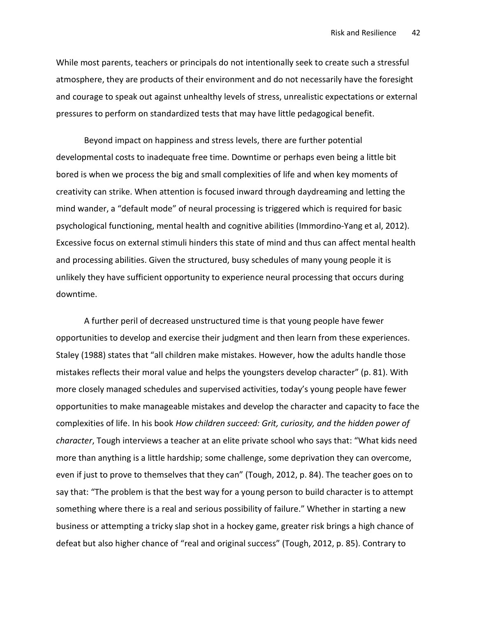While most parents, teachers or principals do not intentionally seek to create such a stressful atmosphere, they are products of their environment and do not necessarily have the foresight and courage to speak out against unhealthy levels of stress, unrealistic expectations or external pressures to perform on standardized tests that may have little pedagogical benefit.

Beyond impact on happiness and stress levels, there are further potential developmental costs to inadequate free time. Downtime or perhaps even being a little bit bored is when we process the big and small complexities of life and when key moments of creativity can strike. When attention is focused inward through daydreaming and letting the mind wander, a "default mode" of neural processing is triggered which is required for basic psychological functioning, mental health and cognitive abilities (Immordino-Yang et al, 2012). Excessive focus on external stimuli hinders this state of mind and thus can affect mental health and processing abilities. Given the structured, busy schedules of many young people it is unlikely they have sufficient opportunity to experience neural processing that occurs during downtime.

A further peril of decreased unstructured time is that young people have fewer opportunities to develop and exercise their judgment and then learn from these experiences. Staley (1988) states that "all children make mistakes. However, how the adults handle those mistakes reflects their moral value and helps the youngsters develop character" (p. 81). With more closely managed schedules and supervised activities, today's young people have fewer opportunities to make manageable mistakes and develop the character and capacity to face the complexities of life. In his book How children succeed: Grit, curiosity, and the hidden power of character, Tough interviews a teacher at an elite private school who says that: "What kids need more than anything is a little hardship; some challenge, some deprivation they can overcome, even if just to prove to themselves that they can" (Tough, 2012, p. 84). The teacher goes on to say that: "The problem is that the best way for a young person to build character is to attempt something where there is a real and serious possibility of failure." Whether in starting a new business or attempting a tricky slap shot in a hockey game, greater risk brings a high chance of defeat but also higher chance of "real and original success" (Tough, 2012, p. 85). Contrary to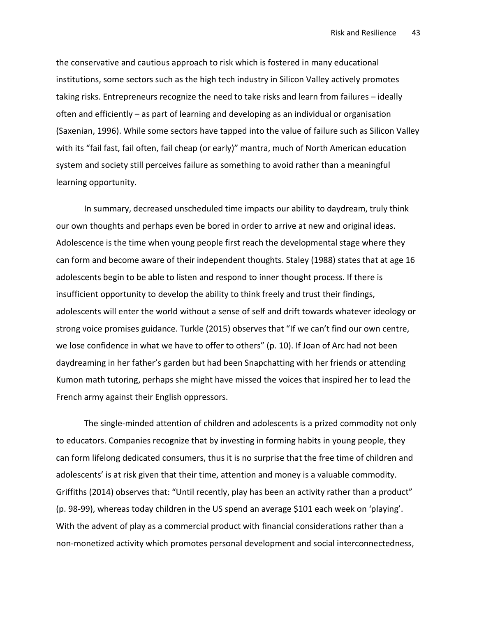the conservative and cautious approach to risk which is fostered in many educational institutions, some sectors such as the high tech industry in Silicon Valley actively promotes taking risks. Entrepreneurs recognize the need to take risks and learn from failures – ideally often and efficiently – as part of learning and developing as an individual or organisation (Saxenian, 1996). While some sectors have tapped into the value of failure such as Silicon Valley with its "fail fast, fail often, fail cheap (or early)" mantra, much of North American education system and society still perceives failure as something to avoid rather than a meaningful learning opportunity.

In summary, decreased unscheduled time impacts our ability to daydream, truly think our own thoughts and perhaps even be bored in order to arrive at new and original ideas. Adolescence is the time when young people first reach the developmental stage where they can form and become aware of their independent thoughts. Staley (1988) states that at age 16 adolescents begin to be able to listen and respond to inner thought process. If there is insufficient opportunity to develop the ability to think freely and trust their findings, adolescents will enter the world without a sense of self and drift towards whatever ideology or strong voice promises guidance. Turkle (2015) observes that "If we can't find our own centre, we lose confidence in what we have to offer to others" (p. 10). If Joan of Arc had not been daydreaming in her father's garden but had been Snapchatting with her friends or attending Kumon math tutoring, perhaps she might have missed the voices that inspired her to lead the French army against their English oppressors.

The single-minded attention of children and adolescents is a prized commodity not only to educators. Companies recognize that by investing in forming habits in young people, they can form lifelong dedicated consumers, thus it is no surprise that the free time of children and adolescents' is at risk given that their time, attention and money is a valuable commodity. Griffiths (2014) observes that: "Until recently, play has been an activity rather than a product" (p. 98-99), whereas today children in the US spend an average \$101 each week on 'playing'. With the advent of play as a commercial product with financial considerations rather than a non-monetized activity which promotes personal development and social interconnectedness,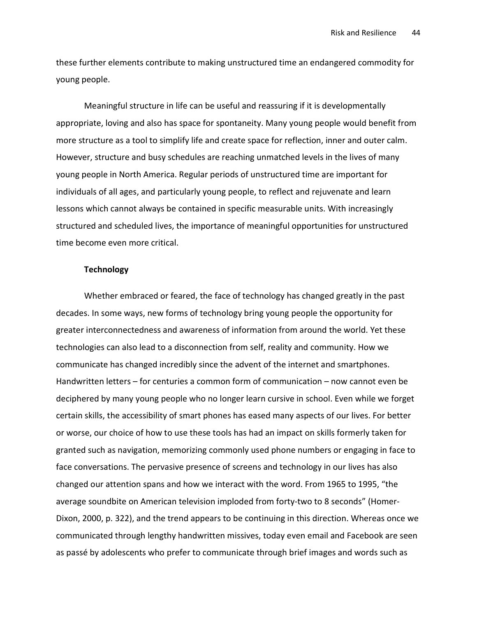these further elements contribute to making unstructured time an endangered commodity for young people.

Meaningful structure in life can be useful and reassuring if it is developmentally appropriate, loving and also has space for spontaneity. Many young people would benefit from more structure as a tool to simplify life and create space for reflection, inner and outer calm. However, structure and busy schedules are reaching unmatched levels in the lives of many young people in North America. Regular periods of unstructured time are important for individuals of all ages, and particularly young people, to reflect and rejuvenate and learn lessons which cannot always be contained in specific measurable units. With increasingly structured and scheduled lives, the importance of meaningful opportunities for unstructured time become even more critical.

# **Technology**

Whether embraced or feared, the face of technology has changed greatly in the past decades. In some ways, new forms of technology bring young people the opportunity for greater interconnectedness and awareness of information from around the world. Yet these technologies can also lead to a disconnection from self, reality and community. How we communicate has changed incredibly since the advent of the internet and smartphones. Handwritten letters – for centuries a common form of communication – now cannot even be deciphered by many young people who no longer learn cursive in school. Even while we forget certain skills, the accessibility of smart phones has eased many aspects of our lives. For better or worse, our choice of how to use these tools has had an impact on skills formerly taken for granted such as navigation, memorizing commonly used phone numbers or engaging in face to face conversations. The pervasive presence of screens and technology in our lives has also changed our attention spans and how we interact with the word. From 1965 to 1995, "the average soundbite on American television imploded from forty-two to 8 seconds" (Homer-Dixon, 2000, p. 322), and the trend appears to be continuing in this direction. Whereas once we communicated through lengthy handwritten missives, today even email and Facebook are seen as passé by adolescents who prefer to communicate through brief images and words such as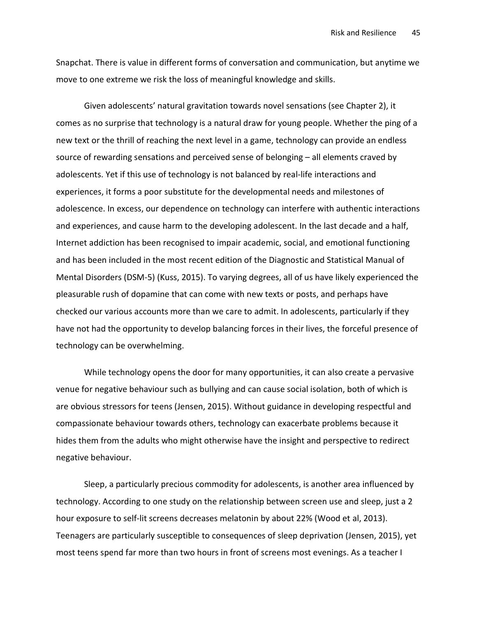Snapchat. There is value in different forms of conversation and communication, but anytime we move to one extreme we risk the loss of meaningful knowledge and skills.

Given adolescents' natural gravitation towards novel sensations (see Chapter 2), it comes as no surprise that technology is a natural draw for young people. Whether the ping of a new text or the thrill of reaching the next level in a game, technology can provide an endless source of rewarding sensations and perceived sense of belonging – all elements craved by adolescents. Yet if this use of technology is not balanced by real-life interactions and experiences, it forms a poor substitute for the developmental needs and milestones of adolescence. In excess, our dependence on technology can interfere with authentic interactions and experiences, and cause harm to the developing adolescent. In the last decade and a half, Internet addiction has been recognised to impair academic, social, and emotional functioning and has been included in the most recent edition of the Diagnostic and Statistical Manual of Mental Disorders (DSM-5) (Kuss, 2015). To varying degrees, all of us have likely experienced the pleasurable rush of dopamine that can come with new texts or posts, and perhaps have checked our various accounts more than we care to admit. In adolescents, particularly if they have not had the opportunity to develop balancing forces in their lives, the forceful presence of technology can be overwhelming.

While technology opens the door for many opportunities, it can also create a pervasive venue for negative behaviour such as bullying and can cause social isolation, both of which is are obvious stressors for teens (Jensen, 2015). Without guidance in developing respectful and compassionate behaviour towards others, technology can exacerbate problems because it hides them from the adults who might otherwise have the insight and perspective to redirect negative behaviour.

Sleep, a particularly precious commodity for adolescents, is another area influenced by technology. According to one study on the relationship between screen use and sleep, just a 2 hour exposure to self-lit screens decreases melatonin by about 22% (Wood et al, 2013). Teenagers are particularly susceptible to consequences of sleep deprivation (Jensen, 2015), yet most teens spend far more than two hours in front of screens most evenings. As a teacher I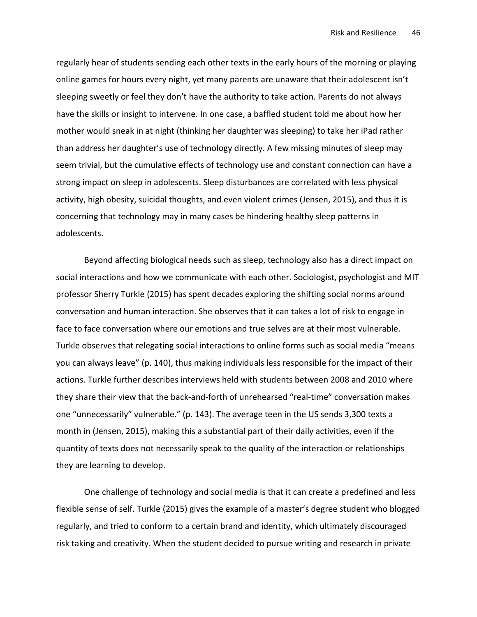regularly hear of students sending each other texts in the early hours of the morning or playing online games for hours every night, yet many parents are unaware that their adolescent isn't sleeping sweetly or feel they don't have the authority to take action. Parents do not always have the skills or insight to intervene. In one case, a baffled student told me about how her mother would sneak in at night (thinking her daughter was sleeping) to take her iPad rather than address her daughter's use of technology directly. A few missing minutes of sleep may seem trivial, but the cumulative effects of technology use and constant connection can have a strong impact on sleep in adolescents. Sleep disturbances are correlated with less physical activity, high obesity, suicidal thoughts, and even violent crimes (Jensen, 2015), and thus it is concerning that technology may in many cases be hindering healthy sleep patterns in adolescents.

Beyond affecting biological needs such as sleep, technology also has a direct impact on social interactions and how we communicate with each other. Sociologist, psychologist and MIT professor Sherry Turkle (2015) has spent decades exploring the shifting social norms around conversation and human interaction. She observes that it can takes a lot of risk to engage in face to face conversation where our emotions and true selves are at their most vulnerable. Turkle observes that relegating social interactions to online forms such as social media "means you can always leave" (p. 140), thus making individuals less responsible for the impact of their actions. Turkle further describes interviews held with students between 2008 and 2010 where they share their view that the back-and-forth of unrehearsed "real-time" conversation makes one "unnecessarily" vulnerable." (p. 143). The average teen in the US sends 3,300 texts a month in (Jensen, 2015), making this a substantial part of their daily activities, even if the quantity of texts does not necessarily speak to the quality of the interaction or relationships they are learning to develop.

One challenge of technology and social media is that it can create a predefined and less flexible sense of self. Turkle (2015) gives the example of a master's degree student who blogged regularly, and tried to conform to a certain brand and identity, which ultimately discouraged risk taking and creativity. When the student decided to pursue writing and research in private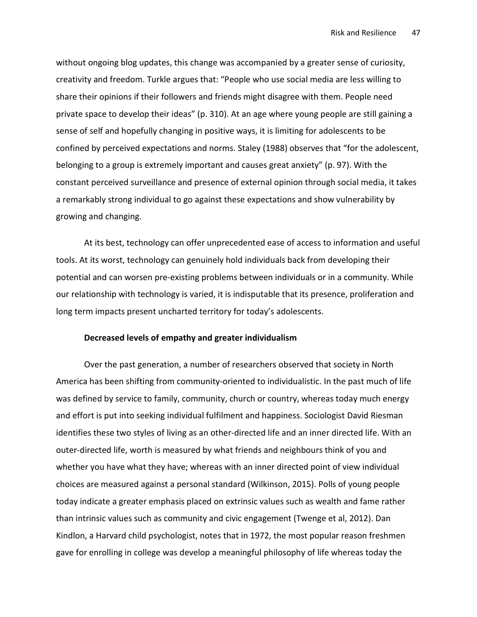without ongoing blog updates, this change was accompanied by a greater sense of curiosity, creativity and freedom. Turkle argues that: "People who use social media are less willing to share their opinions if their followers and friends might disagree with them. People need private space to develop their ideas" (p. 310). At an age where young people are still gaining a sense of self and hopefully changing in positive ways, it is limiting for adolescents to be confined by perceived expectations and norms. Staley (1988) observes that "for the adolescent, belonging to a group is extremely important and causes great anxiety" (p. 97). With the constant perceived surveillance and presence of external opinion through social media, it takes a remarkably strong individual to go against these expectations and show vulnerability by growing and changing.

At its best, technology can offer unprecedented ease of access to information and useful tools. At its worst, technology can genuinely hold individuals back from developing their potential and can worsen pre-existing problems between individuals or in a community. While our relationship with technology is varied, it is indisputable that its presence, proliferation and long term impacts present uncharted territory for today's adolescents.

## Decreased levels of empathy and greater individualism

Over the past generation, a number of researchers observed that society in North America has been shifting from community-oriented to individualistic. In the past much of life was defined by service to family, community, church or country, whereas today much energy and effort is put into seeking individual fulfilment and happiness. Sociologist David Riesman identifies these two styles of living as an other-directed life and an inner directed life. With an outer-directed life, worth is measured by what friends and neighbours think of you and whether you have what they have; whereas with an inner directed point of view individual choices are measured against a personal standard (Wilkinson, 2015). Polls of young people today indicate a greater emphasis placed on extrinsic values such as wealth and fame rather than intrinsic values such as community and civic engagement (Twenge et al, 2012). Dan Kindlon, a Harvard child psychologist, notes that in 1972, the most popular reason freshmen gave for enrolling in college was develop a meaningful philosophy of life whereas today the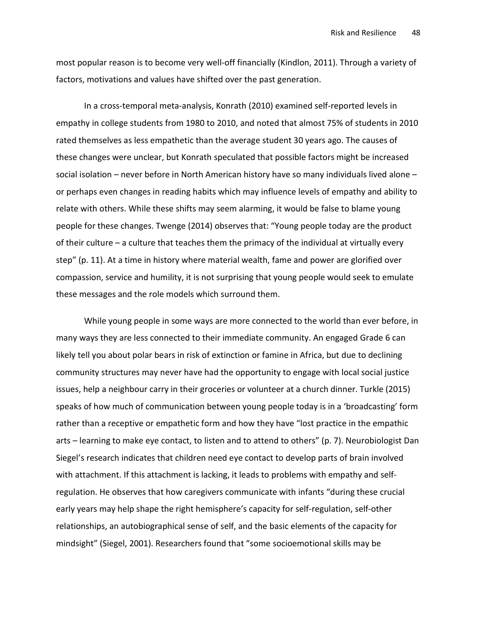most popular reason is to become very well-off financially (Kindlon, 2011). Through a variety of factors, motivations and values have shifted over the past generation.

In a cross-temporal meta-analysis, Konrath (2010) examined self-reported levels in empathy in college students from 1980 to 2010, and noted that almost 75% of students in 2010 rated themselves as less empathetic than the average student 30 years ago. The causes of these changes were unclear, but Konrath speculated that possible factors might be increased social isolation – never before in North American history have so many individuals lived alone – or perhaps even changes in reading habits which may influence levels of empathy and ability to relate with others. While these shifts may seem alarming, it would be false to blame young people for these changes. Twenge (2014) observes that: "Young people today are the product of their culture – a culture that teaches them the primacy of the individual at virtually every step" (p. 11). At a time in history where material wealth, fame and power are glorified over compassion, service and humility, it is not surprising that young people would seek to emulate these messages and the role models which surround them.

While young people in some ways are more connected to the world than ever before, in many ways they are less connected to their immediate community. An engaged Grade 6 can likely tell you about polar bears in risk of extinction or famine in Africa, but due to declining community structures may never have had the opportunity to engage with local social justice issues, help a neighbour carry in their groceries or volunteer at a church dinner. Turkle (2015) speaks of how much of communication between young people today is in a 'broadcasting' form rather than a receptive or empathetic form and how they have "lost practice in the empathic arts – learning to make eye contact, to listen and to attend to others" (p. 7). Neurobiologist Dan Siegel's research indicates that children need eye contact to develop parts of brain involved with attachment. If this attachment is lacking, it leads to problems with empathy and selfregulation. He observes that how caregivers communicate with infants "during these crucial early years may help shape the right hemisphere's capacity for self-regulation, self-other relationships, an autobiographical sense of self, and the basic elements of the capacity for mindsight" (Siegel, 2001). Researchers found that "some socioemotional skills may be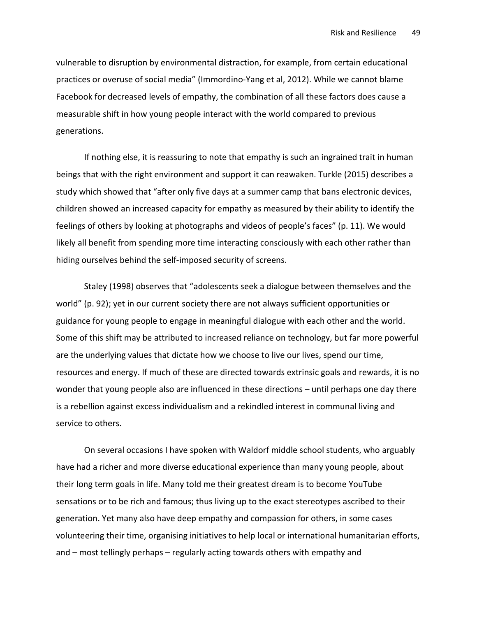vulnerable to disruption by environmental distraction, for example, from certain educational practices or overuse of social media" (Immordino-Yang et al, 2012). While we cannot blame Facebook for decreased levels of empathy, the combination of all these factors does cause a measurable shift in how young people interact with the world compared to previous generations.

If nothing else, it is reassuring to note that empathy is such an ingrained trait in human beings that with the right environment and support it can reawaken. Turkle (2015) describes a study which showed that "after only five days at a summer camp that bans electronic devices, children showed an increased capacity for empathy as measured by their ability to identify the feelings of others by looking at photographs and videos of people's faces" (p. 11). We would likely all benefit from spending more time interacting consciously with each other rather than hiding ourselves behind the self-imposed security of screens.

Staley (1998) observes that "adolescents seek a dialogue between themselves and the world" (p. 92); yet in our current society there are not always sufficient opportunities or guidance for young people to engage in meaningful dialogue with each other and the world. Some of this shift may be attributed to increased reliance on technology, but far more powerful are the underlying values that dictate how we choose to live our lives, spend our time, resources and energy. If much of these are directed towards extrinsic goals and rewards, it is no wonder that young people also are influenced in these directions – until perhaps one day there is a rebellion against excess individualism and a rekindled interest in communal living and service to others.

On several occasions I have spoken with Waldorf middle school students, who arguably have had a richer and more diverse educational experience than many young people, about their long term goals in life. Many told me their greatest dream is to become YouTube sensations or to be rich and famous; thus living up to the exact stereotypes ascribed to their generation. Yet many also have deep empathy and compassion for others, in some cases volunteering their time, organising initiatives to help local or international humanitarian efforts, and – most tellingly perhaps – regularly acting towards others with empathy and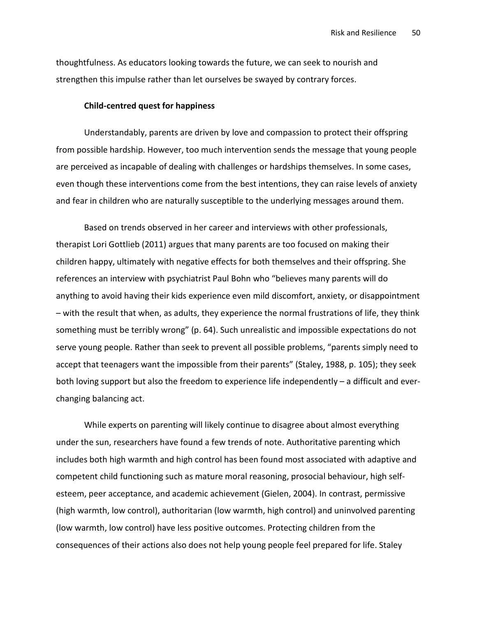thoughtfulness. As educators looking towards the future, we can seek to nourish and strengthen this impulse rather than let ourselves be swayed by contrary forces.

#### Child-centred quest for happiness

Understandably, parents are driven by love and compassion to protect their offspring from possible hardship. However, too much intervention sends the message that young people are perceived as incapable of dealing with challenges or hardships themselves. In some cases, even though these interventions come from the best intentions, they can raise levels of anxiety and fear in children who are naturally susceptible to the underlying messages around them.

Based on trends observed in her career and interviews with other professionals, therapist Lori Gottlieb (2011) argues that many parents are too focused on making their children happy, ultimately with negative effects for both themselves and their offspring. She references an interview with psychiatrist Paul Bohn who "believes many parents will do anything to avoid having their kids experience even mild discomfort, anxiety, or disappointment – with the result that when, as adults, they experience the normal frustrations of life, they think something must be terribly wrong" (p. 64). Such unrealistic and impossible expectations do not serve young people. Rather than seek to prevent all possible problems, "parents simply need to accept that teenagers want the impossible from their parents" (Staley, 1988, p. 105); they seek both loving support but also the freedom to experience life independently – a difficult and everchanging balancing act.

While experts on parenting will likely continue to disagree about almost everything under the sun, researchers have found a few trends of note. Authoritative parenting which includes both high warmth and high control has been found most associated with adaptive and competent child functioning such as mature moral reasoning, prosocial behaviour, high selfesteem, peer acceptance, and academic achievement (Gielen, 2004). In contrast, permissive (high warmth, low control), authoritarian (low warmth, high control) and uninvolved parenting (low warmth, low control) have less positive outcomes. Protecting children from the consequences of their actions also does not help young people feel prepared for life. Staley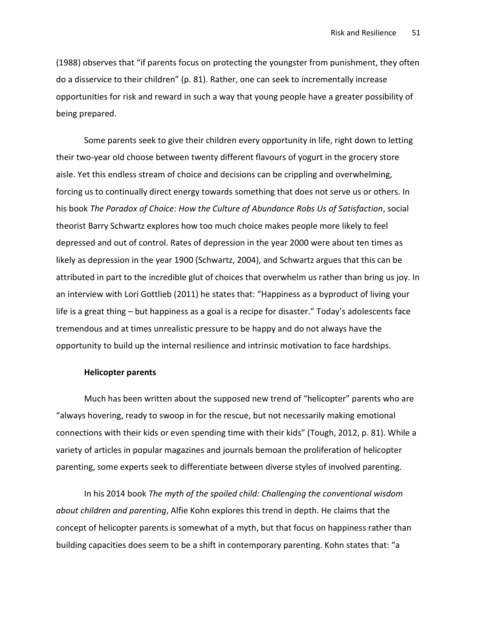(1988) observes that "if parents focus on protecting the youngster from punishment, they often do a disservice to their children" (p. 81). Rather, one can seek to incrementally increase opportunities for risk and reward in such a way that young people have a greater possibility of being prepared.

Some parents seek to give their children every opportunity in life, right down to letting their two-year old choose between twenty different flavours of yogurt in the grocery store aisle. Yet this endless stream of choice and decisions can be crippling and overwhelming, forcing us to continually direct energy towards something that does not serve us or others. In his book The Paradox of Choice: How the Culture of Abundance Robs Us of Satisfaction, social theorist Barry Schwartz explores how too much choice makes people more likely to feel depressed and out of control. Rates of depression in the year 2000 were about ten times as likely as depression in the year 1900 (Schwartz, 2004), and Schwartz argues that this can be attributed in part to the incredible glut of choices that overwhelm us rather than bring us joy. In an interview with Lori Gottlieb (2011) he states that: "Happiness as a byproduct of living your life is a great thing – but happiness as a goal is a recipe for disaster." Today's adolescents face tremendous and at times unrealistic pressure to be happy and do not always have the opportunity to build up the internal resilience and intrinsic motivation to face hardships.

## Helicopter parents

Much has been written about the supposed new trend of "helicopter" parents who are "always hovering, ready to swoop in for the rescue, but not necessarily making emotional connections with their kids or even spending time with their kids" (Tough, 2012, p. 81). While a variety of articles in popular magazines and journals bemoan the proliferation of helicopter parenting, some experts seek to differentiate between diverse styles of involved parenting.

In his 2014 book The myth of the spoiled child: Challenging the conventional wisdom about children and parenting, Alfie Kohn explores this trend in depth. He claims that the concept of helicopter parents is somewhat of a myth, but that focus on happiness rather than building capacities does seem to be a shift in contemporary parenting. Kohn states that: "a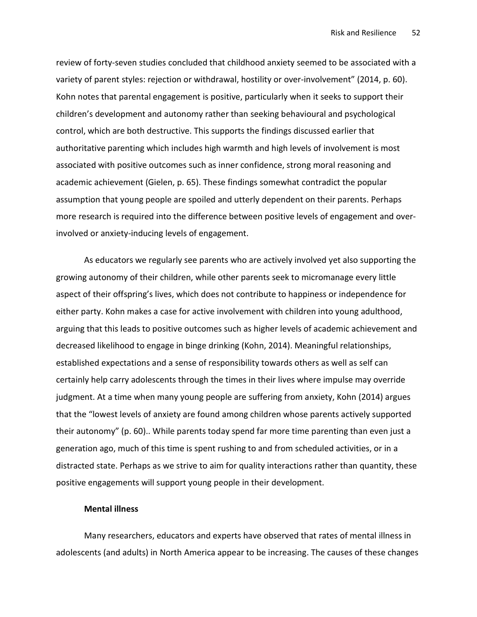review of forty-seven studies concluded that childhood anxiety seemed to be associated with a variety of parent styles: rejection or withdrawal, hostility or over-involvement" (2014, p. 60). Kohn notes that parental engagement is positive, particularly when it seeks to support their children's development and autonomy rather than seeking behavioural and psychological control, which are both destructive. This supports the findings discussed earlier that authoritative parenting which includes high warmth and high levels of involvement is most associated with positive outcomes such as inner confidence, strong moral reasoning and academic achievement (Gielen, p. 65). These findings somewhat contradict the popular assumption that young people are spoiled and utterly dependent on their parents. Perhaps more research is required into the difference between positive levels of engagement and overinvolved or anxiety-inducing levels of engagement.

As educators we regularly see parents who are actively involved yet also supporting the growing autonomy of their children, while other parents seek to micromanage every little aspect of their offspring's lives, which does not contribute to happiness or independence for either party. Kohn makes a case for active involvement with children into young adulthood, arguing that this leads to positive outcomes such as higher levels of academic achievement and decreased likelihood to engage in binge drinking (Kohn, 2014). Meaningful relationships, established expectations and a sense of responsibility towards others as well as self can certainly help carry adolescents through the times in their lives where impulse may override judgment. At a time when many young people are suffering from anxiety, Kohn (2014) argues that the "lowest levels of anxiety are found among children whose parents actively supported their autonomy" (p. 60).. While parents today spend far more time parenting than even just a generation ago, much of this time is spent rushing to and from scheduled activities, or in a distracted state. Perhaps as we strive to aim for quality interactions rather than quantity, these positive engagements will support young people in their development.

## Mental illness

Many researchers, educators and experts have observed that rates of mental illness in adolescents (and adults) in North America appear to be increasing. The causes of these changes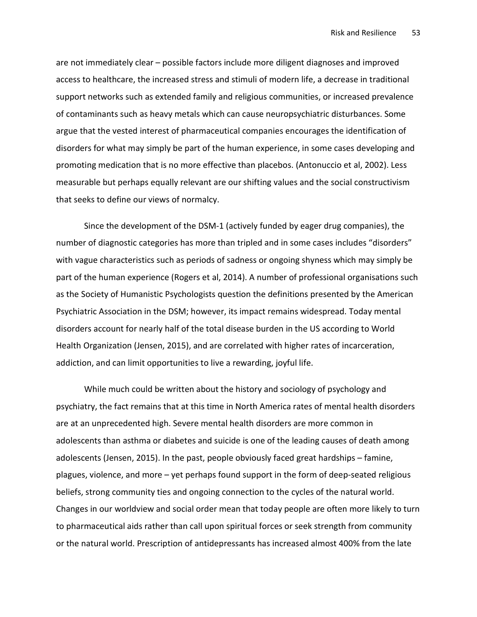are not immediately clear – possible factors include more diligent diagnoses and improved access to healthcare, the increased stress and stimuli of modern life, a decrease in traditional support networks such as extended family and religious communities, or increased prevalence of contaminants such as heavy metals which can cause neuropsychiatric disturbances. Some argue that the vested interest of pharmaceutical companies encourages the identification of disorders for what may simply be part of the human experience, in some cases developing and promoting medication that is no more effective than placebos. (Antonuccio et al, 2002). Less measurable but perhaps equally relevant are our shifting values and the social constructivism that seeks to define our views of normalcy.

Since the development of the DSM-1 (actively funded by eager drug companies), the number of diagnostic categories has more than tripled and in some cases includes "disorders" with vague characteristics such as periods of sadness or ongoing shyness which may simply be part of the human experience (Rogers et al, 2014). A number of professional organisations such as the Society of Humanistic Psychologists question the definitions presented by the American Psychiatric Association in the DSM; however, its impact remains widespread. Today mental disorders account for nearly half of the total disease burden in the US according to World Health Organization (Jensen, 2015), and are correlated with higher rates of incarceration, addiction, and can limit opportunities to live a rewarding, joyful life.

While much could be written about the history and sociology of psychology and psychiatry, the fact remains that at this time in North America rates of mental health disorders are at an unprecedented high. Severe mental health disorders are more common in adolescents than asthma or diabetes and suicide is one of the leading causes of death among adolescents (Jensen, 2015). In the past, people obviously faced great hardships – famine, plagues, violence, and more – yet perhaps found support in the form of deep-seated religious beliefs, strong community ties and ongoing connection to the cycles of the natural world. Changes in our worldview and social order mean that today people are often more likely to turn to pharmaceutical aids rather than call upon spiritual forces or seek strength from community or the natural world. Prescription of antidepressants has increased almost 400% from the late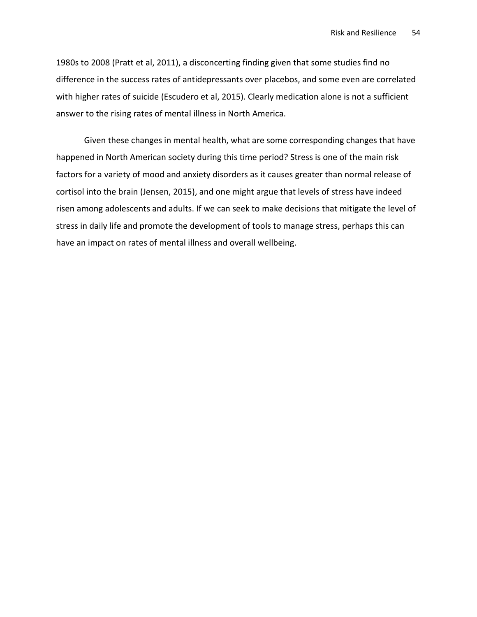1980s to 2008 (Pratt et al, 2011), a disconcerting finding given that some studies find no difference in the success rates of antidepressants over placebos, and some even are correlated with higher rates of suicide (Escudero et al, 2015). Clearly medication alone is not a sufficient answer to the rising rates of mental illness in North America.

Given these changes in mental health, what are some corresponding changes that have happened in North American society during this time period? Stress is one of the main risk factors for a variety of mood and anxiety disorders as it causes greater than normal release of cortisol into the brain (Jensen, 2015), and one might argue that levels of stress have indeed risen among adolescents and adults. If we can seek to make decisions that mitigate the level of stress in daily life and promote the development of tools to manage stress, perhaps this can have an impact on rates of mental illness and overall wellbeing.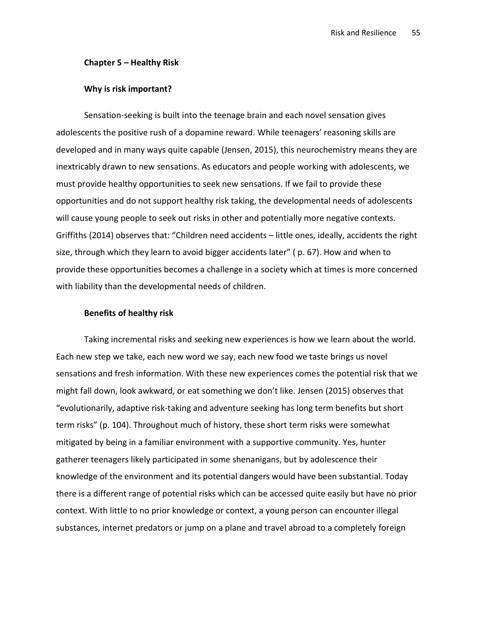#### Chapter 5 – Healthy Risk

#### Why is risk important?

Sensation-seeking is built into the teenage brain and each novel sensation gives adolescents the positive rush of a dopamine reward. While teenagers' reasoning skills are developed and in many ways quite capable (Jensen, 2015), this neurochemistry means they are inextricably drawn to new sensations. As educators and people working with adolescents, we must provide healthy opportunities to seek new sensations. If we fail to provide these opportunities and do not support healthy risk taking, the developmental needs of adolescents will cause young people to seek out risks in other and potentially more negative contexts. Griffiths (2014) observes that: "Children need accidents – little ones, ideally, accidents the right size, through which they learn to avoid bigger accidents later" ( p. 67). How and when to provide these opportunities becomes a challenge in a society which at times is more concerned with liability than the developmental needs of children.

## Benefits of healthy risk

Taking incremental risks and seeking new experiences is how we learn about the world. Each new step we take, each new word we say, each new food we taste brings us novel sensations and fresh information. With these new experiences comes the potential risk that we might fall down, look awkward, or eat something we don't like. Jensen (2015) observes that "evolutionarily, adaptive risk-taking and adventure seeking has long term benefits but short term risks" (p. 104). Throughout much of history, these short term risks were somewhat mitigated by being in a familiar environment with a supportive community. Yes, hunter gatherer teenagers likely participated in some shenanigans, but by adolescence their knowledge of the environment and its potential dangers would have been substantial. Today there is a different range of potential risks which can be accessed quite easily but have no prior context. With little to no prior knowledge or context, a young person can encounter illegal substances, internet predators or jump on a plane and travel abroad to a completely foreign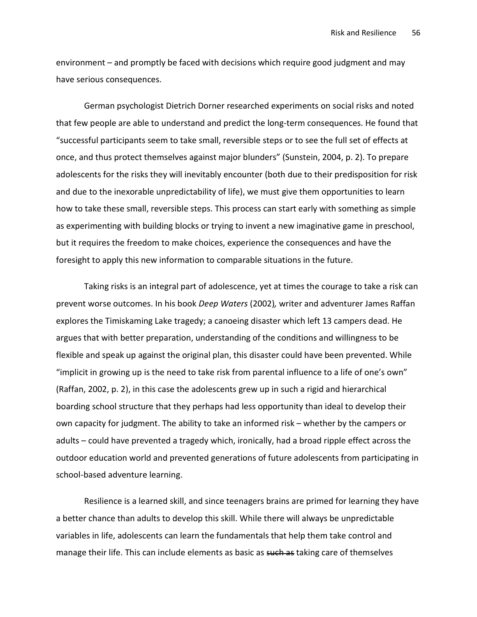environment – and promptly be faced with decisions which require good judgment and may have serious consequences.

German psychologist Dietrich Dorner researched experiments on social risks and noted that few people are able to understand and predict the long-term consequences. He found that "successful participants seem to take small, reversible steps or to see the full set of effects at once, and thus protect themselves against major blunders" (Sunstein, 2004, p. 2). To prepare adolescents for the risks they will inevitably encounter (both due to their predisposition for risk and due to the inexorable unpredictability of life), we must give them opportunities to learn how to take these small, reversible steps. This process can start early with something as simple as experimenting with building blocks or trying to invent a new imaginative game in preschool, but it requires the freedom to make choices, experience the consequences and have the foresight to apply this new information to comparable situations in the future.

Taking risks is an integral part of adolescence, yet at times the courage to take a risk can prevent worse outcomes. In his book *Deep Waters* (2002), writer and adventurer James Raffan explores the Timiskaming Lake tragedy; a canoeing disaster which left 13 campers dead. He argues that with better preparation, understanding of the conditions and willingness to be flexible and speak up against the original plan, this disaster could have been prevented. While "implicit in growing up is the need to take risk from parental influence to a life of one's own" (Raffan, 2002, p. 2), in this case the adolescents grew up in such a rigid and hierarchical boarding school structure that they perhaps had less opportunity than ideal to develop their own capacity for judgment. The ability to take an informed risk – whether by the campers or adults – could have prevented a tragedy which, ironically, had a broad ripple effect across the outdoor education world and prevented generations of future adolescents from participating in school-based adventure learning.

Resilience is a learned skill, and since teenagers brains are primed for learning they have a better chance than adults to develop this skill. While there will always be unpredictable variables in life, adolescents can learn the fundamentals that help them take control and manage their life. This can include elements as basic as such as taking care of themselves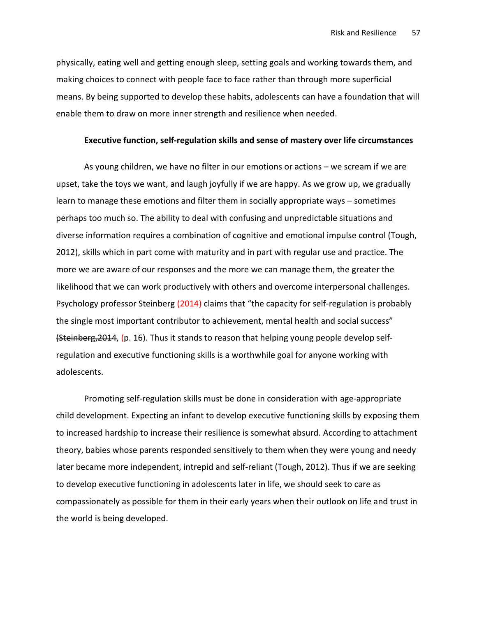physically, eating well and getting enough sleep, setting goals and working towards them, and making choices to connect with people face to face rather than through more superficial means. By being supported to develop these habits, adolescents can have a foundation that will enable them to draw on more inner strength and resilience when needed.

#### Executive function, self-regulation skills and sense of mastery over life circumstances

As young children, we have no filter in our emotions or actions – we scream if we are upset, take the toys we want, and laugh joyfully if we are happy. As we grow up, we gradually learn to manage these emotions and filter them in socially appropriate ways – sometimes perhaps too much so. The ability to deal with confusing and unpredictable situations and diverse information requires a combination of cognitive and emotional impulse control (Tough, 2012), skills which in part come with maturity and in part with regular use and practice. The more we are aware of our responses and the more we can manage them, the greater the likelihood that we can work productively with others and overcome interpersonal challenges. Psychology professor Steinberg (2014) claims that "the capacity for self-regulation is probably the single most important contributor to achievement, mental health and social success" (Steinberg,2014, (p. 16). Thus it stands to reason that helping young people develop selfregulation and executive functioning skills is a worthwhile goal for anyone working with adolescents.

Promoting self-regulation skills must be done in consideration with age-appropriate child development. Expecting an infant to develop executive functioning skills by exposing them to increased hardship to increase their resilience is somewhat absurd. According to attachment theory, babies whose parents responded sensitively to them when they were young and needy later became more independent, intrepid and self-reliant (Tough, 2012). Thus if we are seeking to develop executive functioning in adolescents later in life, we should seek to care as compassionately as possible for them in their early years when their outlook on life and trust in the world is being developed.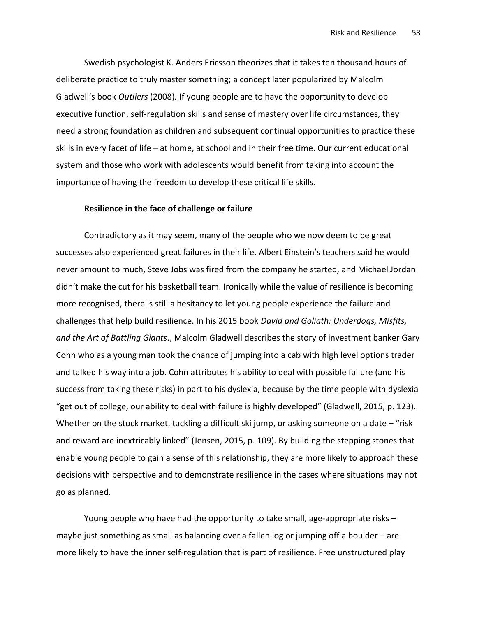Swedish psychologist K. Anders Ericsson theorizes that it takes ten thousand hours of deliberate practice to truly master something; a concept later popularized by Malcolm Gladwell's book Outliers (2008). If young people are to have the opportunity to develop executive function, self-regulation skills and sense of mastery over life circumstances, they need a strong foundation as children and subsequent continual opportunities to practice these skills in every facet of life – at home, at school and in their free time. Our current educational system and those who work with adolescents would benefit from taking into account the importance of having the freedom to develop these critical life skills.

#### Resilience in the face of challenge or failure

Contradictory as it may seem, many of the people who we now deem to be great successes also experienced great failures in their life. Albert Einstein's teachers said he would never amount to much, Steve Jobs was fired from the company he started, and Michael Jordan didn't make the cut for his basketball team. Ironically while the value of resilience is becoming more recognised, there is still a hesitancy to let young people experience the failure and challenges that help build resilience. In his 2015 book David and Goliath: Underdogs, Misfits, and the Art of Battling Giants., Malcolm Gladwell describes the story of investment banker Gary Cohn who as a young man took the chance of jumping into a cab with high level options trader and talked his way into a job. Cohn attributes his ability to deal with possible failure (and his success from taking these risks) in part to his dyslexia, because by the time people with dyslexia "get out of college, our ability to deal with failure is highly developed" (Gladwell, 2015, p. 123). Whether on the stock market, tackling a difficult ski jump, or asking someone on a date – "risk and reward are inextricably linked" (Jensen, 2015, p. 109). By building the stepping stones that enable young people to gain a sense of this relationship, they are more likely to approach these decisions with perspective and to demonstrate resilience in the cases where situations may not go as planned.

Young people who have had the opportunity to take small, age-appropriate risks – maybe just something as small as balancing over a fallen log or jumping off a boulder – are more likely to have the inner self-regulation that is part of resilience. Free unstructured play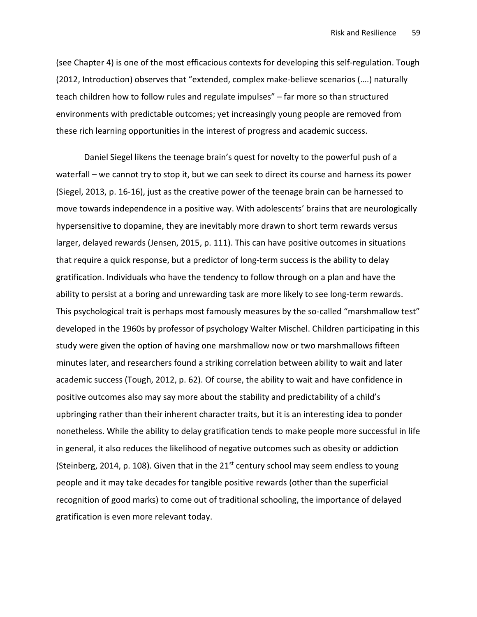(see Chapter 4) is one of the most efficacious contexts for developing this self-regulation. Tough (2012, Introduction) observes that "extended, complex make-believe scenarios (….) naturally teach children how to follow rules and regulate impulses" – far more so than structured environments with predictable outcomes; yet increasingly young people are removed from these rich learning opportunities in the interest of progress and academic success.

Daniel Siegel likens the teenage brain's quest for novelty to the powerful push of a waterfall – we cannot try to stop it, but we can seek to direct its course and harness its power (Siegel, 2013, p. 16-16), just as the creative power of the teenage brain can be harnessed to move towards independence in a positive way. With adolescents' brains that are neurologically hypersensitive to dopamine, they are inevitably more drawn to short term rewards versus larger, delayed rewards (Jensen, 2015, p. 111). This can have positive outcomes in situations that require a quick response, but a predictor of long-term success is the ability to delay gratification. Individuals who have the tendency to follow through on a plan and have the ability to persist at a boring and unrewarding task are more likely to see long-term rewards. This psychological trait is perhaps most famously measures by the so-called "marshmallow test" developed in the 1960s by professor of psychology Walter Mischel. Children participating in this study were given the option of having one marshmallow now or two marshmallows fifteen minutes later, and researchers found a striking correlation between ability to wait and later academic success (Tough, 2012, p. 62). Of course, the ability to wait and have confidence in positive outcomes also may say more about the stability and predictability of a child's upbringing rather than their inherent character traits, but it is an interesting idea to ponder nonetheless. While the ability to delay gratification tends to make people more successful in life in general, it also reduces the likelihood of negative outcomes such as obesity or addiction (Steinberg, 2014, p. 108). Given that in the  $21<sup>st</sup>$  century school may seem endless to young people and it may take decades for tangible positive rewards (other than the superficial recognition of good marks) to come out of traditional schooling, the importance of delayed gratification is even more relevant today.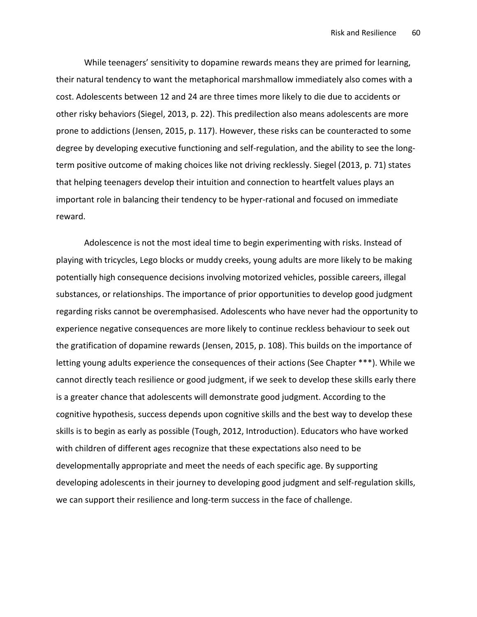While teenagers' sensitivity to dopamine rewards means they are primed for learning, their natural tendency to want the metaphorical marshmallow immediately also comes with a cost. Adolescents between 12 and 24 are three times more likely to die due to accidents or other risky behaviors (Siegel, 2013, p. 22). This predilection also means adolescents are more prone to addictions (Jensen, 2015, p. 117). However, these risks can be counteracted to some degree by developing executive functioning and self-regulation, and the ability to see the longterm positive outcome of making choices like not driving recklessly. Siegel (2013, p. 71) states that helping teenagers develop their intuition and connection to heartfelt values plays an important role in balancing their tendency to be hyper-rational and focused on immediate reward.

Adolescence is not the most ideal time to begin experimenting with risks. Instead of playing with tricycles, Lego blocks or muddy creeks, young adults are more likely to be making potentially high consequence decisions involving motorized vehicles, possible careers, illegal substances, or relationships. The importance of prior opportunities to develop good judgment regarding risks cannot be overemphasised. Adolescents who have never had the opportunity to experience negative consequences are more likely to continue reckless behaviour to seek out the gratification of dopamine rewards (Jensen, 2015, p. 108). This builds on the importance of letting young adults experience the consequences of their actions (See Chapter \*\*\*). While we cannot directly teach resilience or good judgment, if we seek to develop these skills early there is a greater chance that adolescents will demonstrate good judgment. According to the cognitive hypothesis, success depends upon cognitive skills and the best way to develop these skills is to begin as early as possible (Tough, 2012, Introduction). Educators who have worked with children of different ages recognize that these expectations also need to be developmentally appropriate and meet the needs of each specific age. By supporting developing adolescents in their journey to developing good judgment and self-regulation skills, we can support their resilience and long-term success in the face of challenge.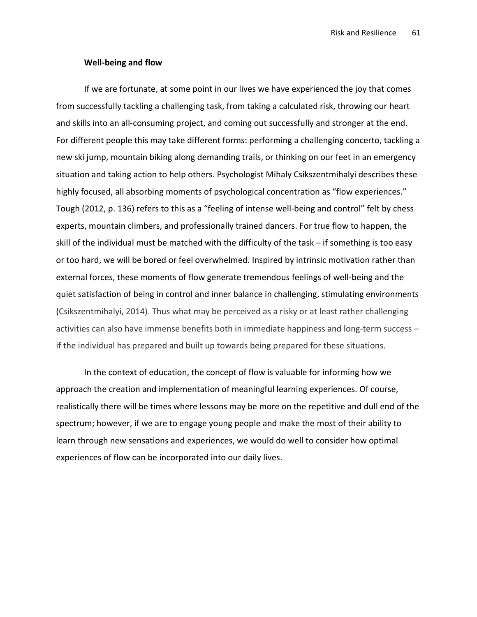#### Well-being and flow

If we are fortunate, at some point in our lives we have experienced the joy that comes from successfully tackling a challenging task, from taking a calculated risk, throwing our heart and skills into an all-consuming project, and coming out successfully and stronger at the end. For different people this may take different forms: performing a challenging concerto, tackling a new ski jump, mountain biking along demanding trails, or thinking on our feet in an emergency situation and taking action to help others. Psychologist Mihaly Csikszentmihalyi describes these highly focused, all absorbing moments of psychological concentration as "flow experiences." Tough (2012, p. 136) refers to this as a "feeling of intense well-being and control" felt by chess experts, mountain climbers, and professionally trained dancers. For true flow to happen, the skill of the individual must be matched with the difficulty of the task – if something is too easy or too hard, we will be bored or feel overwhelmed. Inspired by intrinsic motivation rather than external forces, these moments of flow generate tremendous feelings of well-being and the quiet satisfaction of being in control and inner balance in challenging, stimulating environments (Csikszentmihalyi, 2014). Thus what may be perceived as a risky or at least rather challenging activities can also have immense benefits both in immediate happiness and long-term success – if the individual has prepared and built up towards being prepared for these situations.

In the context of education, the concept of flow is valuable for informing how we approach the creation and implementation of meaningful learning experiences. Of course, realistically there will be times where lessons may be more on the repetitive and dull end of the spectrum; however, if we are to engage young people and make the most of their ability to learn through new sensations and experiences, we would do well to consider how optimal experiences of flow can be incorporated into our daily lives.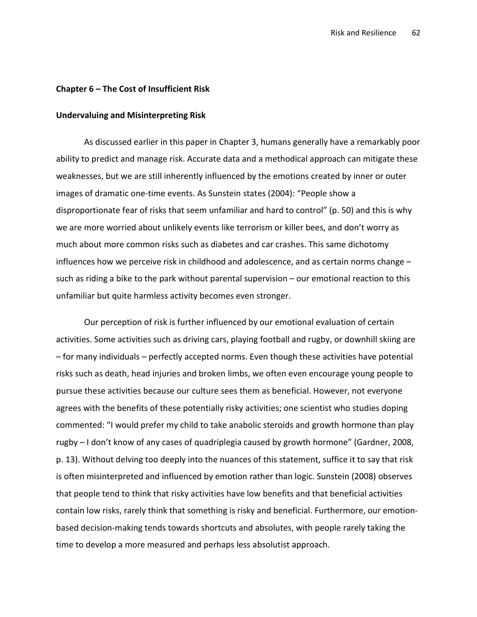#### Chapter 6 – The Cost of Insufficient Risk

### Undervaluing and Misinterpreting Risk

As discussed earlier in this paper in Chapter 3, humans generally have a remarkably poor ability to predict and manage risk. Accurate data and a methodical approach can mitigate these weaknesses, but we are still inherently influenced by the emotions created by inner or outer images of dramatic one-time events. As Sunstein states (2004): "People show a disproportionate fear of risks that seem unfamiliar and hard to control" (p. 50) and this is why we are more worried about unlikely events like terrorism or killer bees, and don't worry as much about more common risks such as diabetes and car crashes. This same dichotomy influences how we perceive risk in childhood and adolescence, and as certain norms change – such as riding a bike to the park without parental supervision – our emotional reaction to this unfamiliar but quite harmless activity becomes even stronger.

Our perception of risk is further influenced by our emotional evaluation of certain activities. Some activities such as driving cars, playing football and rugby, or downhill skiing are – for many individuals – perfectly accepted norms. Even though these activities have potential risks such as death, head injuries and broken limbs, we often even encourage young people to pursue these activities because our culture sees them as beneficial. However, not everyone agrees with the benefits of these potentially risky activities; one scientist who studies doping commented: "I would prefer my child to take anabolic steroids and growth hormone than play rugby – I don't know of any cases of quadriplegia caused by growth hormone" (Gardner, 2008, p. 13). Without delving too deeply into the nuances of this statement, suffice it to say that risk is often misinterpreted and influenced by emotion rather than logic. Sunstein (2008) observes that people tend to think that risky activities have low benefits and that beneficial activities contain low risks, rarely think that something is risky and beneficial. Furthermore, our emotionbased decision-making tends towards shortcuts and absolutes, with people rarely taking the time to develop a more measured and perhaps less absolutist approach.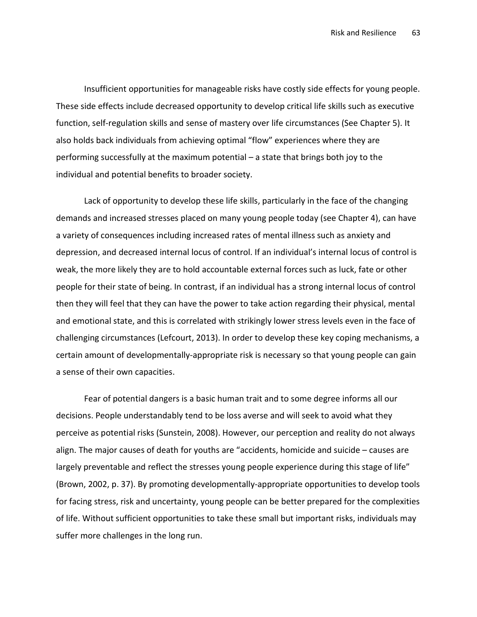Insufficient opportunities for manageable risks have costly side effects for young people. These side effects include decreased opportunity to develop critical life skills such as executive function, self-regulation skills and sense of mastery over life circumstances (See Chapter 5). It also holds back individuals from achieving optimal "flow" experiences where they are performing successfully at the maximum potential – a state that brings both joy to the individual and potential benefits to broader society.

Lack of opportunity to develop these life skills, particularly in the face of the changing demands and increased stresses placed on many young people today (see Chapter 4), can have a variety of consequences including increased rates of mental illness such as anxiety and depression, and decreased internal locus of control. If an individual's internal locus of control is weak, the more likely they are to hold accountable external forces such as luck, fate or other people for their state of being. In contrast, if an individual has a strong internal locus of control then they will feel that they can have the power to take action regarding their physical, mental and emotional state, and this is correlated with strikingly lower stress levels even in the face of challenging circumstances (Lefcourt, 2013). In order to develop these key coping mechanisms, a certain amount of developmentally-appropriate risk is necessary so that young people can gain a sense of their own capacities.

Fear of potential dangers is a basic human trait and to some degree informs all our decisions. People understandably tend to be loss averse and will seek to avoid what they perceive as potential risks (Sunstein, 2008). However, our perception and reality do not always align. The major causes of death for youths are "accidents, homicide and suicide – causes are largely preventable and reflect the stresses young people experience during this stage of life" (Brown, 2002, p. 37). By promoting developmentally-appropriate opportunities to develop tools for facing stress, risk and uncertainty, young people can be better prepared for the complexities of life. Without sufficient opportunities to take these small but important risks, individuals may suffer more challenges in the long run.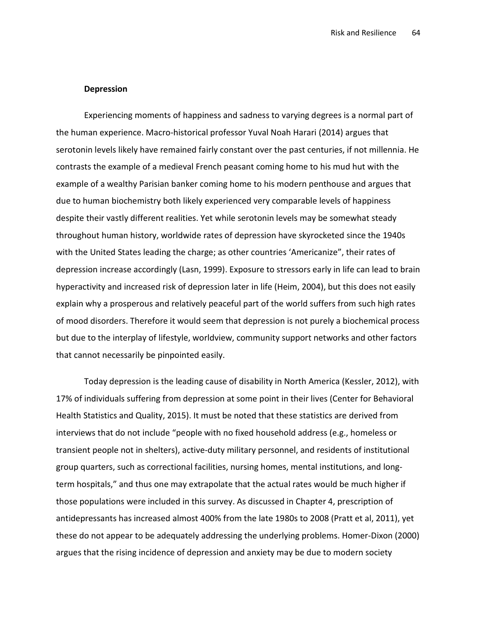#### Depression

Experiencing moments of happiness and sadness to varying degrees is a normal part of the human experience. Macro-historical professor Yuval Noah Harari (2014) argues that serotonin levels likely have remained fairly constant over the past centuries, if not millennia. He contrasts the example of a medieval French peasant coming home to his mud hut with the example of a wealthy Parisian banker coming home to his modern penthouse and argues that due to human biochemistry both likely experienced very comparable levels of happiness despite their vastly different realities. Yet while serotonin levels may be somewhat steady throughout human history, worldwide rates of depression have skyrocketed since the 1940s with the United States leading the charge; as other countries 'Americanize", their rates of depression increase accordingly (Lasn, 1999). Exposure to stressors early in life can lead to brain hyperactivity and increased risk of depression later in life (Heim, 2004), but this does not easily explain why a prosperous and relatively peaceful part of the world suffers from such high rates of mood disorders. Therefore it would seem that depression is not purely a biochemical process but due to the interplay of lifestyle, worldview, community support networks and other factors that cannot necessarily be pinpointed easily.

Today depression is the leading cause of disability in North America (Kessler, 2012), with 17% of individuals suffering from depression at some point in their lives (Center for Behavioral Health Statistics and Quality, 2015). It must be noted that these statistics are derived from interviews that do not include "people with no fixed household address (e.g., homeless or transient people not in shelters), active-duty military personnel, and residents of institutional group quarters, such as correctional facilities, nursing homes, mental institutions, and longterm hospitals," and thus one may extrapolate that the actual rates would be much higher if those populations were included in this survey. As discussed in Chapter 4, prescription of antidepressants has increased almost 400% from the late 1980s to 2008 (Pratt et al, 2011), yet these do not appear to be adequately addressing the underlying problems. Homer-Dixon (2000) argues that the rising incidence of depression and anxiety may be due to modern society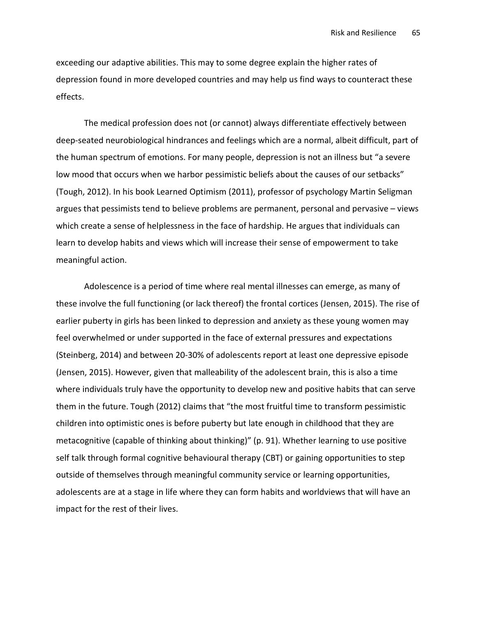exceeding our adaptive abilities. This may to some degree explain the higher rates of depression found in more developed countries and may help us find ways to counteract these effects.

The medical profession does not (or cannot) always differentiate effectively between deep-seated neurobiological hindrances and feelings which are a normal, albeit difficult, part of the human spectrum of emotions. For many people, depression is not an illness but "a severe low mood that occurs when we harbor pessimistic beliefs about the causes of our setbacks" (Tough, 2012). In his book Learned Optimism (2011), professor of psychology Martin Seligman argues that pessimists tend to believe problems are permanent, personal and pervasive – views which create a sense of helplessness in the face of hardship. He argues that individuals can learn to develop habits and views which will increase their sense of empowerment to take meaningful action.

Adolescence is a period of time where real mental illnesses can emerge, as many of these involve the full functioning (or lack thereof) the frontal cortices (Jensen, 2015). The rise of earlier puberty in girls has been linked to depression and anxiety as these young women may feel overwhelmed or under supported in the face of external pressures and expectations (Steinberg, 2014) and between 20-30% of adolescents report at least one depressive episode (Jensen, 2015). However, given that malleability of the adolescent brain, this is also a time where individuals truly have the opportunity to develop new and positive habits that can serve them in the future. Tough (2012) claims that "the most fruitful time to transform pessimistic children into optimistic ones is before puberty but late enough in childhood that they are metacognitive (capable of thinking about thinking)" (p. 91). Whether learning to use positive self talk through formal cognitive behavioural therapy (CBT) or gaining opportunities to step outside of themselves through meaningful community service or learning opportunities, adolescents are at a stage in life where they can form habits and worldviews that will have an impact for the rest of their lives.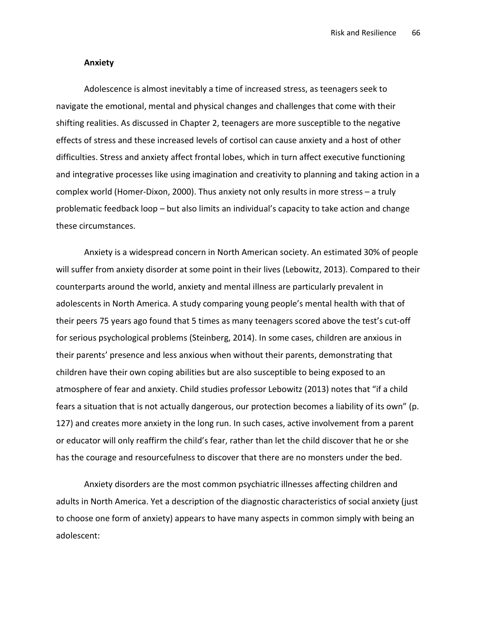#### Anxiety

Adolescence is almost inevitably a time of increased stress, as teenagers seek to navigate the emotional, mental and physical changes and challenges that come with their shifting realities. As discussed in Chapter 2, teenagers are more susceptible to the negative effects of stress and these increased levels of cortisol can cause anxiety and a host of other difficulties. Stress and anxiety affect frontal lobes, which in turn affect executive functioning and integrative processes like using imagination and creativity to planning and taking action in a complex world (Homer-Dixon, 2000). Thus anxiety not only results in more stress – a truly problematic feedback loop – but also limits an individual's capacity to take action and change these circumstances.

Anxiety is a widespread concern in North American society. An estimated 30% of people will suffer from anxiety disorder at some point in their lives (Lebowitz, 2013). Compared to their counterparts around the world, anxiety and mental illness are particularly prevalent in adolescents in North America. A study comparing young people's mental health with that of their peers 75 years ago found that 5 times as many teenagers scored above the test's cut-off for serious psychological problems (Steinberg, 2014). In some cases, children are anxious in their parents' presence and less anxious when without their parents, demonstrating that children have their own coping abilities but are also susceptible to being exposed to an atmosphere of fear and anxiety. Child studies professor Lebowitz (2013) notes that "if a child fears a situation that is not actually dangerous, our protection becomes a liability of its own" (p. 127) and creates more anxiety in the long run. In such cases, active involvement from a parent or educator will only reaffirm the child's fear, rather than let the child discover that he or she has the courage and resourcefulness to discover that there are no monsters under the bed.

Anxiety disorders are the most common psychiatric illnesses affecting children and adults in North America. Yet a description of the diagnostic characteristics of social anxiety (just to choose one form of anxiety) appears to have many aspects in common simply with being an adolescent: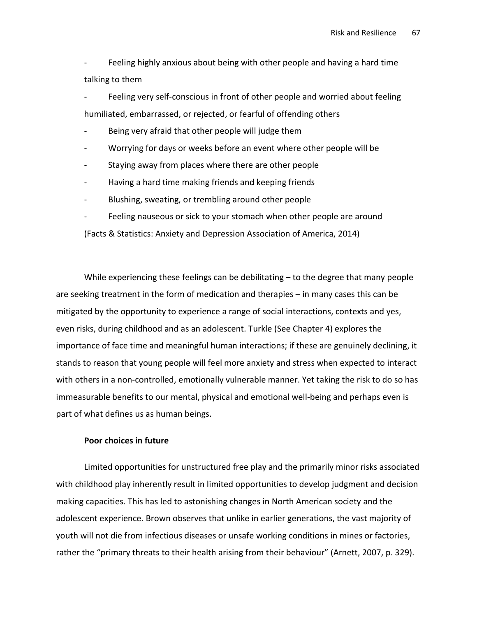Feeling highly anxious about being with other people and having a hard time talking to them

Feeling very self-conscious in front of other people and worried about feeling humiliated, embarrassed, or rejected, or fearful of offending others

- Being very afraid that other people will judge them
- Worrying for days or weeks before an event where other people will be
- Staying away from places where there are other people
- Having a hard time making friends and keeping friends
- Blushing, sweating, or trembling around other people
- Feeling nauseous or sick to your stomach when other people are around

(Facts & Statistics: Anxiety and Depression Association of America, 2014)

While experiencing these feelings can be debilitating – to the degree that many people are seeking treatment in the form of medication and therapies – in many cases this can be mitigated by the opportunity to experience a range of social interactions, contexts and yes, even risks, during childhood and as an adolescent. Turkle (See Chapter 4) explores the importance of face time and meaningful human interactions; if these are genuinely declining, it stands to reason that young people will feel more anxiety and stress when expected to interact with others in a non-controlled, emotionally vulnerable manner. Yet taking the risk to do so has immeasurable benefits to our mental, physical and emotional well-being and perhaps even is part of what defines us as human beings.

### Poor choices in future

Limited opportunities for unstructured free play and the primarily minor risks associated with childhood play inherently result in limited opportunities to develop judgment and decision making capacities. This has led to astonishing changes in North American society and the adolescent experience. Brown observes that unlike in earlier generations, the vast majority of youth will not die from infectious diseases or unsafe working conditions in mines or factories, rather the "primary threats to their health arising from their behaviour" (Arnett, 2007, p. 329).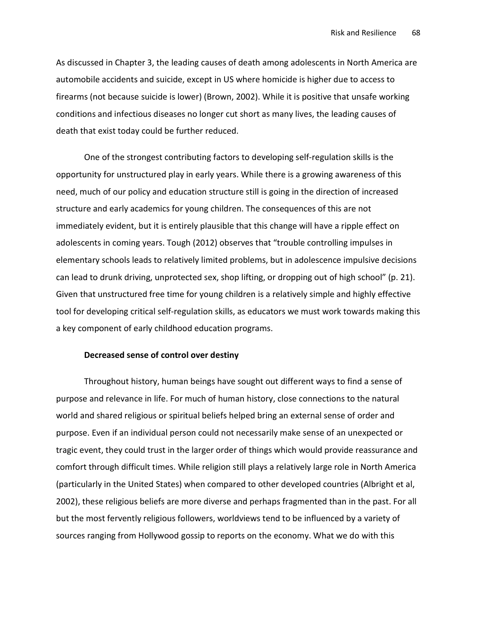As discussed in Chapter 3, the leading causes of death among adolescents in North America are automobile accidents and suicide, except in US where homicide is higher due to access to firearms (not because suicide is lower) (Brown, 2002). While it is positive that unsafe working conditions and infectious diseases no longer cut short as many lives, the leading causes of death that exist today could be further reduced.

One of the strongest contributing factors to developing self-regulation skills is the opportunity for unstructured play in early years. While there is a growing awareness of this need, much of our policy and education structure still is going in the direction of increased structure and early academics for young children. The consequences of this are not immediately evident, but it is entirely plausible that this change will have a ripple effect on adolescents in coming years. Tough (2012) observes that "trouble controlling impulses in elementary schools leads to relatively limited problems, but in adolescence impulsive decisions can lead to drunk driving, unprotected sex, shop lifting, or dropping out of high school" (p. 21). Given that unstructured free time for young children is a relatively simple and highly effective tool for developing critical self-regulation skills, as educators we must work towards making this a key component of early childhood education programs.

# Decreased sense of control over destiny

Throughout history, human beings have sought out different ways to find a sense of purpose and relevance in life. For much of human history, close connections to the natural world and shared religious or spiritual beliefs helped bring an external sense of order and purpose. Even if an individual person could not necessarily make sense of an unexpected or tragic event, they could trust in the larger order of things which would provide reassurance and comfort through difficult times. While religion still plays a relatively large role in North America (particularly in the United States) when compared to other developed countries (Albright et al, 2002), these religious beliefs are more diverse and perhaps fragmented than in the past. For all but the most fervently religious followers, worldviews tend to be influenced by a variety of sources ranging from Hollywood gossip to reports on the economy. What we do with this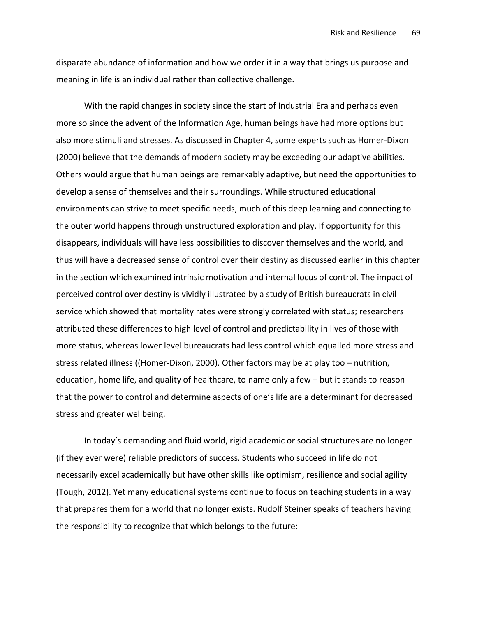disparate abundance of information and how we order it in a way that brings us purpose and meaning in life is an individual rather than collective challenge.

With the rapid changes in society since the start of Industrial Era and perhaps even more so since the advent of the Information Age, human beings have had more options but also more stimuli and stresses. As discussed in Chapter 4, some experts such as Homer-Dixon (2000) believe that the demands of modern society may be exceeding our adaptive abilities. Others would argue that human beings are remarkably adaptive, but need the opportunities to develop a sense of themselves and their surroundings. While structured educational environments can strive to meet specific needs, much of this deep learning and connecting to the outer world happens through unstructured exploration and play. If opportunity for this disappears, individuals will have less possibilities to discover themselves and the world, and thus will have a decreased sense of control over their destiny as discussed earlier in this chapter in the section which examined intrinsic motivation and internal locus of control. The impact of perceived control over destiny is vividly illustrated by a study of British bureaucrats in civil service which showed that mortality rates were strongly correlated with status; researchers attributed these differences to high level of control and predictability in lives of those with more status, whereas lower level bureaucrats had less control which equalled more stress and stress related illness ((Homer-Dixon, 2000). Other factors may be at play too – nutrition, education, home life, and quality of healthcare, to name only a few – but it stands to reason that the power to control and determine aspects of one's life are a determinant for decreased stress and greater wellbeing.

In today's demanding and fluid world, rigid academic or social structures are no longer (if they ever were) reliable predictors of success. Students who succeed in life do not necessarily excel academically but have other skills like optimism, resilience and social agility (Tough, 2012). Yet many educational systems continue to focus on teaching students in a way that prepares them for a world that no longer exists. Rudolf Steiner speaks of teachers having the responsibility to recognize that which belongs to the future: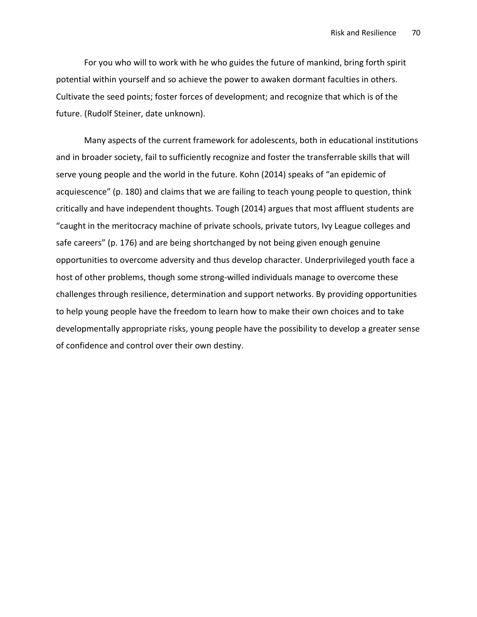For you who will to work with he who guides the future of mankind, bring forth spirit potential within yourself and so achieve the power to awaken dormant faculties in others. Cultivate the seed points; foster forces of development; and recognize that which is of the future. (Rudolf Steiner, date unknown).

Many aspects of the current framework for adolescents, both in educational institutions and in broader society, fail to sufficiently recognize and foster the transferrable skills that will serve young people and the world in the future. Kohn (2014) speaks of "an epidemic of acquiescence" (p. 180) and claims that we are failing to teach young people to question, think critically and have independent thoughts. Tough (2014) argues that most affluent students are "caught in the meritocracy machine of private schools, private tutors, Ivy League colleges and safe careers" (p. 176) and are being shortchanged by not being given enough genuine opportunities to overcome adversity and thus develop character. Underprivileged youth face a host of other problems, though some strong-willed individuals manage to overcome these challenges through resilience, determination and support networks. By providing opportunities to help young people have the freedom to learn how to make their own choices and to take developmentally appropriate risks, young people have the possibility to develop a greater sense of confidence and control over their own destiny.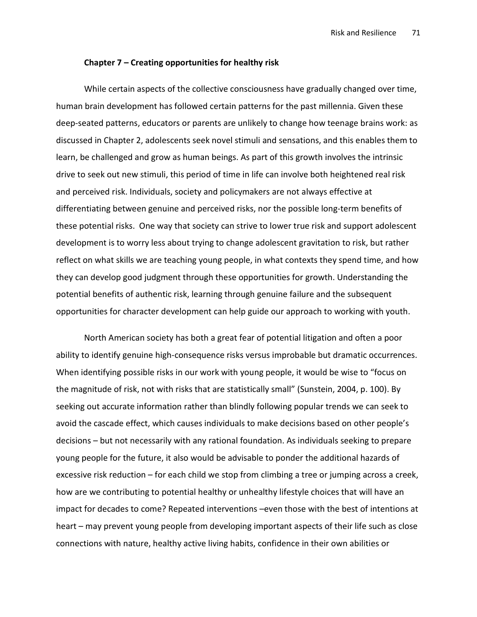#### Chapter 7 – Creating opportunities for healthy risk

While certain aspects of the collective consciousness have gradually changed over time, human brain development has followed certain patterns for the past millennia. Given these deep-seated patterns, educators or parents are unlikely to change how teenage brains work: as discussed in Chapter 2, adolescents seek novel stimuli and sensations, and this enables them to learn, be challenged and grow as human beings. As part of this growth involves the intrinsic drive to seek out new stimuli, this period of time in life can involve both heightened real risk and perceived risk. Individuals, society and policymakers are not always effective at differentiating between genuine and perceived risks, nor the possible long-term benefits of these potential risks. One way that society can strive to lower true risk and support adolescent development is to worry less about trying to change adolescent gravitation to risk, but rather reflect on what skills we are teaching young people, in what contexts they spend time, and how they can develop good judgment through these opportunities for growth. Understanding the potential benefits of authentic risk, learning through genuine failure and the subsequent opportunities for character development can help guide our approach to working with youth.

North American society has both a great fear of potential litigation and often a poor ability to identify genuine high-consequence risks versus improbable but dramatic occurrences. When identifying possible risks in our work with young people, it would be wise to "focus on the magnitude of risk, not with risks that are statistically small" (Sunstein, 2004, p. 100). By seeking out accurate information rather than blindly following popular trends we can seek to avoid the cascade effect, which causes individuals to make decisions based on other people's decisions – but not necessarily with any rational foundation. As individuals seeking to prepare young people for the future, it also would be advisable to ponder the additional hazards of excessive risk reduction – for each child we stop from climbing a tree or jumping across a creek, how are we contributing to potential healthy or unhealthy lifestyle choices that will have an impact for decades to come? Repeated interventions –even those with the best of intentions at heart – may prevent young people from developing important aspects of their life such as close connections with nature, healthy active living habits, confidence in their own abilities or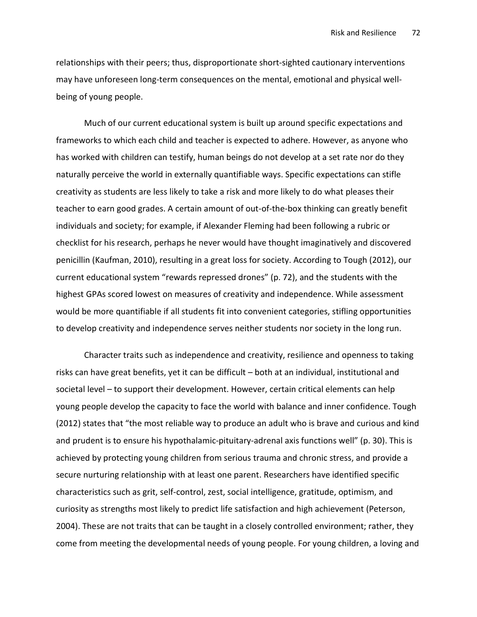relationships with their peers; thus, disproportionate short-sighted cautionary interventions may have unforeseen long-term consequences on the mental, emotional and physical wellbeing of young people.

Much of our current educational system is built up around specific expectations and frameworks to which each child and teacher is expected to adhere. However, as anyone who has worked with children can testify, human beings do not develop at a set rate nor do they naturally perceive the world in externally quantifiable ways. Specific expectations can stifle creativity as students are less likely to take a risk and more likely to do what pleases their teacher to earn good grades. A certain amount of out-of-the-box thinking can greatly benefit individuals and society; for example, if Alexander Fleming had been following a rubric or checklist for his research, perhaps he never would have thought imaginatively and discovered penicillin (Kaufman, 2010), resulting in a great loss for society. According to Tough (2012), our current educational system "rewards repressed drones" (p. 72), and the students with the highest GPAs scored lowest on measures of creativity and independence. While assessment would be more quantifiable if all students fit into convenient categories, stifling opportunities to develop creativity and independence serves neither students nor society in the long run.

Character traits such as independence and creativity, resilience and openness to taking risks can have great benefits, yet it can be difficult – both at an individual, institutional and societal level – to support their development. However, certain critical elements can help young people develop the capacity to face the world with balance and inner confidence. Tough (2012) states that "the most reliable way to produce an adult who is brave and curious and kind and prudent is to ensure his hypothalamic-pituitary-adrenal axis functions well" (p. 30). This is achieved by protecting young children from serious trauma and chronic stress, and provide a secure nurturing relationship with at least one parent. Researchers have identified specific characteristics such as grit, self-control, zest, social intelligence, gratitude, optimism, and curiosity as strengths most likely to predict life satisfaction and high achievement (Peterson, 2004). These are not traits that can be taught in a closely controlled environment; rather, they come from meeting the developmental needs of young people. For young children, a loving and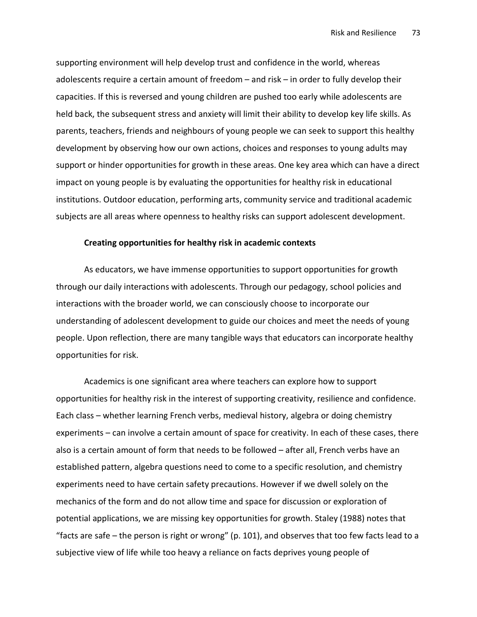supporting environment will help develop trust and confidence in the world, whereas adolescents require a certain amount of freedom – and risk – in order to fully develop their capacities. If this is reversed and young children are pushed too early while adolescents are held back, the subsequent stress and anxiety will limit their ability to develop key life skills. As parents, teachers, friends and neighbours of young people we can seek to support this healthy development by observing how our own actions, choices and responses to young adults may support or hinder opportunities for growth in these areas. One key area which can have a direct impact on young people is by evaluating the opportunities for healthy risk in educational institutions. Outdoor education, performing arts, community service and traditional academic subjects are all areas where openness to healthy risks can support adolescent development.

#### Creating opportunities for healthy risk in academic contexts

As educators, we have immense opportunities to support opportunities for growth through our daily interactions with adolescents. Through our pedagogy, school policies and interactions with the broader world, we can consciously choose to incorporate our understanding of adolescent development to guide our choices and meet the needs of young people. Upon reflection, there are many tangible ways that educators can incorporate healthy opportunities for risk.

Academics is one significant area where teachers can explore how to support opportunities for healthy risk in the interest of supporting creativity, resilience and confidence. Each class – whether learning French verbs, medieval history, algebra or doing chemistry experiments – can involve a certain amount of space for creativity. In each of these cases, there also is a certain amount of form that needs to be followed – after all, French verbs have an established pattern, algebra questions need to come to a specific resolution, and chemistry experiments need to have certain safety precautions. However if we dwell solely on the mechanics of the form and do not allow time and space for discussion or exploration of potential applications, we are missing key opportunities for growth. Staley (1988) notes that "facts are safe – the person is right or wrong" (p. 101), and observes that too few facts lead to a subjective view of life while too heavy a reliance on facts deprives young people of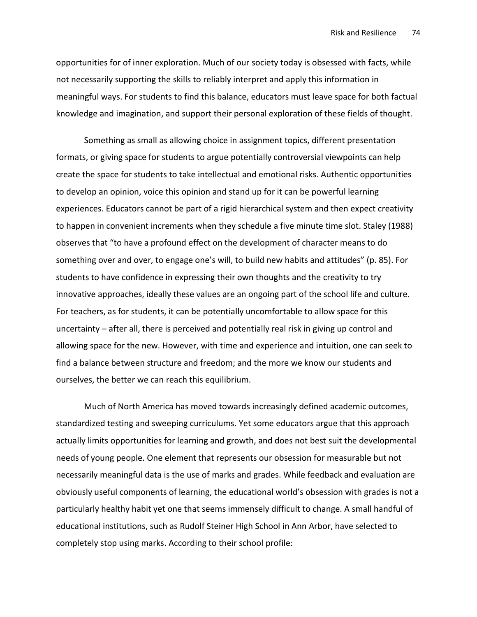opportunities for of inner exploration. Much of our society today is obsessed with facts, while not necessarily supporting the skills to reliably interpret and apply this information in meaningful ways. For students to find this balance, educators must leave space for both factual knowledge and imagination, and support their personal exploration of these fields of thought.

Something as small as allowing choice in assignment topics, different presentation formats, or giving space for students to argue potentially controversial viewpoints can help create the space for students to take intellectual and emotional risks. Authentic opportunities to develop an opinion, voice this opinion and stand up for it can be powerful learning experiences. Educators cannot be part of a rigid hierarchical system and then expect creativity to happen in convenient increments when they schedule a five minute time slot. Staley (1988) observes that "to have a profound effect on the development of character means to do something over and over, to engage one's will, to build new habits and attitudes" (p. 85). For students to have confidence in expressing their own thoughts and the creativity to try innovative approaches, ideally these values are an ongoing part of the school life and culture. For teachers, as for students, it can be potentially uncomfortable to allow space for this uncertainty – after all, there is perceived and potentially real risk in giving up control and allowing space for the new. However, with time and experience and intuition, one can seek to find a balance between structure and freedom; and the more we know our students and ourselves, the better we can reach this equilibrium.

Much of North America has moved towards increasingly defined academic outcomes, standardized testing and sweeping curriculums. Yet some educators argue that this approach actually limits opportunities for learning and growth, and does not best suit the developmental needs of young people. One element that represents our obsession for measurable but not necessarily meaningful data is the use of marks and grades. While feedback and evaluation are obviously useful components of learning, the educational world's obsession with grades is not a particularly healthy habit yet one that seems immensely difficult to change. A small handful of educational institutions, such as Rudolf Steiner High School in Ann Arbor, have selected to completely stop using marks. According to their school profile: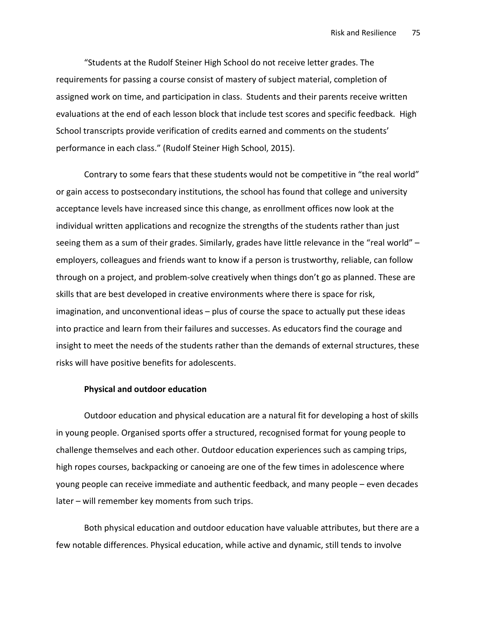"Students at the Rudolf Steiner High School do not receive letter grades. The requirements for passing a course consist of mastery of subject material, completion of assigned work on time, and participation in class. Students and their parents receive written evaluations at the end of each lesson block that include test scores and specific feedback. High School transcripts provide verification of credits earned and comments on the students' performance in each class." (Rudolf Steiner High School, 2015).

Contrary to some fears that these students would not be competitive in "the real world" or gain access to postsecondary institutions, the school has found that college and university acceptance levels have increased since this change, as enrollment offices now look at the individual written applications and recognize the strengths of the students rather than just seeing them as a sum of their grades. Similarly, grades have little relevance in the "real world" – employers, colleagues and friends want to know if a person is trustworthy, reliable, can follow through on a project, and problem-solve creatively when things don't go as planned. These are skills that are best developed in creative environments where there is space for risk, imagination, and unconventional ideas – plus of course the space to actually put these ideas into practice and learn from their failures and successes. As educators find the courage and insight to meet the needs of the students rather than the demands of external structures, these risks will have positive benefits for adolescents.

### Physical and outdoor education

Outdoor education and physical education are a natural fit for developing a host of skills in young people. Organised sports offer a structured, recognised format for young people to challenge themselves and each other. Outdoor education experiences such as camping trips, high ropes courses, backpacking or canoeing are one of the few times in adolescence where young people can receive immediate and authentic feedback, and many people – even decades later – will remember key moments from such trips.

Both physical education and outdoor education have valuable attributes, but there are a few notable differences. Physical education, while active and dynamic, still tends to involve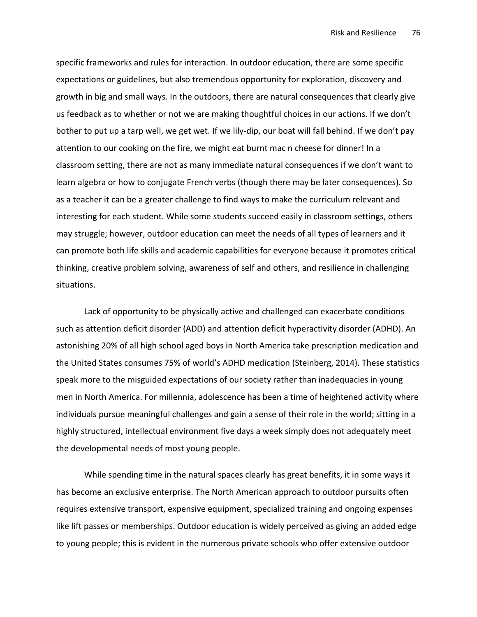specific frameworks and rules for interaction. In outdoor education, there are some specific expectations or guidelines, but also tremendous opportunity for exploration, discovery and growth in big and small ways. In the outdoors, there are natural consequences that clearly give us feedback as to whether or not we are making thoughtful choices in our actions. If we don't bother to put up a tarp well, we get wet. If we lily-dip, our boat will fall behind. If we don't pay attention to our cooking on the fire, we might eat burnt mac n cheese for dinner! In a classroom setting, there are not as many immediate natural consequences if we don't want to learn algebra or how to conjugate French verbs (though there may be later consequences). So as a teacher it can be a greater challenge to find ways to make the curriculum relevant and interesting for each student. While some students succeed easily in classroom settings, others may struggle; however, outdoor education can meet the needs of all types of learners and it can promote both life skills and academic capabilities for everyone because it promotes critical thinking, creative problem solving, awareness of self and others, and resilience in challenging situations.

Lack of opportunity to be physically active and challenged can exacerbate conditions such as attention deficit disorder (ADD) and attention deficit hyperactivity disorder (ADHD). An astonishing 20% of all high school aged boys in North America take prescription medication and the United States consumes 75% of world's ADHD medication (Steinberg, 2014). These statistics speak more to the misguided expectations of our society rather than inadequacies in young men in North America. For millennia, adolescence has been a time of heightened activity where individuals pursue meaningful challenges and gain a sense of their role in the world; sitting in a highly structured, intellectual environment five days a week simply does not adequately meet the developmental needs of most young people.

While spending time in the natural spaces clearly has great benefits, it in some ways it has become an exclusive enterprise. The North American approach to outdoor pursuits often requires extensive transport, expensive equipment, specialized training and ongoing expenses like lift passes or memberships. Outdoor education is widely perceived as giving an added edge to young people; this is evident in the numerous private schools who offer extensive outdoor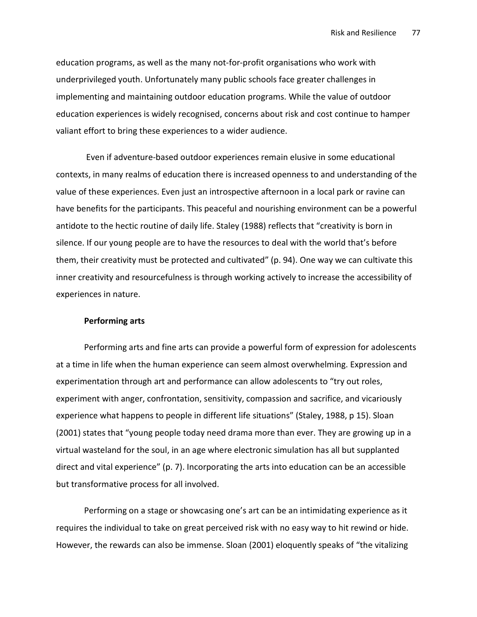education programs, as well as the many not-for-profit organisations who work with underprivileged youth. Unfortunately many public schools face greater challenges in implementing and maintaining outdoor education programs. While the value of outdoor education experiences is widely recognised, concerns about risk and cost continue to hamper valiant effort to bring these experiences to a wider audience.

 Even if adventure-based outdoor experiences remain elusive in some educational contexts, in many realms of education there is increased openness to and understanding of the value of these experiences. Even just an introspective afternoon in a local park or ravine can have benefits for the participants. This peaceful and nourishing environment can be a powerful antidote to the hectic routine of daily life. Staley (1988) reflects that "creativity is born in silence. If our young people are to have the resources to deal with the world that's before them, their creativity must be protected and cultivated" (p. 94). One way we can cultivate this inner creativity and resourcefulness is through working actively to increase the accessibility of experiences in nature.

### Performing arts

Performing arts and fine arts can provide a powerful form of expression for adolescents at a time in life when the human experience can seem almost overwhelming. Expression and experimentation through art and performance can allow adolescents to "try out roles, experiment with anger, confrontation, sensitivity, compassion and sacrifice, and vicariously experience what happens to people in different life situations" (Staley, 1988, p 15). Sloan (2001) states that "young people today need drama more than ever. They are growing up in a virtual wasteland for the soul, in an age where electronic simulation has all but supplanted direct and vital experience" (p. 7). Incorporating the arts into education can be an accessible but transformative process for all involved.

Performing on a stage or showcasing one's art can be an intimidating experience as it requires the individual to take on great perceived risk with no easy way to hit rewind or hide. However, the rewards can also be immense. Sloan (2001) eloquently speaks of "the vitalizing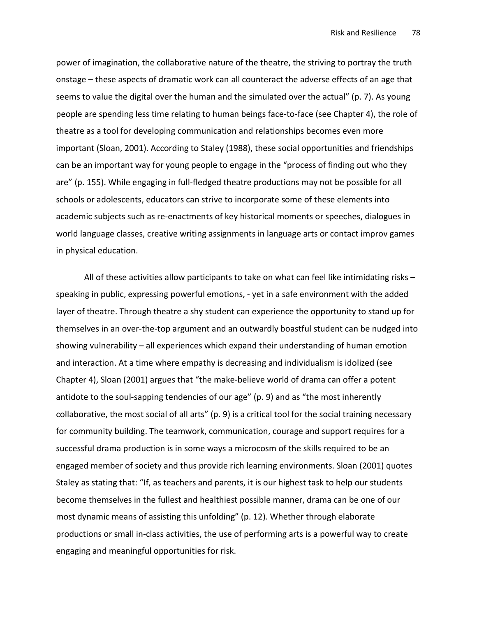power of imagination, the collaborative nature of the theatre, the striving to portray the truth onstage – these aspects of dramatic work can all counteract the adverse effects of an age that seems to value the digital over the human and the simulated over the actual" (p. 7). As young people are spending less time relating to human beings face-to-face (see Chapter 4), the role of theatre as a tool for developing communication and relationships becomes even more important (Sloan, 2001). According to Staley (1988), these social opportunities and friendships can be an important way for young people to engage in the "process of finding out who they are" (p. 155). While engaging in full-fledged theatre productions may not be possible for all schools or adolescents, educators can strive to incorporate some of these elements into academic subjects such as re-enactments of key historical moments or speeches, dialogues in world language classes, creative writing assignments in language arts or contact improv games in physical education.

All of these activities allow participants to take on what can feel like intimidating risks – speaking in public, expressing powerful emotions, - yet in a safe environment with the added layer of theatre. Through theatre a shy student can experience the opportunity to stand up for themselves in an over-the-top argument and an outwardly boastful student can be nudged into showing vulnerability – all experiences which expand their understanding of human emotion and interaction. At a time where empathy is decreasing and individualism is idolized (see Chapter 4), Sloan (2001) argues that "the make-believe world of drama can offer a potent antidote to the soul-sapping tendencies of our age" (p. 9) and as "the most inherently collaborative, the most social of all arts" (p. 9) is a critical tool for the social training necessary for community building. The teamwork, communication, courage and support requires for a successful drama production is in some ways a microcosm of the skills required to be an engaged member of society and thus provide rich learning environments. Sloan (2001) quotes Staley as stating that: "If, as teachers and parents, it is our highest task to help our students become themselves in the fullest and healthiest possible manner, drama can be one of our most dynamic means of assisting this unfolding" (p. 12). Whether through elaborate productions or small in-class activities, the use of performing arts is a powerful way to create engaging and meaningful opportunities for risk.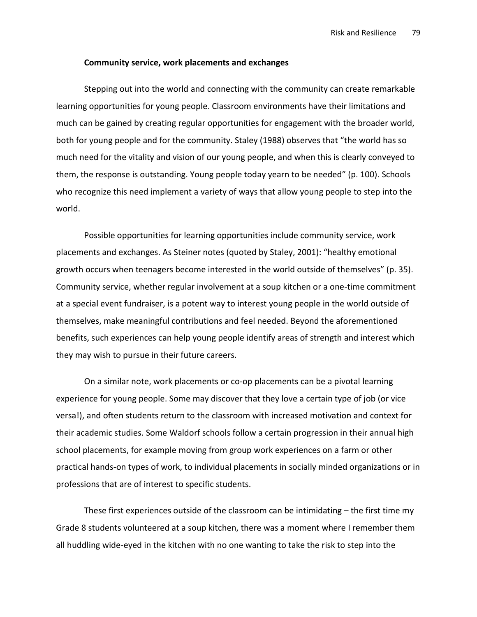#### Community service, work placements and exchanges

Stepping out into the world and connecting with the community can create remarkable learning opportunities for young people. Classroom environments have their limitations and much can be gained by creating regular opportunities for engagement with the broader world, both for young people and for the community. Staley (1988) observes that "the world has so much need for the vitality and vision of our young people, and when this is clearly conveyed to them, the response is outstanding. Young people today yearn to be needed" (p. 100). Schools who recognize this need implement a variety of ways that allow young people to step into the world.

Possible opportunities for learning opportunities include community service, work placements and exchanges. As Steiner notes (quoted by Staley, 2001): "healthy emotional growth occurs when teenagers become interested in the world outside of themselves" (p. 35). Community service, whether regular involvement at a soup kitchen or a one-time commitment at a special event fundraiser, is a potent way to interest young people in the world outside of themselves, make meaningful contributions and feel needed. Beyond the aforementioned benefits, such experiences can help young people identify areas of strength and interest which they may wish to pursue in their future careers.

On a similar note, work placements or co-op placements can be a pivotal learning experience for young people. Some may discover that they love a certain type of job (or vice versa!), and often students return to the classroom with increased motivation and context for their academic studies. Some Waldorf schools follow a certain progression in their annual high school placements, for example moving from group work experiences on a farm or other practical hands-on types of work, to individual placements in socially minded organizations or in professions that are of interest to specific students.

These first experiences outside of the classroom can be intimidating – the first time my Grade 8 students volunteered at a soup kitchen, there was a moment where I remember them all huddling wide-eyed in the kitchen with no one wanting to take the risk to step into the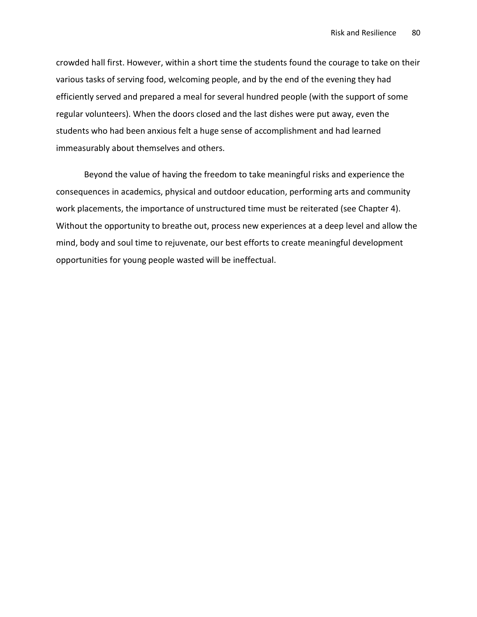crowded hall first. However, within a short time the students found the courage to take on their various tasks of serving food, welcoming people, and by the end of the evening they had efficiently served and prepared a meal for several hundred people (with the support of some regular volunteers). When the doors closed and the last dishes were put away, even the students who had been anxious felt a huge sense of accomplishment and had learned immeasurably about themselves and others.

Beyond the value of having the freedom to take meaningful risks and experience the consequences in academics, physical and outdoor education, performing arts and community work placements, the importance of unstructured time must be reiterated (see Chapter 4). Without the opportunity to breathe out, process new experiences at a deep level and allow the mind, body and soul time to rejuvenate, our best efforts to create meaningful development opportunities for young people wasted will be ineffectual.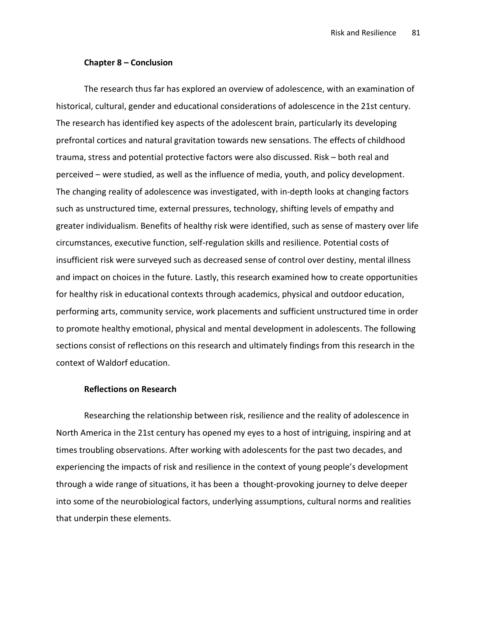#### Chapter 8 – Conclusion

The research thus far has explored an overview of adolescence, with an examination of historical, cultural, gender and educational considerations of adolescence in the 21st century. The research has identified key aspects of the adolescent brain, particularly its developing prefrontal cortices and natural gravitation towards new sensations. The effects of childhood trauma, stress and potential protective factors were also discussed. Risk – both real and perceived – were studied, as well as the influence of media, youth, and policy development. The changing reality of adolescence was investigated, with in-depth looks at changing factors such as unstructured time, external pressures, technology, shifting levels of empathy and greater individualism. Benefits of healthy risk were identified, such as sense of mastery over life circumstances, executive function, self-regulation skills and resilience. Potential costs of insufficient risk were surveyed such as decreased sense of control over destiny, mental illness and impact on choices in the future. Lastly, this research examined how to create opportunities for healthy risk in educational contexts through academics, physical and outdoor education, performing arts, community service, work placements and sufficient unstructured time in order to promote healthy emotional, physical and mental development in adolescents. The following sections consist of reflections on this research and ultimately findings from this research in the context of Waldorf education.

#### Reflections on Research

Researching the relationship between risk, resilience and the reality of adolescence in North America in the 21st century has opened my eyes to a host of intriguing, inspiring and at times troubling observations. After working with adolescents for the past two decades, and experiencing the impacts of risk and resilience in the context of young people's development through a wide range of situations, it has been a thought-provoking journey to delve deeper into some of the neurobiological factors, underlying assumptions, cultural norms and realities that underpin these elements.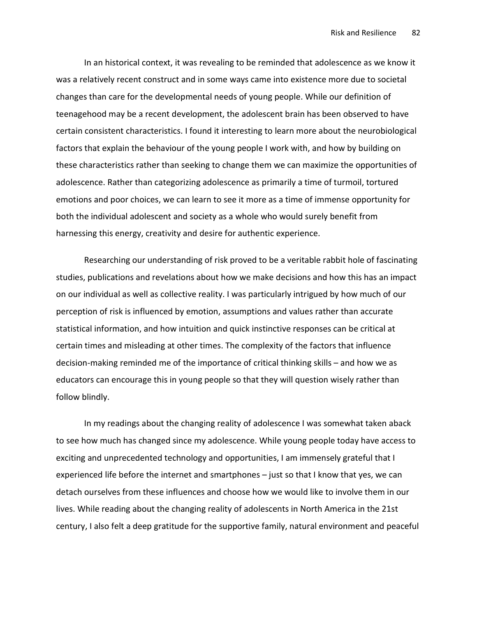In an historical context, it was revealing to be reminded that adolescence as we know it was a relatively recent construct and in some ways came into existence more due to societal changes than care for the developmental needs of young people. While our definition of teenagehood may be a recent development, the adolescent brain has been observed to have certain consistent characteristics. I found it interesting to learn more about the neurobiological factors that explain the behaviour of the young people I work with, and how by building on these characteristics rather than seeking to change them we can maximize the opportunities of adolescence. Rather than categorizing adolescence as primarily a time of turmoil, tortured emotions and poor choices, we can learn to see it more as a time of immense opportunity for both the individual adolescent and society as a whole who would surely benefit from harnessing this energy, creativity and desire for authentic experience.

Researching our understanding of risk proved to be a veritable rabbit hole of fascinating studies, publications and revelations about how we make decisions and how this has an impact on our individual as well as collective reality. I was particularly intrigued by how much of our perception of risk is influenced by emotion, assumptions and values rather than accurate statistical information, and how intuition and quick instinctive responses can be critical at certain times and misleading at other times. The complexity of the factors that influence decision-making reminded me of the importance of critical thinking skills – and how we as educators can encourage this in young people so that they will question wisely rather than follow blindly.

In my readings about the changing reality of adolescence I was somewhat taken aback to see how much has changed since my adolescence. While young people today have access to exciting and unprecedented technology and opportunities, I am immensely grateful that I experienced life before the internet and smartphones – just so that I know that yes, we can detach ourselves from these influences and choose how we would like to involve them in our lives. While reading about the changing reality of adolescents in North America in the 21st century, I also felt a deep gratitude for the supportive family, natural environment and peaceful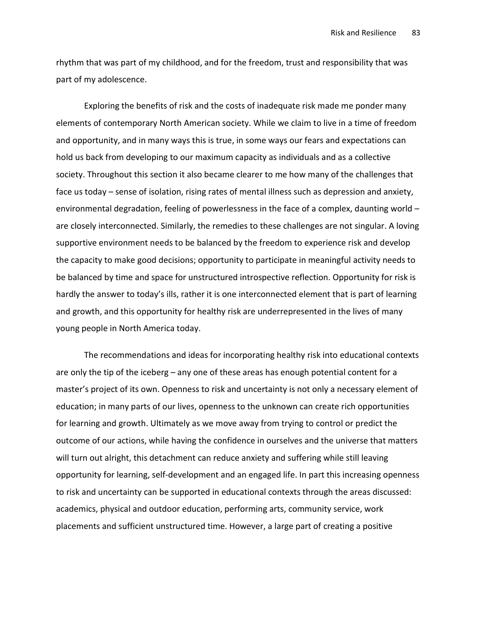rhythm that was part of my childhood, and for the freedom, trust and responsibility that was part of my adolescence.

Exploring the benefits of risk and the costs of inadequate risk made me ponder many elements of contemporary North American society. While we claim to live in a time of freedom and opportunity, and in many ways this is true, in some ways our fears and expectations can hold us back from developing to our maximum capacity as individuals and as a collective society. Throughout this section it also became clearer to me how many of the challenges that face us today – sense of isolation, rising rates of mental illness such as depression and anxiety, environmental degradation, feeling of powerlessness in the face of a complex, daunting world – are closely interconnected. Similarly, the remedies to these challenges are not singular. A loving supportive environment needs to be balanced by the freedom to experience risk and develop the capacity to make good decisions; opportunity to participate in meaningful activity needs to be balanced by time and space for unstructured introspective reflection. Opportunity for risk is hardly the answer to today's ills, rather it is one interconnected element that is part of learning and growth, and this opportunity for healthy risk are underrepresented in the lives of many young people in North America today.

The recommendations and ideas for incorporating healthy risk into educational contexts are only the tip of the iceberg – any one of these areas has enough potential content for a master's project of its own. Openness to risk and uncertainty is not only a necessary element of education; in many parts of our lives, openness to the unknown can create rich opportunities for learning and growth. Ultimately as we move away from trying to control or predict the outcome of our actions, while having the confidence in ourselves and the universe that matters will turn out alright, this detachment can reduce anxiety and suffering while still leaving opportunity for learning, self-development and an engaged life. In part this increasing openness to risk and uncertainty can be supported in educational contexts through the areas discussed: academics, physical and outdoor education, performing arts, community service, work placements and sufficient unstructured time. However, a large part of creating a positive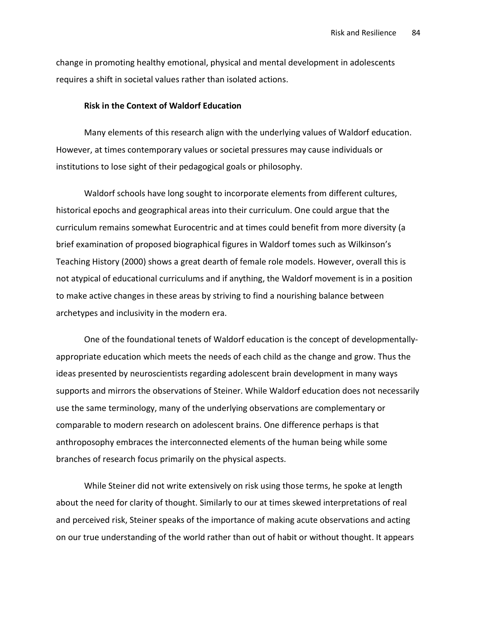change in promoting healthy emotional, physical and mental development in adolescents requires a shift in societal values rather than isolated actions.

### Risk in the Context of Waldorf Education

Many elements of this research align with the underlying values of Waldorf education. However, at times contemporary values or societal pressures may cause individuals or institutions to lose sight of their pedagogical goals or philosophy.

Waldorf schools have long sought to incorporate elements from different cultures, historical epochs and geographical areas into their curriculum. One could argue that the curriculum remains somewhat Eurocentric and at times could benefit from more diversity (a brief examination of proposed biographical figures in Waldorf tomes such as Wilkinson's Teaching History (2000) shows a great dearth of female role models. However, overall this is not atypical of educational curriculums and if anything, the Waldorf movement is in a position to make active changes in these areas by striving to find a nourishing balance between archetypes and inclusivity in the modern era.

One of the foundational tenets of Waldorf education is the concept of developmentallyappropriate education which meets the needs of each child as the change and grow. Thus the ideas presented by neuroscientists regarding adolescent brain development in many ways supports and mirrors the observations of Steiner. While Waldorf education does not necessarily use the same terminology, many of the underlying observations are complementary or comparable to modern research on adolescent brains. One difference perhaps is that anthroposophy embraces the interconnected elements of the human being while some branches of research focus primarily on the physical aspects.

While Steiner did not write extensively on risk using those terms, he spoke at length about the need for clarity of thought. Similarly to our at times skewed interpretations of real and perceived risk, Steiner speaks of the importance of making acute observations and acting on our true understanding of the world rather than out of habit or without thought. It appears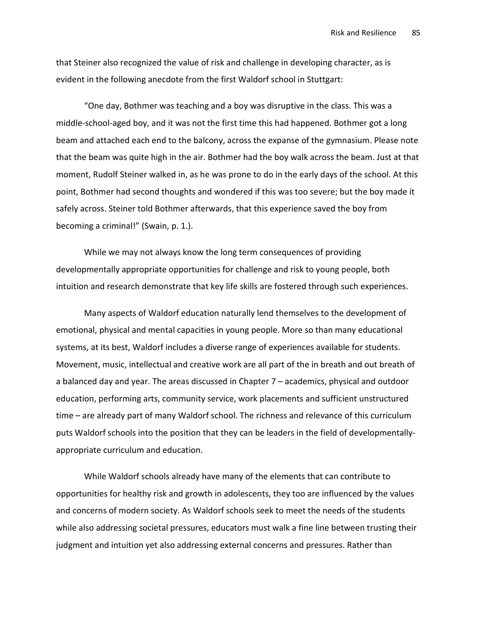that Steiner also recognized the value of risk and challenge in developing character, as is evident in the following anecdote from the first Waldorf school in Stuttgart:

"One day, Bothmer was teaching and a boy was disruptive in the class. This was a middle-school-aged boy, and it was not the first time this had happened. Bothmer got a long beam and attached each end to the balcony, across the expanse of the gymnasium. Please note that the beam was quite high in the air. Bothmer had the boy walk across the beam. Just at that moment, Rudolf Steiner walked in, as he was prone to do in the early days of the school. At this point, Bothmer had second thoughts and wondered if this was too severe; but the boy made it safely across. Steiner told Bothmer afterwards, that this experience saved the boy from becoming a criminal!" (Swain, p. 1.).

While we may not always know the long term consequences of providing developmentally appropriate opportunities for challenge and risk to young people, both intuition and research demonstrate that key life skills are fostered through such experiences.

Many aspects of Waldorf education naturally lend themselves to the development of emotional, physical and mental capacities in young people. More so than many educational systems, at its best, Waldorf includes a diverse range of experiences available for students. Movement, music, intellectual and creative work are all part of the in breath and out breath of a balanced day and year. The areas discussed in Chapter 7 – academics, physical and outdoor education, performing arts, community service, work placements and sufficient unstructured time – are already part of many Waldorf school. The richness and relevance of this curriculum puts Waldorf schools into the position that they can be leaders in the field of developmentallyappropriate curriculum and education.

While Waldorf schools already have many of the elements that can contribute to opportunities for healthy risk and growth in adolescents, they too are influenced by the values and concerns of modern society. As Waldorf schools seek to meet the needs of the students while also addressing societal pressures, educators must walk a fine line between trusting their judgment and intuition yet also addressing external concerns and pressures. Rather than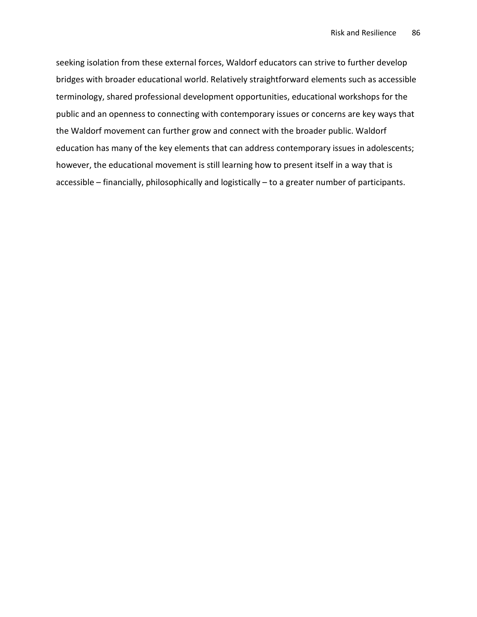seeking isolation from these external forces, Waldorf educators can strive to further develop bridges with broader educational world. Relatively straightforward elements such as accessible terminology, shared professional development opportunities, educational workshops for the public and an openness to connecting with contemporary issues or concerns are key ways that the Waldorf movement can further grow and connect with the broader public. Waldorf education has many of the key elements that can address contemporary issues in adolescents; however, the educational movement is still learning how to present itself in a way that is accessible – financially, philosophically and logistically – to a greater number of participants.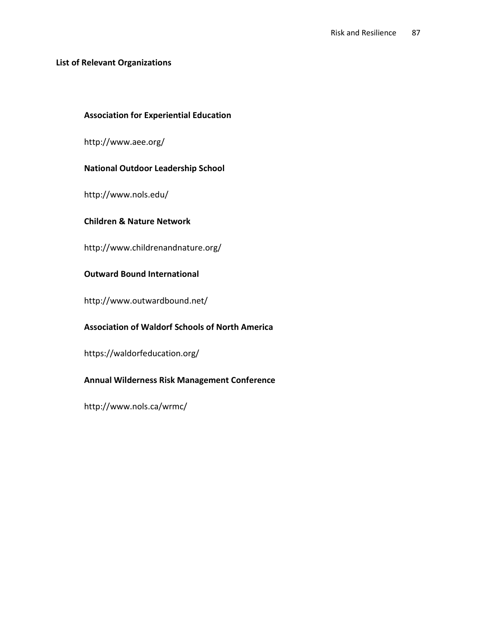## List of Relevant Organizations

# Association for Experiential Education

http://www.aee.org/

## National Outdoor Leadership School

http://www.nols.edu/

## Children & Nature Network

http://www.childrenandnature.org/

## Outward Bound International

http://www.outwardbound.net/

# Association of Waldorf Schools of North America

https://waldorfeducation.org/

# Annual Wilderness Risk Management Conference

http://www.nols.ca/wrmc/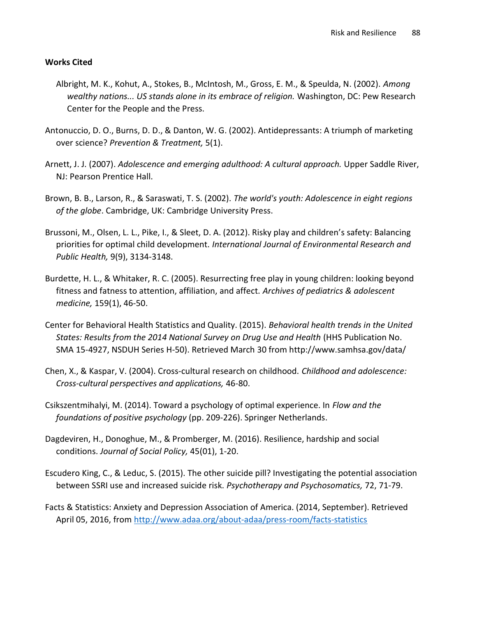# Works Cited

- Albright, M. K., Kohut, A., Stokes, B., McIntosh, M., Gross, E. M., & Speulda, N. (2002). Among wealthy nations... US stands alone in its embrace of religion. Washington, DC: Pew Research Center for the People and the Press.
- Antonuccio, D. O., Burns, D. D., & Danton, W. G. (2002). Antidepressants: A triumph of marketing over science? Prevention & Treatment, 5(1).
- Arnett, J. J. (2007). Adolescence and emerging adulthood: A cultural approach. Upper Saddle River, NJ: Pearson Prentice Hall.
- Brown, B. B., Larson, R., & Saraswati, T. S. (2002). The world's youth: Adolescence in eight regions of the globe. Cambridge, UK: Cambridge University Press.
- Brussoni, M., Olsen, L. L., Pike, I., & Sleet, D. A. (2012). Risky play and children's safety: Balancing priorities for optimal child development. International Journal of Environmental Research and Public Health, 9(9), 3134-3148.
- Burdette, H. L., & Whitaker, R. C. (2005). Resurrecting free play in young children: looking beyond fitness and fatness to attention, affiliation, and affect. Archives of pediatrics & adolescent medicine, 159(1), 46-50.
- Center for Behavioral Health Statistics and Quality. (2015). Behavioral health trends in the United States: Results from the 2014 National Survey on Drug Use and Health (HHS Publication No. SMA 15-4927, NSDUH Series H-50). Retrieved March 30 from http://www.samhsa.gov/data/
- Chen, X., & Kaspar, V. (2004). Cross-cultural research on childhood. Childhood and adolescence: Cross-cultural perspectives and applications, 46-80.
- Csikszentmihalyi, M. (2014). Toward a psychology of optimal experience. In Flow and the foundations of positive psychology (pp. 209-226). Springer Netherlands.
- Dagdeviren, H., Donoghue, M., & Promberger, M. (2016). Resilience, hardship and social conditions. Journal of Social Policy, 45(01), 1-20.
- Escudero King, C., & Leduc, S. (2015). The other suicide pill? Investigating the potential association between SSRI use and increased suicide risk. Psychotherapy and Psychosomatics, 72, 71-79.
- Facts & Statistics: Anxiety and Depression Association of America. (2014, September). Retrieved April 05, 2016, from http://www.adaa.org/about-adaa/press-room/facts-statistics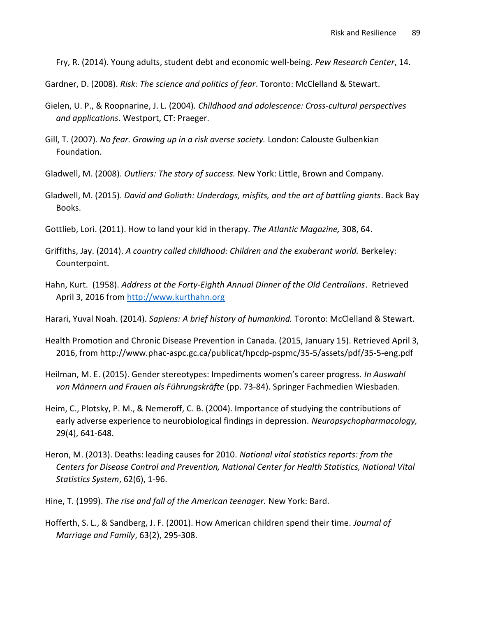Fry, R. (2014). Young adults, student debt and economic well-being. Pew Research Center, 14.

Gardner, D. (2008). Risk: The science and politics of fear. Toronto: McClelland & Stewart.

- Gielen, U. P., & Roopnarine, J. L. (2004). Childhood and adolescence: Cross-cultural perspectives and applications. Westport, CT: Praeger.
- Gill, T. (2007). No fear. Growing up in a risk averse society. London: Calouste Gulbenkian Foundation.
- Gladwell, M. (2008). Outliers: The story of success. New York: Little, Brown and Company.
- Gladwell, M. (2015). David and Goliath: Underdogs, misfits, and the art of battling giants. Back Bay Books.
- Gottlieb, Lori. (2011). How to land your kid in therapy. The Atlantic Magazine, 308, 64.
- Griffiths, Jay. (2014). A country called childhood: Children and the exuberant world. Berkeley: Counterpoint.
- Hahn, Kurt. (1958). Address at the Forty-Eighth Annual Dinner of the Old Centralians. Retrieved April 3, 2016 from http://www.kurthahn.org

Harari, Yuval Noah. (2014). Sapiens: A brief history of humankind. Toronto: McClelland & Stewart.

- Health Promotion and Chronic Disease Prevention in Canada. (2015, January 15). Retrieved April 3, 2016, from http://www.phac-aspc.gc.ca/publicat/hpcdp-pspmc/35-5/assets/pdf/35-5-eng.pdf
- Heilman, M. E. (2015). Gender stereotypes: Impediments women's career progress. In Auswahl von Männern und Frauen als Führungskräfte (pp. 73-84). Springer Fachmedien Wiesbaden.
- Heim, C., Plotsky, P. M., & Nemeroff, C. B. (2004). Importance of studying the contributions of early adverse experience to neurobiological findings in depression. Neuropsychopharmacology, 29(4), 641-648.
- Heron, M. (2013). Deaths: leading causes for 2010. National vital statistics reports: from the Centers for Disease Control and Prevention, National Center for Health Statistics, National Vital Statistics System, 62(6), 1-96.
- Hine, T. (1999). The rise and fall of the American teenager. New York: Bard.
- Hofferth, S. L., & Sandberg, J. F. (2001). How American children spend their time. Journal of Marriage and Family, 63(2), 295-308.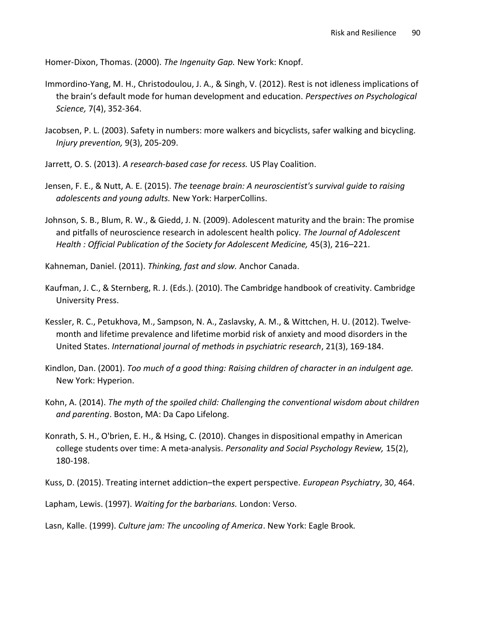Homer-Dixon, Thomas. (2000). The Ingenuity Gap. New York: Knopf.

- Immordino-Yang, M. H., Christodoulou, J. A., & Singh, V. (2012). Rest is not idleness implications of the brain's default mode for human development and education. Perspectives on Psychological Science, 7(4), 352-364.
- Jacobsen, P. L. (2003). Safety in numbers: more walkers and bicyclists, safer walking and bicycling. Injury prevention, 9(3), 205-209.
- Jarrett, O. S. (2013). A research-based case for recess. US Play Coalition.
- Jensen, F. E., & Nutt, A. E. (2015). The teenage brain: A neuroscientist's survival guide to raising adolescents and young adults. New York: HarperCollins.
- Johnson, S. B., Blum, R. W., & Giedd, J. N. (2009). Adolescent maturity and the brain: The promise and pitfalls of neuroscience research in adolescent health policy. The Journal of Adolescent Health : Official Publication of the Society for Adolescent Medicine, 45(3), 216–221.

Kahneman, Daniel. (2011). Thinking, fast and slow. Anchor Canada.

- Kaufman, J. C., & Sternberg, R. J. (Eds.). (2010). The Cambridge handbook of creativity. Cambridge University Press.
- Kessler, R. C., Petukhova, M., Sampson, N. A., Zaslavsky, A. M., & Wittchen, H. U. (2012). Twelvemonth and lifetime prevalence and lifetime morbid risk of anxiety and mood disorders in the United States. International journal of methods in psychiatric research, 21(3), 169-184.
- Kindlon, Dan. (2001). Too much of a good thing: Raising children of character in an indulgent age. New York: Hyperion.
- Kohn, A. (2014). The myth of the spoiled child: Challenging the conventional wisdom about children and parenting. Boston, MA: Da Capo Lifelong.
- Konrath, S. H., O'brien, E. H., & Hsing, C. (2010). Changes in dispositional empathy in American college students over time: A meta-analysis. Personality and Social Psychology Review, 15(2), 180-198.

Kuss, D. (2015). Treating internet addiction–the expert perspective. European Psychiatry, 30, 464.

Lapham, Lewis. (1997). Waiting for the barbarians. London: Verso.

Lasn, Kalle. (1999). Culture jam: The uncooling of America. New York: Eagle Brook.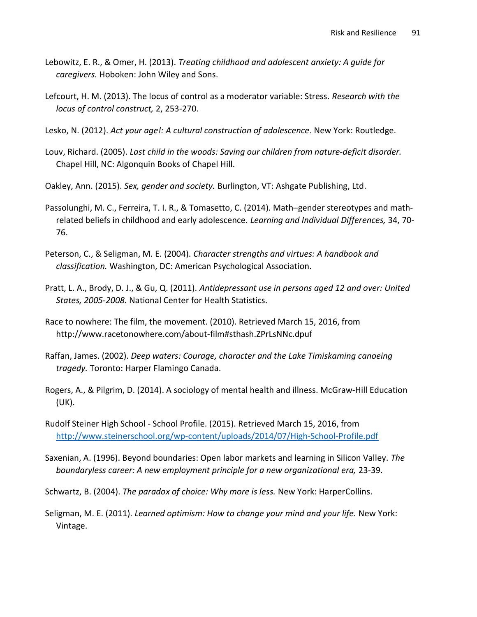- Lebowitz, E. R., & Omer, H. (2013). Treating childhood and adolescent anxiety: A guide for caregivers. Hoboken: John Wiley and Sons.
- Lefcourt, H. M. (2013). The locus of control as a moderator variable: Stress. Research with the locus of control construct, 2, 253-270.
- Lesko, N. (2012). Act your age!: A cultural construction of adolescence. New York: Routledge.
- Louv, Richard. (2005). Last child in the woods: Saving our children from nature-deficit disorder. Chapel Hill, NC: Algonquin Books of Chapel Hill.
- Oakley, Ann. (2015). Sex, gender and society. Burlington, VT: Ashgate Publishing, Ltd.
- Passolunghi, M. C., Ferreira, T. I. R., & Tomasetto, C. (2014). Math–gender stereotypes and mathrelated beliefs in childhood and early adolescence. Learning and Individual Differences, 34, 70- 76.
- Peterson, C., & Seligman, M. E. (2004). Character strengths and virtues: A handbook and classification. Washington, DC: American Psychological Association.
- Pratt, L. A., Brody, D. J., & Gu, Q. (2011). Antidepressant use in persons aged 12 and over: United States, 2005-2008. National Center for Health Statistics.
- Race to nowhere: The film, the movement. (2010). Retrieved March 15, 2016, from http://www.racetonowhere.com/about-film#sthash.ZPrLsNNc.dpuf
- Raffan, James. (2002). Deep waters: Courage, character and the Lake Timiskaming canoeing tragedy. Toronto: Harper Flamingo Canada.
- Rogers, A., & Pilgrim, D. (2014). A sociology of mental health and illness. McGraw-Hill Education (UK).
- Rudolf Steiner High School School Profile. (2015). Retrieved March 15, 2016, from http://www.steinerschool.org/wp-content/uploads/2014/07/High-School-Profile.pdf
- Saxenian, A. (1996). Beyond boundaries: Open labor markets and learning in Silicon Valley. The boundaryless career: A new employment principle for a new organizational era, 23-39.
- Schwartz, B. (2004). The paradox of choice: Why more is less. New York: HarperCollins.
- Seligman, M. E. (2011). Learned optimism: How to change your mind and your life. New York: Vintage.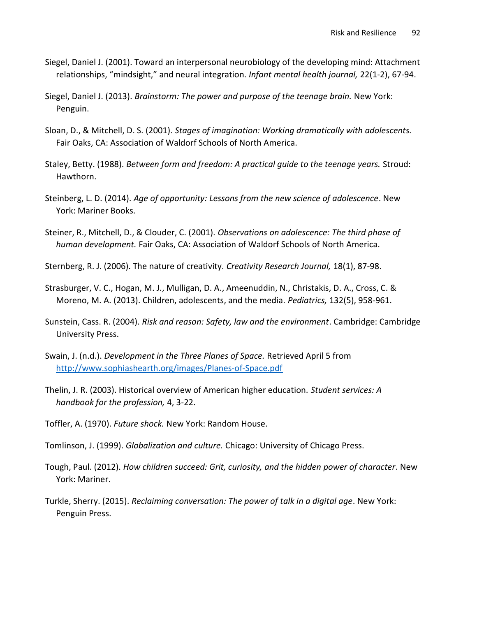- Siegel, Daniel J. (2001). Toward an interpersonal neurobiology of the developing mind: Attachment relationships, "mindsight," and neural integration. Infant mental health journal, 22(1-2), 67-94.
- Siegel, Daniel J. (2013). Brainstorm: The power and purpose of the teenage brain. New York: Penguin.
- Sloan, D., & Mitchell, D. S. (2001). Stages of imagination: Working dramatically with adolescents. Fair Oaks, CA: Association of Waldorf Schools of North America.
- Staley, Betty. (1988). Between form and freedom: A practical guide to the teenage years. Stroud: Hawthorn.
- Steinberg, L. D. (2014). Age of opportunity: Lessons from the new science of adolescence. New York: Mariner Books.
- Steiner, R., Mitchell, D., & Clouder, C. (2001). Observations on adolescence: The third phase of human development. Fair Oaks, CA: Association of Waldorf Schools of North America.
- Sternberg, R. J. (2006). The nature of creativity. Creativity Research Journal, 18(1), 87-98.
- Strasburger, V. C., Hogan, M. J., Mulligan, D. A., Ameenuddin, N., Christakis, D. A., Cross, C. & Moreno, M. A. (2013). Children, adolescents, and the media. Pediatrics, 132(5), 958-961.
- Sunstein, Cass. R. (2004). Risk and reason: Safety, law and the environment. Cambridge: Cambridge University Press.
- Swain, J. (n.d.). Development in the Three Planes of Space. Retrieved April 5 from http://www.sophiashearth.org/images/Planes-of-Space.pdf
- Thelin, J. R. (2003). Historical overview of American higher education. Student services: A handbook for the profession, 4, 3-22.
- Toffler, A. (1970). Future shock. New York: Random House.
- Tomlinson, J. (1999). Globalization and culture. Chicago: University of Chicago Press.
- Tough, Paul. (2012). How children succeed: Grit, curiosity, and the hidden power of character. New York: Mariner.
- Turkle, Sherry. (2015). Reclaiming conversation: The power of talk in a digital age. New York: Penguin Press.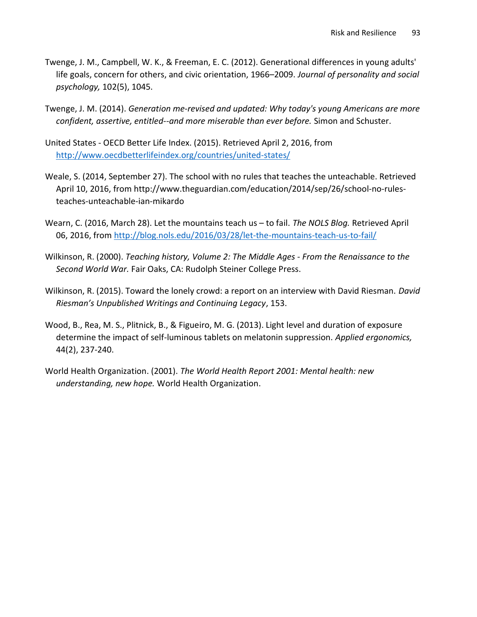- Twenge, J. M., Campbell, W. K., & Freeman, E. C. (2012). Generational differences in young adults' life goals, concern for others, and civic orientation, 1966–2009. Journal of personality and social psychology, 102(5), 1045.
- Twenge, J. M. (2014). Generation me-revised and updated: Why today's young Americans are more confident, assertive, entitled--and more miserable than ever before. Simon and Schuster.
- United States OECD Better Life Index. (2015). Retrieved April 2, 2016, from http://www.oecdbetterlifeindex.org/countries/united-states/
- Weale, S. (2014, September 27). The school with no rules that teaches the unteachable. Retrieved April 10, 2016, from http://www.theguardian.com/education/2014/sep/26/school-no-rulesteaches-unteachable-ian-mikardo
- Wearn, C. (2016, March 28). Let the mountains teach us to fail. The NOLS Blog. Retrieved April 06, 2016, from http://blog.nols.edu/2016/03/28/let-the-mountains-teach-us-to-fail/
- Wilkinson, R. (2000). Teaching history, Volume 2: The Middle Ages From the Renaissance to the Second World War. Fair Oaks, CA: Rudolph Steiner College Press.
- Wilkinson, R. (2015). Toward the lonely crowd: a report on an interview with David Riesman. David Riesman's Unpublished Writings and Continuing Legacy, 153.
- Wood, B., Rea, M. S., Plitnick, B., & Figueiro, M. G. (2013). Light level and duration of exposure determine the impact of self-luminous tablets on melatonin suppression. Applied ergonomics, 44(2), 237-240.
- World Health Organization. (2001). The World Health Report 2001: Mental health: new understanding, new hope. World Health Organization.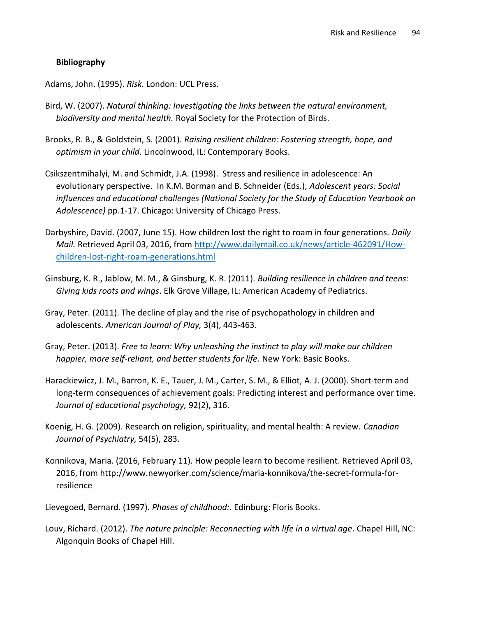# Bibliography

Adams, John. (1995). Risk. London: UCL Press.

- Bird, W. (2007). Natural thinking: Investigating the links between the natural environment, biodiversity and mental health. Royal Society for the Protection of Birds.
- Brooks, R. B., & Goldstein, S. (2001). Raising resilient children: Fostering strength, hope, and optimism in your child. Lincolnwood, IL: Contemporary Books.
- Csikszentmihalyi, M. and Schmidt, J.A. (1998). Stress and resilience in adolescence: An evolutionary perspective. In K.M. Borman and B. Schneider (Eds.), Adolescent years: Social influences and educational challenges (National Society for the Study of Education Yearbook on Adolescence) pp.1-17. Chicago: University of Chicago Press.
- Darbyshire, David. (2007, June 15). How children lost the right to roam in four generations. Daily Mail. Retrieved April 03, 2016, from http://www.dailymail.co.uk/news/article-462091/Howchildren-lost-right-roam-generations.html
- Ginsburg, K. R., Jablow, M. M., & Ginsburg, K. R. (2011). Building resilience in children and teens: Giving kids roots and wings. Elk Grove Village, IL: American Academy of Pediatrics.
- Gray, Peter. (2011). The decline of play and the rise of psychopathology in children and adolescents. American Journal of Play, 3(4), 443-463.
- Gray, Peter. (2013). Free to learn: Why unleashing the instinct to play will make our children happier, more self-reliant, and better students for life. New York: Basic Books.
- Harackiewicz, J. M., Barron, K. E., Tauer, J. M., Carter, S. M., & Elliot, A. J. (2000). Short-term and long-term consequences of achievement goals: Predicting interest and performance over time. Journal of educational psychology, 92(2), 316.
- Koenig, H. G. (2009). Research on religion, spirituality, and mental health: A review. Canadian Journal of Psychiatry, 54(5), 283.
- Konnikova, Maria. (2016, February 11). How people learn to become resilient. Retrieved April 03, 2016, from http://www.newyorker.com/science/maria-konnikova/the-secret-formula-forresilience
- Lievegoed, Bernard. (1997). Phases of childhood:. Edinburg: Floris Books.
- Louv, Richard. (2012). The nature principle: Reconnecting with life in a virtual age. Chapel Hill, NC: Algonquin Books of Chapel Hill.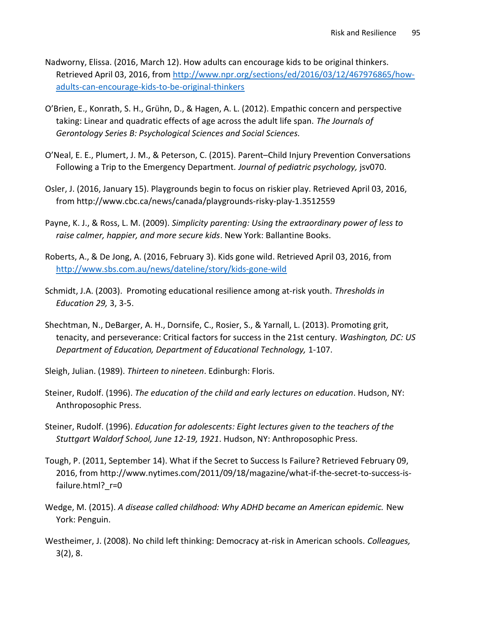- Nadworny, Elissa. (2016, March 12). How adults can encourage kids to be original thinkers. Retrieved April 03, 2016, from http://www.npr.org/sections/ed/2016/03/12/467976865/howadults-can-encourage-kids-to-be-original-thinkers
- O'Brien, E., Konrath, S. H., Grühn, D., & Hagen, A. L. (2012). Empathic concern and perspective taking: Linear and quadratic effects of age across the adult life span. The Journals of Gerontology Series B: Psychological Sciences and Social Sciences.
- O'Neal, E. E., Plumert, J. M., & Peterson, C. (2015). Parent–Child Injury Prevention Conversations Following a Trip to the Emergency Department. Journal of pediatric psychology, jsv070.
- Osler, J. (2016, January 15). Playgrounds begin to focus on riskier play. Retrieved April 03, 2016, from http://www.cbc.ca/news/canada/playgrounds-risky-play-1.3512559
- Payne, K. J., & Ross, L. M. (2009). Simplicity parenting: Using the extraordinary power of less to raise calmer, happier, and more secure kids. New York: Ballantine Books.
- Roberts, A., & De Jong, A. (2016, February 3). Kids gone wild. Retrieved April 03, 2016, from http://www.sbs.com.au/news/dateline/story/kids-gone-wild
- Schmidt, J.A. (2003). Promoting educational resilience among at-risk youth. Thresholds in Education 29, 3, 3-5.
- Shechtman, N., DeBarger, A. H., Dornsife, C., Rosier, S., & Yarnall, L. (2013). Promoting grit, tenacity, and perseverance: Critical factors for success in the 21st century. Washington, DC: US Department of Education, Department of Educational Technology, 1-107.
- Sleigh, Julian. (1989). Thirteen to nineteen. Edinburgh: Floris.
- Steiner, Rudolf. (1996). The education of the child and early lectures on education. Hudson, NY: Anthroposophic Press.
- Steiner, Rudolf. (1996). Education for adolescents: Eight lectures given to the teachers of the Stuttgart Waldorf School, June 12-19, 1921. Hudson, NY: Anthroposophic Press.
- Tough, P. (2011, September 14). What if the Secret to Success Is Failure? Retrieved February 09, 2016, from http://www.nytimes.com/2011/09/18/magazine/what-if-the-secret-to-success-isfailure.html? r=0
- Wedge, M. (2015). A disease called childhood: Why ADHD became an American epidemic. New York: Penguin.
- Westheimer, J. (2008). No child left thinking: Democracy at-risk in American schools. Colleagues, 3(2), 8.